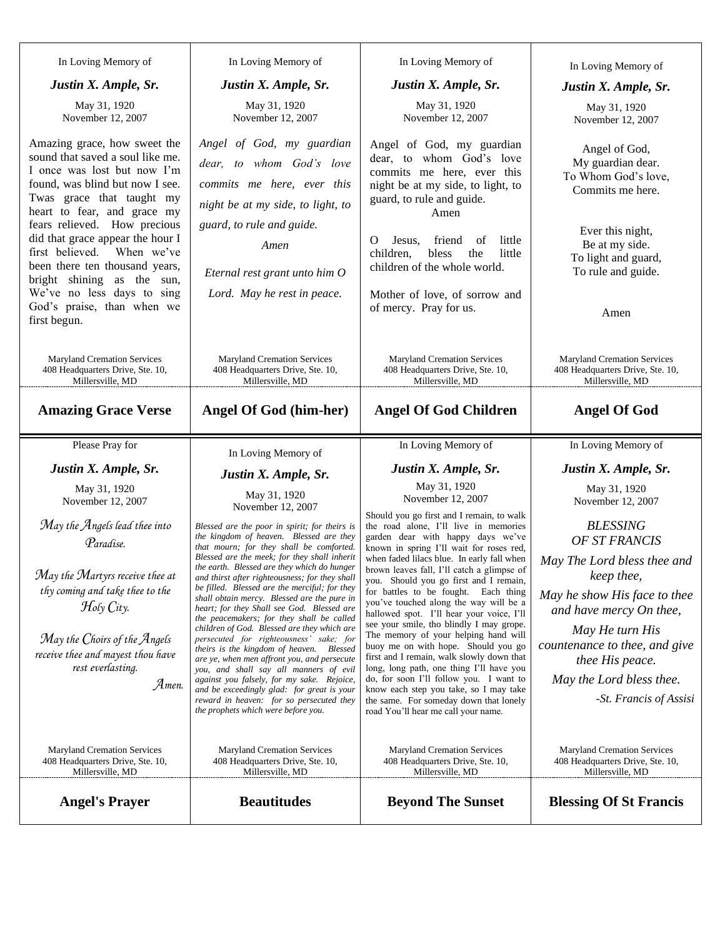| In Loving Memory of                                                                                                                                                                             | In Loving Memory of                                                                                                                                                                                                                                                      | In Loving Memory of                                                                                                                                                                                                                                           | In Loving Memory of                                                                            |
|-------------------------------------------------------------------------------------------------------------------------------------------------------------------------------------------------|--------------------------------------------------------------------------------------------------------------------------------------------------------------------------------------------------------------------------------------------------------------------------|---------------------------------------------------------------------------------------------------------------------------------------------------------------------------------------------------------------------------------------------------------------|------------------------------------------------------------------------------------------------|
| Justin X. Ample, Sr.                                                                                                                                                                            | Justin X. Ample, Sr.                                                                                                                                                                                                                                                     | Justin X. Ample, Sr.                                                                                                                                                                                                                                          | Justin X. Ample, Sr.                                                                           |
| May 31, 1920<br>November 12, 2007                                                                                                                                                               | May 31, 1920<br>November 12, 2007                                                                                                                                                                                                                                        | May 31, 1920<br>November 12, 2007                                                                                                                                                                                                                             | May 31, 1920<br>November 12, 2007                                                              |
| Amazing grace, how sweet the<br>sound that saved a soul like me.<br>I once was lost but now I'm<br>found, was blind but now I see.<br>Twas grace that taught my<br>heart to fear, and grace my  | Angel of God, my guardian<br>dear, to whom God's love<br>commits me here, ever this<br>night be at my side, to light, to                                                                                                                                                 | Angel of God, my guardian<br>dear, to whom God's love<br>commits me here, ever this<br>night be at my side, to light, to<br>guard, to rule and guide.<br>Amen                                                                                                 | Angel of God,<br>My guardian dear.<br>To Whom God's love,<br>Commits me here.                  |
| fears relieved. How precious<br>did that grace appear the hour I<br>first believed.<br>When we've<br>been there ten thousand years,<br>bright shining as the sun,<br>We've no less days to sing | guard, to rule and guide.<br>Amen<br>Eternal rest grant unto him O<br>Lord. May he rest in peace.                                                                                                                                                                        | little<br>O<br>Jesus,<br>friend<br>of<br>bless<br>little<br>children,<br>the<br>children of the whole world.<br>Mother of love, of sorrow and                                                                                                                 | Ever this night,<br>Be at my side.<br>To light and guard,<br>To rule and guide.                |
| God's praise, than when we<br>first begun.                                                                                                                                                      |                                                                                                                                                                                                                                                                          | of mercy. Pray for us.                                                                                                                                                                                                                                        | Amen                                                                                           |
| <b>Maryland Cremation Services</b><br>408 Headquarters Drive, Ste. 10,<br>Millersville, MD                                                                                                      | <b>Maryland Cremation Services</b><br>408 Headquarters Drive, Ste. 10,<br>Millersville, MD                                                                                                                                                                               | <b>Maryland Cremation Services</b><br>408 Headquarters Drive, Ste. 10,<br>Millersville, MD                                                                                                                                                                    | <b>Maryland Cremation Services</b><br>408 Headquarters Drive, Ste. 10,<br>Millersville, MD     |
| <b>Amazing Grace Verse</b>                                                                                                                                                                      | Angel Of God (him-her)                                                                                                                                                                                                                                                   | <b>Angel Of God Children</b>                                                                                                                                                                                                                                  | <b>Angel Of God</b>                                                                            |
|                                                                                                                                                                                                 |                                                                                                                                                                                                                                                                          |                                                                                                                                                                                                                                                               |                                                                                                |
| Please Pray for                                                                                                                                                                                 |                                                                                                                                                                                                                                                                          | In Loving Memory of                                                                                                                                                                                                                                           | In Loving Memory of                                                                            |
| Justin X. Ample, Sr.                                                                                                                                                                            | In Loving Memory of                                                                                                                                                                                                                                                      | Justin X. Ample, Sr.                                                                                                                                                                                                                                          | Justin X. Ample, Sr.                                                                           |
| May 31, 1920<br>November 12, 2007                                                                                                                                                               | Justin X. Ample, Sr.<br>May 31, 1920                                                                                                                                                                                                                                     | May 31, 1920<br>November 12, 2007                                                                                                                                                                                                                             | May 31, 1920<br>November 12, 2007                                                              |
| May the Angels lead thee into<br>Paradise.                                                                                                                                                      | November 12, 2007<br>Blessed are the poor in spirit; for theirs is<br>the kingdom of heaven. Blessed are they<br>that mourn; for they shall be comforted.<br>Blessed are the meek; for they shall inherit                                                                | Should you go first and I remain, to walk<br>the road alone, I'll live in memories<br>garden dear with happy days we've<br>known in spring I'll wait for roses red,<br>when faded lilacs blue. In early fall when                                             | <b>BLESSING</b><br>OF ST FRANCIS                                                               |
| May the Martyrs receive thee at<br>thy coming and take thee to the<br>$\mathcal{H}$ oly City.                                                                                                   | the earth. Blessed are they which do hunger<br>and thirst after righteousness; for they shall<br>be filled. Blessed are the merciful; for they<br>shall obtain mercy. Blessed are the pure in<br>heart; for they Shall see God. Blessed are                              | brown leaves fall, I'll catch a glimpse of<br>you. Should you go first and I remain,<br>for battles to be fought. Each thing<br>you've touched along the way will be a                                                                                        | May The Lord bless thee and<br>keep thee,<br>May he show His face to thee                      |
| May the Choirs of the Angels<br>receive thee and mayest thou have<br>rest everlasting.                                                                                                          | the peacemakers; for they shall be called<br>children of God. Blessed are they which are<br>persecuted for righteousness' sake; for<br>theirs is the kingdom of heaven. Blessed<br>are ye, when men affront you, and persecute<br>you, and shall say all manners of evil | hallowed spot. I'll hear your voice, I'll<br>see your smile, tho blindly I may grope.<br>The memory of your helping hand will<br>buoy me on with hope. Should you go<br>first and I remain, walk slowly down that<br>long, long path, one thing I'll have you | and have mercy On thee,<br>May He turn His<br>countenance to thee, and give<br>thee His peace. |
| Amen.                                                                                                                                                                                           | against you falsely, for my sake. Rejoice,<br>and be exceedingly glad: for great is your<br>reward in heaven: for so persecuted they<br>the prophets which were before you.                                                                                              | do, for soon I'll follow you. I want to<br>know each step you take, so I may take<br>the same. For someday down that lonely<br>road You'll hear me call your name.                                                                                            | May the Lord bless thee.<br>-St. Francis of Assisi                                             |
| <b>Maryland Cremation Services</b><br>408 Headquarters Drive, Ste. 10,<br>Millersville, MD                                                                                                      | <b>Maryland Cremation Services</b><br>408 Headquarters Drive, Ste. 10,<br>Millersville, MD                                                                                                                                                                               | <b>Maryland Cremation Services</b><br>408 Headquarters Drive, Ste. 10,<br>Millersville, MD                                                                                                                                                                    | <b>Maryland Cremation Services</b><br>408 Headquarters Drive, Ste. 10,<br>Millersville, MD     |
| <b>Angel's Prayer</b>                                                                                                                                                                           | <b>Beautitudes</b>                                                                                                                                                                                                                                                       | <b>Beyond The Sunset</b>                                                                                                                                                                                                                                      | <b>Blessing Of St Francis</b>                                                                  |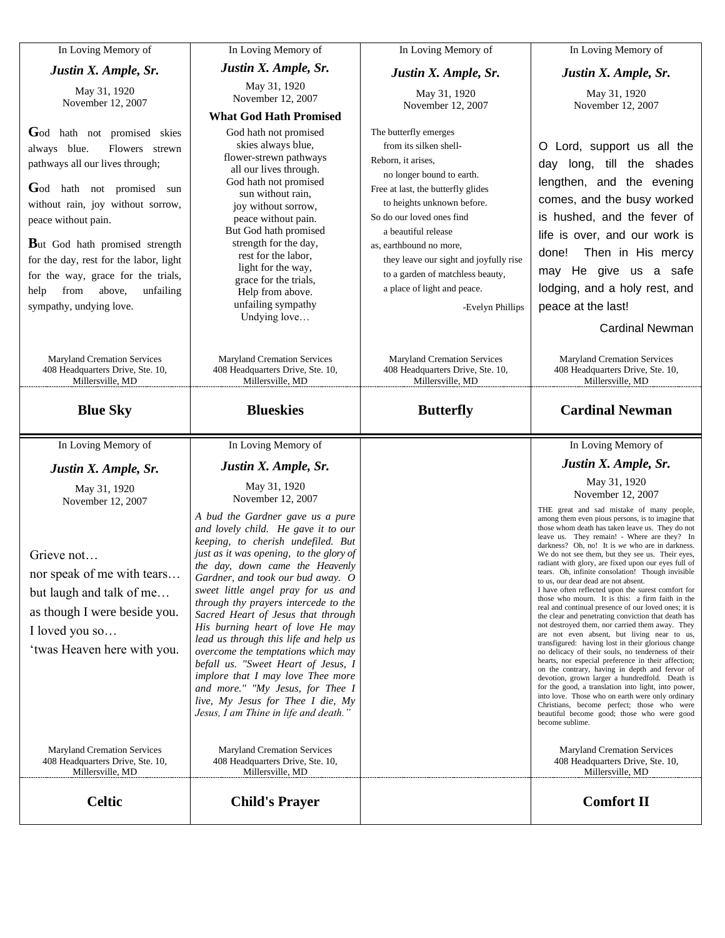| In Loving Memory of                                                                                                                                                                                                                                                                                                                                                                  | In Loving Memory of                                                                                                                                                                                                                                                                                                                                                                                                                                                                                                                                                                                                                                                                                         | In Loving Memory of                                                                                                                                                                                                                                                                                                                                                                    | In Loving Memory of                                                                                                                                                                                                                                                                                                                                                                                                                                                                                                                                                                                                                                                                                                                                                                                                                                                                                                                                                                                                                                                                                                                                                                                                                                                                                                            |
|--------------------------------------------------------------------------------------------------------------------------------------------------------------------------------------------------------------------------------------------------------------------------------------------------------------------------------------------------------------------------------------|-------------------------------------------------------------------------------------------------------------------------------------------------------------------------------------------------------------------------------------------------------------------------------------------------------------------------------------------------------------------------------------------------------------------------------------------------------------------------------------------------------------------------------------------------------------------------------------------------------------------------------------------------------------------------------------------------------------|----------------------------------------------------------------------------------------------------------------------------------------------------------------------------------------------------------------------------------------------------------------------------------------------------------------------------------------------------------------------------------------|--------------------------------------------------------------------------------------------------------------------------------------------------------------------------------------------------------------------------------------------------------------------------------------------------------------------------------------------------------------------------------------------------------------------------------------------------------------------------------------------------------------------------------------------------------------------------------------------------------------------------------------------------------------------------------------------------------------------------------------------------------------------------------------------------------------------------------------------------------------------------------------------------------------------------------------------------------------------------------------------------------------------------------------------------------------------------------------------------------------------------------------------------------------------------------------------------------------------------------------------------------------------------------------------------------------------------------|
| Justin X. Ample, Sr.                                                                                                                                                                                                                                                                                                                                                                 | Justin X. Ample, Sr.                                                                                                                                                                                                                                                                                                                                                                                                                                                                                                                                                                                                                                                                                        | Justin X. Ample, Sr.                                                                                                                                                                                                                                                                                                                                                                   | Justin X. Ample, Sr.                                                                                                                                                                                                                                                                                                                                                                                                                                                                                                                                                                                                                                                                                                                                                                                                                                                                                                                                                                                                                                                                                                                                                                                                                                                                                                           |
| May 31, 1920<br>November 12, 2007                                                                                                                                                                                                                                                                                                                                                    | May 31, 1920<br>November 12, 2007                                                                                                                                                                                                                                                                                                                                                                                                                                                                                                                                                                                                                                                                           | May 31, 1920                                                                                                                                                                                                                                                                                                                                                                           | May 31, 1920                                                                                                                                                                                                                                                                                                                                                                                                                                                                                                                                                                                                                                                                                                                                                                                                                                                                                                                                                                                                                                                                                                                                                                                                                                                                                                                   |
|                                                                                                                                                                                                                                                                                                                                                                                      | <b>What God Hath Promised</b>                                                                                                                                                                                                                                                                                                                                                                                                                                                                                                                                                                                                                                                                               | November 12, 2007                                                                                                                                                                                                                                                                                                                                                                      | November 12, 2007                                                                                                                                                                                                                                                                                                                                                                                                                                                                                                                                                                                                                                                                                                                                                                                                                                                                                                                                                                                                                                                                                                                                                                                                                                                                                                              |
| God hath not promised skies<br>always blue.<br>Flowers strewn<br>pathways all our lives through;<br>God hath not promised sun<br>without rain, joy without sorrow,<br>peace without pain.<br><b>But</b> God hath promised strength<br>for the day, rest for the labor, light<br>for the way, grace for the trials,<br>from<br>above,<br>help<br>unfailing<br>sympathy, undying love. | God hath not promised<br>skies always blue,<br>flower-strewn pathways<br>all our lives through.<br>God hath not promised<br>sun without rain,<br>joy without sorrow,<br>peace without pain.<br>But God hath promised<br>strength for the day,<br>rest for the labor,<br>light for the way,<br>grace for the trials,<br>Help from above.<br>unfailing sympathy<br>Undying love                                                                                                                                                                                                                                                                                                                               | The butterfly emerges<br>from its silken shell-<br>Reborn, it arises,<br>no longer bound to earth.<br>Free at last, the butterfly glides<br>to heights unknown before.<br>So do our loved ones find<br>a beautiful release<br>as, earthbound no more,<br>they leave our sight and joyfully rise<br>to a garden of matchless beauty,<br>a place of light and peace.<br>-Evelyn Phillips | O Lord, support us all the<br>day long, till the shades<br>lengthen, and the evening<br>comes, and the busy worked<br>is hushed, and the fever of<br>life is over, and our work is<br>Then in His mercy<br>done!<br>may He give us a safe<br>lodging, and a holy rest, and<br>peace at the last!                                                                                                                                                                                                                                                                                                                                                                                                                                                                                                                                                                                                                                                                                                                                                                                                                                                                                                                                                                                                                               |
| <b>Maryland Cremation Services</b><br>408 Headquarters Drive, Ste. 10,<br>Millersville, MD                                                                                                                                                                                                                                                                                           | <b>Maryland Cremation Services</b><br>408 Headquarters Drive, Ste. 10,<br>Millersville, MD                                                                                                                                                                                                                                                                                                                                                                                                                                                                                                                                                                                                                  | <b>Maryland Cremation Services</b><br>408 Headquarters Drive, Ste. 10,<br>Millersville, MD                                                                                                                                                                                                                                                                                             | <b>Cardinal Newman</b><br><b>Maryland Cremation Services</b><br>408 Headquarters Drive, Ste. 10,<br>Millersville, MD                                                                                                                                                                                                                                                                                                                                                                                                                                                                                                                                                                                                                                                                                                                                                                                                                                                                                                                                                                                                                                                                                                                                                                                                           |
| <b>Blue Sky</b>                                                                                                                                                                                                                                                                                                                                                                      | <b>Blueskies</b>                                                                                                                                                                                                                                                                                                                                                                                                                                                                                                                                                                                                                                                                                            | <b>Butterfly</b>                                                                                                                                                                                                                                                                                                                                                                       | <b>Cardinal Newman</b>                                                                                                                                                                                                                                                                                                                                                                                                                                                                                                                                                                                                                                                                                                                                                                                                                                                                                                                                                                                                                                                                                                                                                                                                                                                                                                         |
|                                                                                                                                                                                                                                                                                                                                                                                      |                                                                                                                                                                                                                                                                                                                                                                                                                                                                                                                                                                                                                                                                                                             |                                                                                                                                                                                                                                                                                                                                                                                        |                                                                                                                                                                                                                                                                                                                                                                                                                                                                                                                                                                                                                                                                                                                                                                                                                                                                                                                                                                                                                                                                                                                                                                                                                                                                                                                                |
| In Loving Memory of                                                                                                                                                                                                                                                                                                                                                                  | In Loving Memory of                                                                                                                                                                                                                                                                                                                                                                                                                                                                                                                                                                                                                                                                                         |                                                                                                                                                                                                                                                                                                                                                                                        | In Loving Memory of                                                                                                                                                                                                                                                                                                                                                                                                                                                                                                                                                                                                                                                                                                                                                                                                                                                                                                                                                                                                                                                                                                                                                                                                                                                                                                            |
| Justin X. Ample, Sr.                                                                                                                                                                                                                                                                                                                                                                 | Justin X. Ample, Sr.                                                                                                                                                                                                                                                                                                                                                                                                                                                                                                                                                                                                                                                                                        |                                                                                                                                                                                                                                                                                                                                                                                        | Justin X. Ample, Sr.                                                                                                                                                                                                                                                                                                                                                                                                                                                                                                                                                                                                                                                                                                                                                                                                                                                                                                                                                                                                                                                                                                                                                                                                                                                                                                           |
| May 31, 1920<br>November 12, 2007                                                                                                                                                                                                                                                                                                                                                    | May 31, 1920<br>November 12, 2007                                                                                                                                                                                                                                                                                                                                                                                                                                                                                                                                                                                                                                                                           |                                                                                                                                                                                                                                                                                                                                                                                        | May 31, 1920<br>November 12, 2007                                                                                                                                                                                                                                                                                                                                                                                                                                                                                                                                                                                                                                                                                                                                                                                                                                                                                                                                                                                                                                                                                                                                                                                                                                                                                              |
| Grieve not<br>nor speak of me with tears<br>but laugh and talk of me<br>as though I were beside you.<br>I loved you so<br>'twas Heaven here with you.<br><b>Maryland Cremation Services</b>                                                                                                                                                                                          | A bud the Gardner gave us a pure<br>and lovely child. He gave it to our<br>keeping, to cherish undefiled. But<br>just as it was opening, to the glory of<br>the day, down came the Heavenly<br>Gardner, and took our bud away. O<br>sweet little angel pray for us and<br>through thy prayers intercede to the<br>Sacred Heart of Jesus that through<br>His burning heart of love He may<br>lead us through this life and help us<br>overcome the temptations which may<br>befall us. "Sweet Heart of Jesus, I<br>implore that I may love Thee more<br>and more." "My Jesus, for Thee I<br>live, My Jesus for Thee I die, My<br>Jesus, I am Thine in life and death."<br><b>Maryland Cremation Services</b> |                                                                                                                                                                                                                                                                                                                                                                                        | THE great and sad mistake of many people,<br>among them even pious persons, is to imagine that<br>those whom death has taken leave us. They do not<br>leave us. They remain! - Where are they? In<br>darkness? Oh, no! It is we who are in darkness.<br>We do not see them, but they see us. Their eyes,<br>radiant with glory, are fixed upon our eyes full of<br>tears. Oh, infinite consolation! Though invisible<br>to us, our dear dead are not absent.<br>I have often reflected upon the surest comfort for<br>those who mourn. It is this: a firm faith in the<br>real and continual presence of our loved ones; it is<br>the clear and penetrating conviction that death has<br>not destroyed them, nor carried them away. They<br>are not even absent, but living near to us,<br>transfigured: having lost in their glorious change<br>no delicacy of their souls, no tenderness of their<br>hearts, nor especial preference in their affection;<br>on the contrary, having in depth and fervor of<br>devotion, grown larger a hundredfold. Death is<br>for the good, a translation into light, into power,<br>into love. Those who on earth were only ordinary<br>Christians, become perfect; those who were<br>beautiful become good; those who were good<br>become sublime.<br><b>Maryland Cremation Services</b> |
| 408 Headquarters Drive, Ste. 10,<br>Millersville, MD                                                                                                                                                                                                                                                                                                                                 | 408 Headquarters Drive, Ste. 10,<br>Millersville, MD                                                                                                                                                                                                                                                                                                                                                                                                                                                                                                                                                                                                                                                        |                                                                                                                                                                                                                                                                                                                                                                                        | 408 Headquarters Drive, Ste. 10,<br>Millersville, MD                                                                                                                                                                                                                                                                                                                                                                                                                                                                                                                                                                                                                                                                                                                                                                                                                                                                                                                                                                                                                                                                                                                                                                                                                                                                           |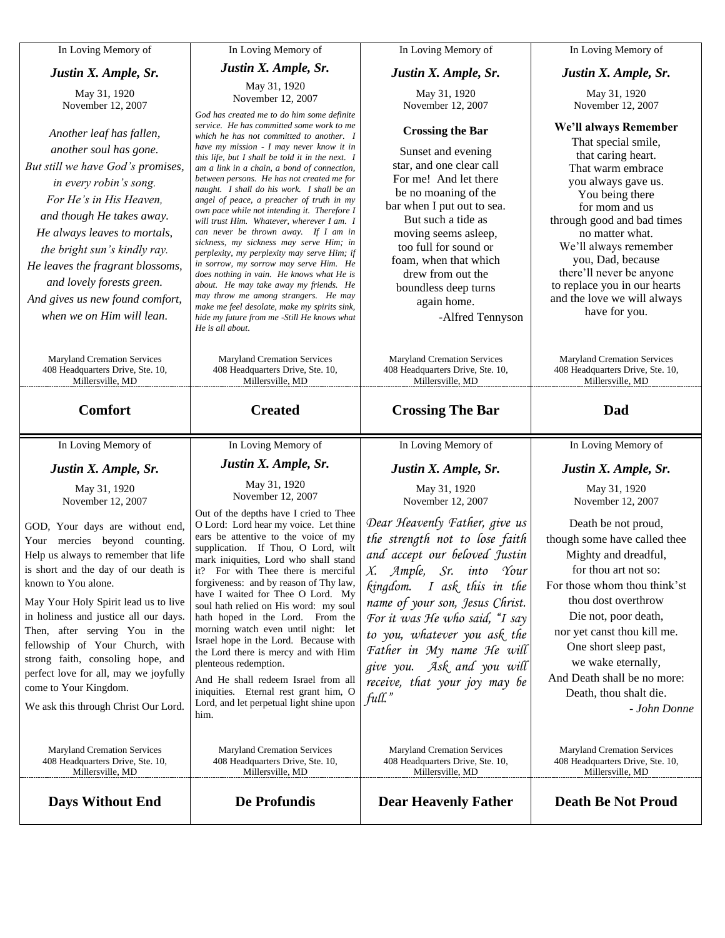| In Loving Memory of<br>Justin X. Ample, Sr.                                                |
|--------------------------------------------------------------------------------------------|
|                                                                                            |
|                                                                                            |
| May 31, 1920<br>November 12, 2007                                                          |
| We'll always Remember                                                                      |
| That special smile,<br>that caring heart.                                                  |
| That warm embrace                                                                          |
| you always gave us.                                                                        |
| You being there<br>for mom and us                                                          |
| through good and bad times                                                                 |
| no matter what.<br>We'll always remember                                                   |
| you, Dad, because                                                                          |
| there'll never be anyone                                                                   |
| to replace you in our hearts<br>and the love we will always                                |
|                                                                                            |
|                                                                                            |
| <b>Maryland Cremation Services</b><br>408 Headquarters Drive, Ste. 10,                     |
|                                                                                            |
| In Loving Memory of                                                                        |
| Justin X. Ample, Sr.                                                                       |
|                                                                                            |
| November 12, 2007                                                                          |
|                                                                                            |
| Death be not proud,<br>though some have called thee                                        |
| Mighty and dreadful,                                                                       |
| for thou art not so:                                                                       |
| For those whom thou think'st                                                               |
| thou dost overthrow                                                                        |
| Die not, poor death,                                                                       |
| nor yet canst thou kill me.                                                                |
| One short sleep past,                                                                      |
| we wake eternally,<br>And Death shall be no more:                                          |
| Death, thou shalt die.                                                                     |
| - John Donne                                                                               |
| <b>Maryland Cremation Services</b><br>408 Headquarters Drive, Ste. 10,<br>Millersville, MD |
| have for you.<br>Millersville, MD<br>May 31, 1920                                          |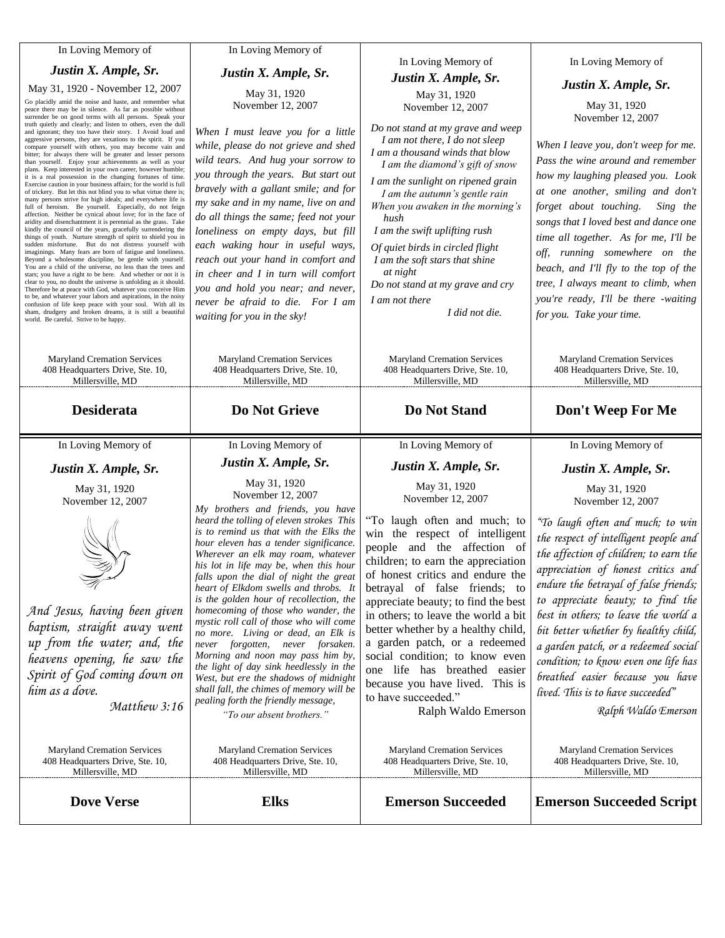| In Loving Memory of                                                                                                                                                                                                                                                                                                                                                                                                                                                                                                                                                                                                                                                                                                                                                                                                                                                                                                                                                                                                                                                                                                                                                                                                                                                                                                                                                                                                                                                                                                                                                                                                                                          | In Loving Memory of                                                                                                                                                                                                                                                                                                                                                                                                                                                                                                                                                                                                                                                                                                                             |                                                                                                                                                                                                                                                                                                                                                                                                                                                                                                                  |                                                                                                                                                                                                                                                                                                                                                                                                                                                                  |
|--------------------------------------------------------------------------------------------------------------------------------------------------------------------------------------------------------------------------------------------------------------------------------------------------------------------------------------------------------------------------------------------------------------------------------------------------------------------------------------------------------------------------------------------------------------------------------------------------------------------------------------------------------------------------------------------------------------------------------------------------------------------------------------------------------------------------------------------------------------------------------------------------------------------------------------------------------------------------------------------------------------------------------------------------------------------------------------------------------------------------------------------------------------------------------------------------------------------------------------------------------------------------------------------------------------------------------------------------------------------------------------------------------------------------------------------------------------------------------------------------------------------------------------------------------------------------------------------------------------------------------------------------------------|-------------------------------------------------------------------------------------------------------------------------------------------------------------------------------------------------------------------------------------------------------------------------------------------------------------------------------------------------------------------------------------------------------------------------------------------------------------------------------------------------------------------------------------------------------------------------------------------------------------------------------------------------------------------------------------------------------------------------------------------------|------------------------------------------------------------------------------------------------------------------------------------------------------------------------------------------------------------------------------------------------------------------------------------------------------------------------------------------------------------------------------------------------------------------------------------------------------------------------------------------------------------------|------------------------------------------------------------------------------------------------------------------------------------------------------------------------------------------------------------------------------------------------------------------------------------------------------------------------------------------------------------------------------------------------------------------------------------------------------------------|
|                                                                                                                                                                                                                                                                                                                                                                                                                                                                                                                                                                                                                                                                                                                                                                                                                                                                                                                                                                                                                                                                                                                                                                                                                                                                                                                                                                                                                                                                                                                                                                                                                                                              |                                                                                                                                                                                                                                                                                                                                                                                                                                                                                                                                                                                                                                                                                                                                                 | In Loving Memory of                                                                                                                                                                                                                                                                                                                                                                                                                                                                                              | In Loving Memory of                                                                                                                                                                                                                                                                                                                                                                                                                                              |
| Justin X. Ample, Sr.<br>May 31, 1920 - November 12, 2007                                                                                                                                                                                                                                                                                                                                                                                                                                                                                                                                                                                                                                                                                                                                                                                                                                                                                                                                                                                                                                                                                                                                                                                                                                                                                                                                                                                                                                                                                                                                                                                                     | Justin X. Ample, Sr.                                                                                                                                                                                                                                                                                                                                                                                                                                                                                                                                                                                                                                                                                                                            | Justin X. Ample, Sr.                                                                                                                                                                                                                                                                                                                                                                                                                                                                                             | Justin X. Ample, Sr.                                                                                                                                                                                                                                                                                                                                                                                                                                             |
| Go placidly amid the noise and haste, and remember what<br>peace there may be in silence. As far as possible without<br>surrender be on good terms with all persons. Speak your<br>truth quietly and clearly; and listen to others, even the dull                                                                                                                                                                                                                                                                                                                                                                                                                                                                                                                                                                                                                                                                                                                                                                                                                                                                                                                                                                                                                                                                                                                                                                                                                                                                                                                                                                                                            | May 31, 1920<br>November 12, 2007                                                                                                                                                                                                                                                                                                                                                                                                                                                                                                                                                                                                                                                                                                               | May 31, 1920<br>November 12, 2007                                                                                                                                                                                                                                                                                                                                                                                                                                                                                | May 31, 1920<br>November 12, 2007                                                                                                                                                                                                                                                                                                                                                                                                                                |
| and ignorant; they too have their story. I Avoid loud and<br>aggressive persons, they are vexations to the spirit. If you<br>compare yourself with others, you may become vain and<br>bitter; for always there will be greater and lesser persons<br>than yourself. Enjoy your achievements as well as your<br>plans. Keep interested in your own career, however humble;<br>it is a real possession in the changing fortunes of time.<br>Exercise caution in your business affairs; for the world is full<br>of trickery. But let this not blind you to what virtue there is;<br>many persons strive for high ideals; and everywhere life is<br>full of heroism. Be yourself. Especially, do not feign<br>affection. Neither be cynical about love; for in the face of<br>aridity and disenchantment it is perennial as the grass. Take<br>kindly the council of the years, gracefully surrendering the<br>things of youth. Nurture strength of spirit to shield you in<br>sudden misfortune. But do not distress yourself with<br>imaginings. Many fears are born of fatigue and loneliness.<br>Beyond a wholesome discipline, be gentle with yourself.<br>You are a child of the universe, no less than the trees and<br>stars; you have a right to be here. And whether or not it is<br>clear to you, no doubt the universe is unfolding as it should.<br>Therefore be at peace with God, whatever you conceive Him<br>to be, and whatever your labors and aspirations, in the noisy<br>confusion of life keep peace with your soul. With all its<br>sham, drudgery and broken dreams, it is still a beautiful<br>world. Be careful. Strive to be happy. | When I must leave you for a little<br>while, please do not grieve and shed<br>wild tears. And hug your sorrow to<br>you through the years. But start out<br>bravely with a gallant smile; and for<br>my sake and in my name, live on and<br>do all things the same; feed not your<br>loneliness on empty days, but fill<br>each waking hour in useful ways,<br>reach out your hand in comfort and<br>in cheer and I in turn will comfort<br>you and hold you near; and never,<br>never be afraid to die. For I am<br>waiting for you in the sky!                                                                                                                                                                                                | Do not stand at my grave and weep<br>I am not there, I do not sleep<br>I am a thousand winds that blow<br>I am the diamond's gift of snow<br>I am the sunlight on ripened grain<br>I am the autumn's gentle rain<br>When you awaken in the morning's<br>hush<br>I am the swift uplifting rush<br>Of quiet birds in circled flight<br>I am the soft stars that shine<br>at night<br>Do not stand at my grave and cry<br>I am not there<br>I did not die.                                                          | When I leave you, don't weep for me.<br>Pass the wine around and remember<br>how my laughing pleased you. Look<br>at one another, smiling and don't<br>forget about touching.<br>Sing the<br>songs that I loved best and dance one<br>time all together. As for me, I'll be<br>off, running somewhere on the<br>beach, and I'll fly to the top of the<br>tree, I always meant to climb, when<br>you're ready, I'll be there -waiting<br>for you. Take your time. |
| <b>Maryland Cremation Services</b><br>408 Headquarters Drive, Ste. 10,<br>Millersville, MD                                                                                                                                                                                                                                                                                                                                                                                                                                                                                                                                                                                                                                                                                                                                                                                                                                                                                                                                                                                                                                                                                                                                                                                                                                                                                                                                                                                                                                                                                                                                                                   | <b>Maryland Cremation Services</b><br>408 Headquarters Drive, Ste. 10,<br>Millersville, MD                                                                                                                                                                                                                                                                                                                                                                                                                                                                                                                                                                                                                                                      | <b>Maryland Cremation Services</b><br>408 Headquarters Drive, Ste. 10,<br>Millersville, MD                                                                                                                                                                                                                                                                                                                                                                                                                       | <b>Maryland Cremation Services</b><br>408 Headquarters Drive, Ste. 10,<br>Millersville, MD                                                                                                                                                                                                                                                                                                                                                                       |
| <b>Desiderata</b>                                                                                                                                                                                                                                                                                                                                                                                                                                                                                                                                                                                                                                                                                                                                                                                                                                                                                                                                                                                                                                                                                                                                                                                                                                                                                                                                                                                                                                                                                                                                                                                                                                            | Do Not Grieve                                                                                                                                                                                                                                                                                                                                                                                                                                                                                                                                                                                                                                                                                                                                   | Do Not Stand                                                                                                                                                                                                                                                                                                                                                                                                                                                                                                     | Don't Weep For Me                                                                                                                                                                                                                                                                                                                                                                                                                                                |
|                                                                                                                                                                                                                                                                                                                                                                                                                                                                                                                                                                                                                                                                                                                                                                                                                                                                                                                                                                                                                                                                                                                                                                                                                                                                                                                                                                                                                                                                                                                                                                                                                                                              |                                                                                                                                                                                                                                                                                                                                                                                                                                                                                                                                                                                                                                                                                                                                                 |                                                                                                                                                                                                                                                                                                                                                                                                                                                                                                                  |                                                                                                                                                                                                                                                                                                                                                                                                                                                                  |
| In Loving Memory of                                                                                                                                                                                                                                                                                                                                                                                                                                                                                                                                                                                                                                                                                                                                                                                                                                                                                                                                                                                                                                                                                                                                                                                                                                                                                                                                                                                                                                                                                                                                                                                                                                          | In Loving Memory of                                                                                                                                                                                                                                                                                                                                                                                                                                                                                                                                                                                                                                                                                                                             | In Loving Memory of                                                                                                                                                                                                                                                                                                                                                                                                                                                                                              | In Loving Memory of                                                                                                                                                                                                                                                                                                                                                                                                                                              |
|                                                                                                                                                                                                                                                                                                                                                                                                                                                                                                                                                                                                                                                                                                                                                                                                                                                                                                                                                                                                                                                                                                                                                                                                                                                                                                                                                                                                                                                                                                                                                                                                                                                              | Justin X. Ample, Sr.                                                                                                                                                                                                                                                                                                                                                                                                                                                                                                                                                                                                                                                                                                                            | Justin X. Ample, Sr.                                                                                                                                                                                                                                                                                                                                                                                                                                                                                             |                                                                                                                                                                                                                                                                                                                                                                                                                                                                  |
| Justin X. Ample, Sr.<br>May 31, 1920<br>November 12, 2007                                                                                                                                                                                                                                                                                                                                                                                                                                                                                                                                                                                                                                                                                                                                                                                                                                                                                                                                                                                                                                                                                                                                                                                                                                                                                                                                                                                                                                                                                                                                                                                                    | May 31, 1920<br>November 12, 2007<br>My brothers and friends, you have                                                                                                                                                                                                                                                                                                                                                                                                                                                                                                                                                                                                                                                                          | May 31, 1920<br>November 12, 2007                                                                                                                                                                                                                                                                                                                                                                                                                                                                                | Justin X. Ample, Sr.<br>May 31, 1920<br>November 12, 2007                                                                                                                                                                                                                                                                                                                                                                                                        |
| And Jesus, having been given<br>baptism, straight away went<br>up from the water; and, the<br>heavens opening, he saw the<br>Spirit of God coming down on<br>him as a dove.<br>Matthew 3:16                                                                                                                                                                                                                                                                                                                                                                                                                                                                                                                                                                                                                                                                                                                                                                                                                                                                                                                                                                                                                                                                                                                                                                                                                                                                                                                                                                                                                                                                  | heard the tolling of eleven strokes This<br>is to remind us that with the Elks the<br>hour eleven has a tender significance.<br>Wherever an elk may roam, whatever<br>his lot in life may be, when this hour<br>falls upon the dial of night the great<br>heart of Elkdom swells and throbs. It<br>is the golden hour of recollection, the<br>homecoming of those who wander, the<br>mystic roll call of those who will come<br>no more. Living or dead, an Elk is<br>never forgotten, never forsaken.<br>Morning and noon may pass him by,<br>the light of day sink heedlessly in the<br>West, but ere the shadows of midnight<br>shall fall, the chimes of memory will be<br>pealing forth the friendly message,<br>"To our absent brothers." | "To laugh often and much; to<br>win the respect of intelligent<br>people and the affection of<br>children; to earn the appreciation<br>of honest critics and endure the<br>betrayal of false friends; to<br>appreciate beauty; to find the best<br>in others; to leave the world a bit<br>better whether by a healthy child,<br>a garden patch, or a redeemed<br>social condition; to know even<br>one life has breathed easier<br>because you have lived. This is<br>to have succeeded."<br>Ralph Waldo Emerson | the affection of children; to earn the<br>endure the betrayal of false friends;<br>to appreciate beauty; to find the<br>best in others; to leave the world a<br>bit better whether by healthy child,<br>condition; to know even one life has<br>breathed easier because you have<br>lived. This is to have succeeded"<br>Ralph Waldo Emerson                                                                                                                     |
| <b>Maryland Cremation Services</b><br>408 Headquarters Drive, Ste. 10,<br>Millersville, MD                                                                                                                                                                                                                                                                                                                                                                                                                                                                                                                                                                                                                                                                                                                                                                                                                                                                                                                                                                                                                                                                                                                                                                                                                                                                                                                                                                                                                                                                                                                                                                   | <b>Maryland Cremation Services</b><br>408 Headquarters Drive, Ste. 10,<br>Millersville, MD                                                                                                                                                                                                                                                                                                                                                                                                                                                                                                                                                                                                                                                      | <b>Maryland Cremation Services</b><br>408 Headquarters Drive, Ste. 10,<br>Millersville, MD                                                                                                                                                                                                                                                                                                                                                                                                                       | "To laugh often and much; to win<br>the respect of intelligent people and<br>appreciation of honest critics and<br>a garden patch, or a redeemed social<br><b>Maryland Cremation Services</b><br>408 Headquarters Drive, Ste. 10,<br>Millersville, MD                                                                                                                                                                                                            |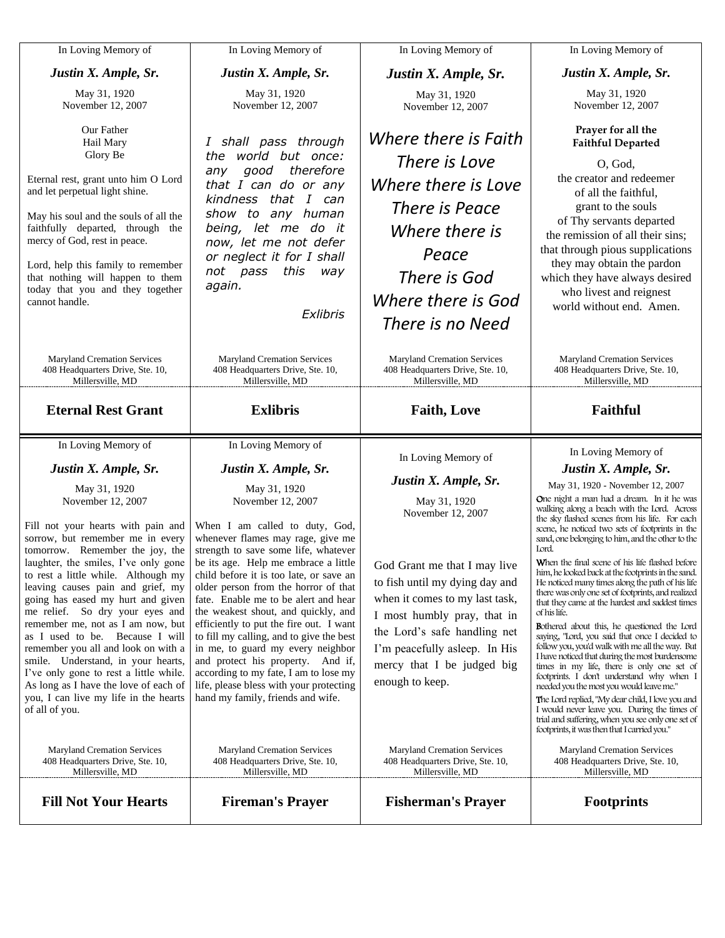| In Loving Memory of                                                                                                                                                                                                                                                                                                                                                                                                                                                                                                                                                                                                                                                                          | In Loving Memory of                                                                                                                                                                                                                                                                                                                                                                                                                                                                                                                                                                                                                                                                                 | In Loving Memory of                                                                                                                                                                                                                                                                                                                   | In Loving Memory of                                                                                                                                                                                                                                                                                                                                                                                                                                                                                                                                                                                                                                                                                                                                                                                                                                                                                                                                                                                                                                                                                                                                                                               |
|----------------------------------------------------------------------------------------------------------------------------------------------------------------------------------------------------------------------------------------------------------------------------------------------------------------------------------------------------------------------------------------------------------------------------------------------------------------------------------------------------------------------------------------------------------------------------------------------------------------------------------------------------------------------------------------------|-----------------------------------------------------------------------------------------------------------------------------------------------------------------------------------------------------------------------------------------------------------------------------------------------------------------------------------------------------------------------------------------------------------------------------------------------------------------------------------------------------------------------------------------------------------------------------------------------------------------------------------------------------------------------------------------------------|---------------------------------------------------------------------------------------------------------------------------------------------------------------------------------------------------------------------------------------------------------------------------------------------------------------------------------------|---------------------------------------------------------------------------------------------------------------------------------------------------------------------------------------------------------------------------------------------------------------------------------------------------------------------------------------------------------------------------------------------------------------------------------------------------------------------------------------------------------------------------------------------------------------------------------------------------------------------------------------------------------------------------------------------------------------------------------------------------------------------------------------------------------------------------------------------------------------------------------------------------------------------------------------------------------------------------------------------------------------------------------------------------------------------------------------------------------------------------------------------------------------------------------------------------|
| Justin X. Ample, Sr.                                                                                                                                                                                                                                                                                                                                                                                                                                                                                                                                                                                                                                                                         | Justin X. Ample, Sr.                                                                                                                                                                                                                                                                                                                                                                                                                                                                                                                                                                                                                                                                                | Justin X. Ample, Sr.                                                                                                                                                                                                                                                                                                                  | Justin X. Ample, Sr.                                                                                                                                                                                                                                                                                                                                                                                                                                                                                                                                                                                                                                                                                                                                                                                                                                                                                                                                                                                                                                                                                                                                                                              |
| May 31, 1920<br>November 12, 2007                                                                                                                                                                                                                                                                                                                                                                                                                                                                                                                                                                                                                                                            | May 31, 1920<br>November 12, 2007                                                                                                                                                                                                                                                                                                                                                                                                                                                                                                                                                                                                                                                                   | May 31, 1920<br>November 12, 2007                                                                                                                                                                                                                                                                                                     | May 31, 1920<br>November 12, 2007                                                                                                                                                                                                                                                                                                                                                                                                                                                                                                                                                                                                                                                                                                                                                                                                                                                                                                                                                                                                                                                                                                                                                                 |
| Our Father<br>Hail Mary<br>Glory Be<br>Eternal rest, grant unto him O Lord<br>and let perpetual light shine.<br>May his soul and the souls of all the<br>faithfully departed, through the<br>mercy of God, rest in peace.<br>Lord, help this family to remember<br>that nothing will happen to them<br>today that you and they together<br>cannot handle.                                                                                                                                                                                                                                                                                                                                    | I shall pass through<br>the world but once:<br>good<br>therefore<br>any<br>that I can do or any<br>kindness that I can<br>show to any human<br>being, let me do it<br>now, let me not defer<br>or neglect it for I shall<br>not pass<br>this<br>way<br>again.<br>Exlibris                                                                                                                                                                                                                                                                                                                                                                                                                           | Where there is Faith<br>There is Love<br>Where there is Love<br>There is Peace<br>Where there is<br>Peace<br>There is God<br>Where there is God<br>There is no Need                                                                                                                                                                   | Prayer for all the<br><b>Faithful Departed</b><br>O, God,<br>the creator and redeemer<br>of all the faithful,<br>grant to the souls<br>of Thy servants departed<br>the remission of all their sins;<br>that through pious supplications<br>they may obtain the pardon<br>which they have always desired<br>who livest and reignest<br>world without end. Amen.                                                                                                                                                                                                                                                                                                                                                                                                                                                                                                                                                                                                                                                                                                                                                                                                                                    |
| <b>Maryland Cremation Services</b><br>408 Headquarters Drive, Ste. 10,<br>Millersville, MD                                                                                                                                                                                                                                                                                                                                                                                                                                                                                                                                                                                                   | <b>Maryland Cremation Services</b><br>408 Headquarters Drive, Ste. 10,<br>Millersville, MD                                                                                                                                                                                                                                                                                                                                                                                                                                                                                                                                                                                                          | <b>Maryland Cremation Services</b><br>408 Headquarters Drive, Ste. 10,<br>Millersville, MD                                                                                                                                                                                                                                            | <b>Maryland Cremation Services</b><br>408 Headquarters Drive, Ste. 10,<br>Millersville, MD                                                                                                                                                                                                                                                                                                                                                                                                                                                                                                                                                                                                                                                                                                                                                                                                                                                                                                                                                                                                                                                                                                        |
| <b>Eternal Rest Grant</b>                                                                                                                                                                                                                                                                                                                                                                                                                                                                                                                                                                                                                                                                    | <b>Exlibris</b>                                                                                                                                                                                                                                                                                                                                                                                                                                                                                                                                                                                                                                                                                     | <b>Faith, Love</b>                                                                                                                                                                                                                                                                                                                    | <b>Faithful</b>                                                                                                                                                                                                                                                                                                                                                                                                                                                                                                                                                                                                                                                                                                                                                                                                                                                                                                                                                                                                                                                                                                                                                                                   |
|                                                                                                                                                                                                                                                                                                                                                                                                                                                                                                                                                                                                                                                                                              |                                                                                                                                                                                                                                                                                                                                                                                                                                                                                                                                                                                                                                                                                                     |                                                                                                                                                                                                                                                                                                                                       |                                                                                                                                                                                                                                                                                                                                                                                                                                                                                                                                                                                                                                                                                                                                                                                                                                                                                                                                                                                                                                                                                                                                                                                                   |
| In Loving Memory of<br>Justin X. Ample, Sr.<br>May 31, 1920<br>November 12, 2007<br>Fill not your hearts with pain and<br>sorrow, but remember me in every<br>tomorrow. Remember the joy, the<br>laughter, the smiles, I've only gone<br>to rest a little while. Although my<br>leaving causes pain and grief, my<br>going has eased my hurt and given<br>me relief. So dry your eyes and<br>remember me, not as I am now, but<br>as I used to be. Because I will<br>remember you all and look on with a<br>smile. Understand, in your hearts,<br>I've only gone to rest a little while.<br>As long as I have the love of each of<br>you, I can live my life in the hearts<br>of all of you. | In Loving Memory of<br>Justin X. Ample, Sr.<br>May 31, 1920<br>November 12, 2007<br>When I am called to duty, God,<br>whenever flames may rage, give me<br>strength to save some life, whatever<br>be its age. Help me embrace a little<br>child before it is too late, or save an<br>older person from the horror of that<br>fate. Enable me to be alert and hear<br>the weakest shout, and quickly, and<br>efficiently to put the fire out. I want<br>to fill my calling, and to give the best<br>in me, to guard my every neighbor<br>and protect his property. And if,<br>according to my fate, I am to lose my<br>life, please bless with your protecting<br>hand my family, friends and wife. | In Loving Memory of<br>Justin X. Ample, Sr.<br>May 31, 1920<br>November 12, 2007<br>God Grant me that I may live<br>to fish until my dying day and<br>when it comes to my last task,<br>I most humbly pray, that in<br>the Lord's safe handling net<br>I'm peacefully asleep. In His<br>mercy that I be judged big<br>enough to keep. | In Loving Memory of<br>Justin X. Ample, Sr.<br>May 31, 1920 - November 12, 2007<br>One night a man had a dream. In it he was<br>walking along a beach with the Lord. Across<br>the sky flashed scenes from his life. For each<br>scene, he noticed two sets of footprints in the<br>sand, one belonging to him, and the other to the<br>Lord.<br>When the final scene of his life flashed before<br>him, he looked back at the footprints in the sand.<br>He noticed many times along the path of his life<br>there was only one set of footprints, and realized<br>that they came at the hardest and saddest times<br>of his life.<br><b>B</b> othered about this, he questioned the Lord<br>saying, "Lord, you said that once I decided to<br>follow you, you'd walk with me all the way. But<br>I have noticed that during the most burdensome<br>times in my life, there is only one set of<br>footprints. I don't understand why when I<br>needed you the most you would leave me."<br>The Lord replied, "My dear child, I love you and<br>I would never leave you. During the times of<br>trial and suffering, when you see only one set of<br>footprints, it was then that I carried you." |
| <b>Maryland Cremation Services</b><br>408 Headquarters Drive, Ste. 10,<br>Millersville, MD                                                                                                                                                                                                                                                                                                                                                                                                                                                                                                                                                                                                   | <b>Maryland Cremation Services</b><br>408 Headquarters Drive, Ste. 10,<br>Millersville, MD                                                                                                                                                                                                                                                                                                                                                                                                                                                                                                                                                                                                          | <b>Maryland Cremation Services</b><br>408 Headquarters Drive, Ste. 10,<br>Millersville, MD                                                                                                                                                                                                                                            | <b>Maryland Cremation Services</b><br>408 Headquarters Drive, Ste. 10,<br>Millersville, MD                                                                                                                                                                                                                                                                                                                                                                                                                                                                                                                                                                                                                                                                                                                                                                                                                                                                                                                                                                                                                                                                                                        |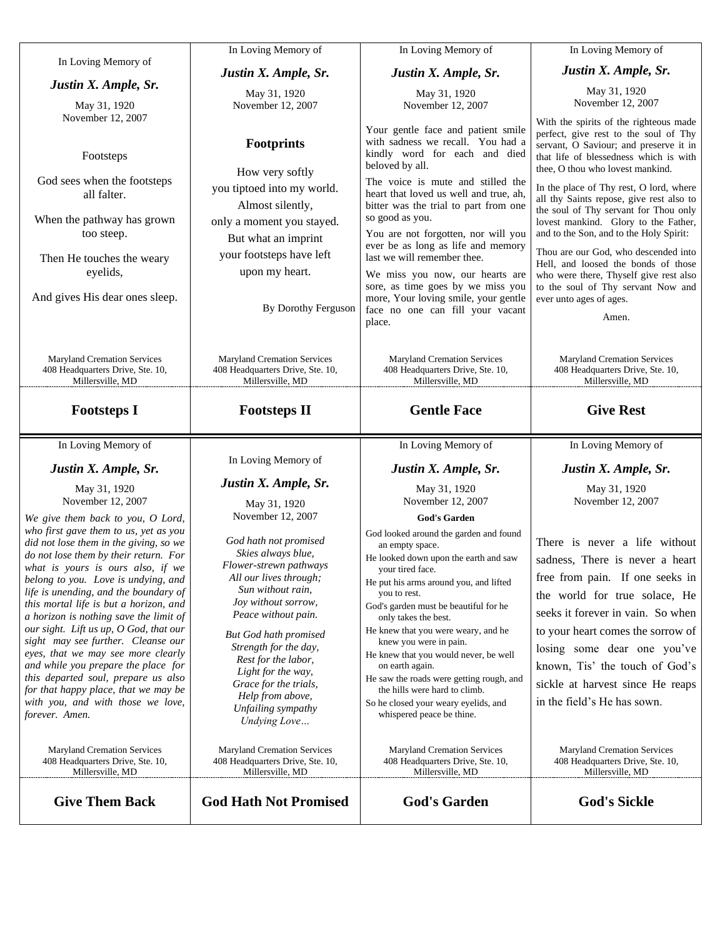|                                                                                                                                                                                                                                                                                                                                                                                                                  | In Loving Memory of                                                                                                                                                                                                     | In Loving Memory of                                                                                                                                                                                                                                                                                                      | In Loving Memory of                                                                                                                                                                                                                                                                                                         |
|------------------------------------------------------------------------------------------------------------------------------------------------------------------------------------------------------------------------------------------------------------------------------------------------------------------------------------------------------------------------------------------------------------------|-------------------------------------------------------------------------------------------------------------------------------------------------------------------------------------------------------------------------|--------------------------------------------------------------------------------------------------------------------------------------------------------------------------------------------------------------------------------------------------------------------------------------------------------------------------|-----------------------------------------------------------------------------------------------------------------------------------------------------------------------------------------------------------------------------------------------------------------------------------------------------------------------------|
| In Loving Memory of                                                                                                                                                                                                                                                                                                                                                                                              | Justin X. Ample, Sr.                                                                                                                                                                                                    | Justin X. Ample, Sr.                                                                                                                                                                                                                                                                                                     | Justin X. Ample, Sr.                                                                                                                                                                                                                                                                                                        |
| Justin X. Ample, Sr.                                                                                                                                                                                                                                                                                                                                                                                             | May 31, 1920                                                                                                                                                                                                            | May 31, 1920                                                                                                                                                                                                                                                                                                             | May 31, 1920                                                                                                                                                                                                                                                                                                                |
| May 31, 1920<br>November 12, 2007                                                                                                                                                                                                                                                                                                                                                                                | November 12, 2007                                                                                                                                                                                                       | November 12, 2007                                                                                                                                                                                                                                                                                                        | November 12, 2007<br>With the spirits of the righteous made                                                                                                                                                                                                                                                                 |
| Footsteps<br>God sees when the footsteps<br>all falter.                                                                                                                                                                                                                                                                                                                                                          | <b>Footprints</b><br>How very softly<br>you tiptoed into my world.                                                                                                                                                      | Your gentle face and patient smile<br>with sadness we recall. You had a<br>kindly word for each and died<br>beloved by all.<br>The voice is mute and stilled the<br>heart that loved us well and true, ah,                                                                                                               | perfect, give rest to the soul of Thy<br>servant, O Saviour; and preserve it in<br>that life of blessedness which is with<br>thee, O thou who lovest mankind.<br>In the place of Thy rest, O lord, where<br>all thy Saints repose, give rest also to                                                                        |
| When the pathway has grown<br>too steep.<br>Then He touches the weary<br>eyelids,<br>And gives His dear ones sleep.                                                                                                                                                                                                                                                                                              | Almost silently,<br>only a moment you stayed.<br>But what an imprint<br>your footsteps have left<br>upon my heart.<br>By Dorothy Ferguson                                                                               | bitter was the trial to part from one<br>so good as you.<br>You are not forgotten, nor will you<br>ever be as long as life and memory<br>last we will remember thee.<br>We miss you now, our hearts are<br>sore, as time goes by we miss you<br>more, Your loving smile, your gentle<br>face no one can fill your vacant | the soul of Thy servant for Thou only<br>lovest mankind. Glory to the Father,<br>and to the Son, and to the Holy Spirit:<br>Thou are our God, who descended into<br>Hell, and loosed the bonds of those<br>who were there, Thyself give rest also<br>to the soul of Thy servant Now and<br>ever unto ages of ages.<br>Amen. |
| <b>Maryland Cremation Services</b><br>408 Headquarters Drive, Ste. 10,<br>Millersville, MD                                                                                                                                                                                                                                                                                                                       | <b>Maryland Cremation Services</b><br>408 Headquarters Drive, Ste. 10,<br>Millersville, MD                                                                                                                              | place.<br><b>Maryland Cremation Services</b><br>408 Headquarters Drive, Ste. 10,<br>Millersville, MD                                                                                                                                                                                                                     | <b>Maryland Cremation Services</b><br>408 Headquarters Drive, Ste. 10,<br>Millersville, MD                                                                                                                                                                                                                                  |
| <b>Footsteps I</b>                                                                                                                                                                                                                                                                                                                                                                                               | <b>Footsteps II</b>                                                                                                                                                                                                     | <b>Gentle Face</b>                                                                                                                                                                                                                                                                                                       | <b>Give Rest</b>                                                                                                                                                                                                                                                                                                            |
|                                                                                                                                                                                                                                                                                                                                                                                                                  |                                                                                                                                                                                                                         |                                                                                                                                                                                                                                                                                                                          |                                                                                                                                                                                                                                                                                                                             |
| In Loving Memory of                                                                                                                                                                                                                                                                                                                                                                                              |                                                                                                                                                                                                                         | In Loving Memory of                                                                                                                                                                                                                                                                                                      | In Loving Memory of                                                                                                                                                                                                                                                                                                         |
| Justin X. Ample, Sr.                                                                                                                                                                                                                                                                                                                                                                                             | In Loving Memory of                                                                                                                                                                                                     | Justin X. Ample, Sr.                                                                                                                                                                                                                                                                                                     | Justin X. Ample, Sr.                                                                                                                                                                                                                                                                                                        |
| May 31, 1920                                                                                                                                                                                                                                                                                                                                                                                                     | Justin X. Ample, Sr.                                                                                                                                                                                                    | May 31, 1920                                                                                                                                                                                                                                                                                                             | May 31, 1920                                                                                                                                                                                                                                                                                                                |
| November 12, 2007                                                                                                                                                                                                                                                                                                                                                                                                | May 31, 1920                                                                                                                                                                                                            | November 12, 2007                                                                                                                                                                                                                                                                                                        | November 12, 2007                                                                                                                                                                                                                                                                                                           |
| We give them back to you, O Lord,<br>who first gave them to us, yet as you<br>did not lose them in the giving, so we<br>do not lose them by their return. For<br>what is yours is ours also, if we<br>belong to you. Love is undying, and<br>life is unending, and the boundary of<br>this mortal life is but a horizon, and<br>a horizon is nothing save the limit of<br>our sight. Lift us up, O God, that our | November 12, 2007<br>God hath not promised<br>Skies always blue,<br>Flower-strewn pathways<br>All our lives through;<br>Sun without rain,<br>Joy without sorrow,<br>Peace without pain.<br><b>But God hath promised</b> | <b>God's Garden</b><br>God looked around the garden and found<br>an empty space.<br>He looked down upon the earth and saw<br>your tired face.<br>He put his arms around you, and lifted<br>you to rest.<br>God's garden must be beautiful for he<br>only takes the best.<br>He knew that you were weary, and he          | There is never a life without<br>sadness. There is never a heart<br>free from pain. If one seeks in<br>the world for true solace, He<br>seeks it forever in vain. So when<br>to your heart comes the sorrow of                                                                                                              |
| sight may see further. Cleanse our<br>eyes, that we may see more clearly<br>and while you prepare the place for<br>this departed soul, prepare us also<br>for that happy place, that we may be<br>with you, and with those we love,<br>forever. Amen.                                                                                                                                                            | Strength for the day,<br>Rest for the labor,<br>Light for the way,<br>Grace for the trials,<br>Help from above,<br>Unfailing sympathy<br>Undying Love                                                                   | knew you were in pain.<br>He knew that you would never, be well<br>on earth again.<br>He saw the roads were getting rough, and<br>the hills were hard to climb.<br>So he closed your weary eyelids, and<br>whispered peace be thine.                                                                                     | losing some dear one you've<br>known, Tis' the touch of God's<br>sickle at harvest since He reaps<br>in the field's He has sown.                                                                                                                                                                                            |
| <b>Maryland Cremation Services</b><br>408 Headquarters Drive, Ste. 10,<br>Millersville, MD                                                                                                                                                                                                                                                                                                                       | <b>Maryland Cremation Services</b><br>408 Headquarters Drive, Ste. 10,<br>Millersville, MD                                                                                                                              | <b>Maryland Cremation Services</b><br>408 Headquarters Drive, Ste. 10,<br>Millersville, MD                                                                                                                                                                                                                               | <b>Maryland Cremation Services</b><br>408 Headquarters Drive, Ste. 10,<br>Millersville, MD                                                                                                                                                                                                                                  |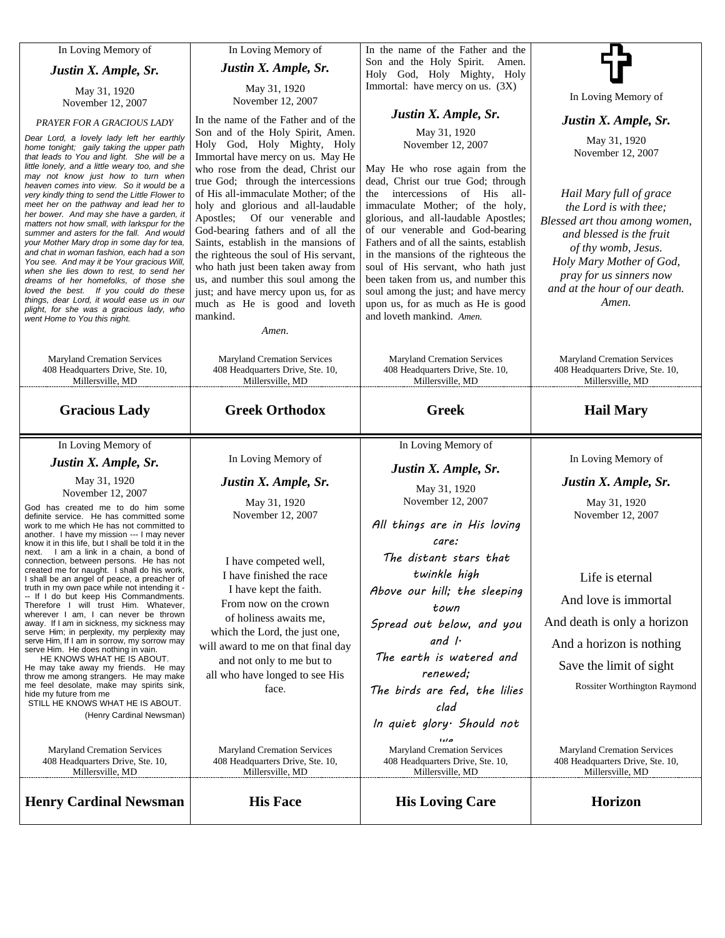|                                                                                                | In Loving Memory of                                                       | In the name of the Father and the                                         |                                                                        |
|------------------------------------------------------------------------------------------------|---------------------------------------------------------------------------|---------------------------------------------------------------------------|------------------------------------------------------------------------|
| Justin X. Ample, Sr.                                                                           | Justin X. Ample, Sr.                                                      | Son and the Holy Spirit.<br>Amen.<br>Holy God, Holy Mighty, Holy          |                                                                        |
| May 31, 1920                                                                                   | May 31, 1920                                                              | Immortal: have mercy on us. (3X)                                          | In Loving Memory of                                                    |
| November 12, 2007                                                                              | November 12, 2007                                                         | Justin X. Ample, Sr.                                                      |                                                                        |
| PRAYER FOR A GRACIOUS LADY                                                                     | In the name of the Father and of the<br>Son and of the Holy Spirit, Amen. |                                                                           | Justin X. Ample, Sr.                                                   |
| Dear Lord, a lovely lady left her earthly<br>home tonight; gaily taking the upper path         | Holy God, Holy Mighty, Holy                                               | May 31, 1920<br>November 12, 2007                                         | May 31, 1920                                                           |
| that leads to You and light. She will be a                                                     | Immortal have mercy on us. May He                                         |                                                                           | November 12, 2007                                                      |
| little lonely, and a little weary too, and she<br>may not know just how to turn when           | who rose from the dead, Christ our<br>true God; through the intercessions | May He who rose again from the<br>dead, Christ our true God; through      |                                                                        |
| heaven comes into view. So it would be a<br>very kindly thing to send the Little Flower to     | of His all-immaculate Mother; of the                                      | the intercessions of His all-                                             | Hail Mary full of grace                                                |
| meet her on the pathway and lead her to<br>her bower. And may she have a garden, it            | holy and glorious and all-laudable                                        | immaculate Mother; of the holy,                                           | the Lord is with thee;                                                 |
| matters not how small, with larkspur for the                                                   | Apostles; Of our venerable and<br>God-bearing fathers and of all the      | glorious, and all-laudable Apostles;<br>of our venerable and God-bearing  | Blessed art thou among women,                                          |
| summer and asters for the fall. And would<br>your Mother Mary drop in some day for tea,        | Saints, establish in the mansions of                                      | Fathers and of all the saints, establish                                  | and blessed is the fruit                                               |
| and chat in woman fashion, each had a son<br>You see. And may it be Your gracious Will,        | the righteous the soul of His servant,                                    | in the mansions of the righteous the                                      | of thy womb, Jesus.<br>Holy Mary Mother of God,                        |
| when she lies down to rest, to send her<br>dreams of her homefolks, of those she               | who hath just been taken away from<br>us, and number this soul among the  | soul of His servant, who hath just<br>been taken from us, and number this | pray for us sinners now                                                |
| loved the best. If you could do these                                                          | just; and have mercy upon us, for as                                      | soul among the just; and have mercy                                       | and at the hour of our death.                                          |
| things, dear Lord, it would ease us in our<br>plight, for she was a gracious lady, who         | much as He is good and loveth                                             | upon us, for as much as He is good                                        | Amen.                                                                  |
| went Home to You this night.                                                                   | mankind.<br>Amen.                                                         | and loveth mankind. Amen.                                                 |                                                                        |
|                                                                                                |                                                                           |                                                                           |                                                                        |
| <b>Maryland Cremation Services</b>                                                             | <b>Maryland Cremation Services</b>                                        | <b>Maryland Cremation Services</b>                                        | <b>Maryland Cremation Services</b>                                     |
| 408 Headquarters Drive, Ste. 10,<br>Millersville, MD                                           | 408 Headquarters Drive, Ste. 10,<br>Millersville, MD                      | 408 Headquarters Drive, Ste. 10,<br>Millersville, MD                      | 408 Headquarters Drive, Ste. 10,<br>Millersville, MD                   |
|                                                                                                |                                                                           |                                                                           |                                                                        |
| <b>Gracious Lady</b>                                                                           | <b>Greek Orthodox</b>                                                     | <b>Greek</b>                                                              | <b>Hail Mary</b>                                                       |
|                                                                                                |                                                                           |                                                                           |                                                                        |
| In Loving Memory of                                                                            |                                                                           | In Loving Memory of                                                       |                                                                        |
|                                                                                                |                                                                           |                                                                           |                                                                        |
| Justin X. Ample, Sr.                                                                           | In Loving Memory of                                                       | Justin X. Ample, Sr.                                                      | In Loving Memory of                                                    |
| May 31, 1920                                                                                   | Justin X. Ample, Sr.                                                      |                                                                           | Justin X. Ample, Sr.                                                   |
| November 12, 2007                                                                              | May 31, 1920                                                              | May 31, 1920<br>November 12, 2007                                         | May 31, 1920                                                           |
| God has created me to do him some<br>definite service. He has committed some                   | November 12, 2007                                                         |                                                                           | November 12, 2007                                                      |
| work to me which He has not committed to<br>another. I have my mission --- I may never         |                                                                           | All things are in His loving                                              |                                                                        |
| know it in this life, but I shall be told it in the<br>next. I am a link in a chain, a bond of |                                                                           | care:                                                                     |                                                                        |
| connection, between persons. He has not<br>created me for naught. I shall do his work,         | I have competed well,                                                     | The distant stars that                                                    |                                                                        |
| I shall be an angel of peace, a preacher of<br>truth in my own pace while not intending it -   | I have finished the race                                                  | twinkle high                                                              | Life is eternal                                                        |
| -- If I do but keep His Commandments.<br>Therefore I will trust Him. Whatever,                 | I have kept the faith.<br>From now on the crown                           | Above our hill; the sleeping                                              | And love is immortal                                                   |
| wherever I am, I can never be thrown<br>away. If I am in sickness, my sickness may             | of holiness awaits me,                                                    | town                                                                      | And death is only a horizon                                            |
| serve Him; in perplexity, my perplexity may<br>serve Him, If I am in sorrow, my sorrow may     | which the Lord, the just one,                                             | Spread out below, and you<br>and $\mathsf{I}$ .                           |                                                                        |
| serve Him. He does nothing in vain.<br>HE KNOWS WHAT HE IS ABOUT.                              | will award to me on that final day                                        | The earth is watered and                                                  | And a horizon is nothing                                               |
| He may take away my friends. He may                                                            | and not only to me but to                                                 | renewed;                                                                  | Save the limit of sight                                                |
| throw me among strangers. He may make<br>me feel desolate, make may spirits sink,              | all who have longed to see His<br>face.                                   | The birds are fed, the lilies                                             | Rossiter Worthington Raymond                                           |
| hide my future from me<br>STILL HE KNOWS WHAT HE IS ABOUT.                                     |                                                                           | clad                                                                      |                                                                        |
| (Henry Cardinal Newsman)                                                                       |                                                                           | In quiet glory. Should not                                                |                                                                        |
|                                                                                                |                                                                           |                                                                           |                                                                        |
| <b>Maryland Cremation Services</b><br>408 Headquarters Drive, Ste. 10,                         | <b>Maryland Cremation Services</b><br>408 Headquarters Drive, Ste. 10,    | <b>Maryland Cremation Services</b><br>408 Headquarters Drive, Ste. 10,    | <b>Maryland Cremation Services</b><br>408 Headquarters Drive, Ste. 10, |
| Millersville, MD                                                                               | Millersville, MD                                                          | Millersville, MD                                                          | Millersville, MD                                                       |
| <b>Henry Cardinal Newsman</b>                                                                  | <b>His Face</b>                                                           | <b>His Loving Care</b>                                                    | <b>Horizon</b>                                                         |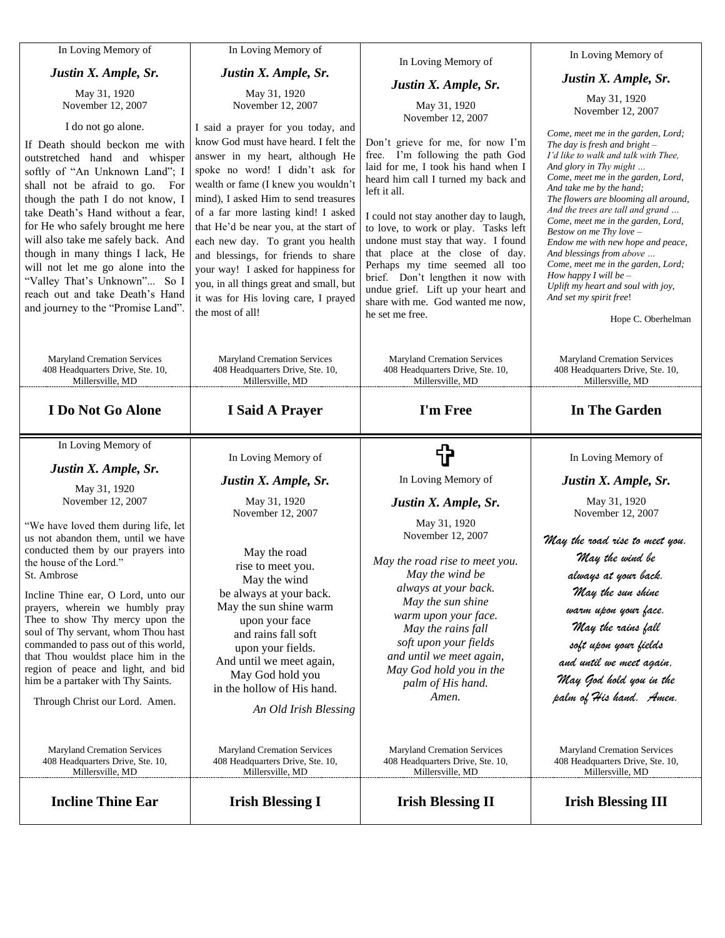| In Loving Memory of                                                                                                                                                                                                                                                                                                                                                                                                                                                       | In Loving Memory of                                                                                                                                                                                                                                                                                                                                                                                                                                                                                  | In Loving Memory of                                                                                                                                                                                                                                                                                                                                                                                                                                                                                 | In Loving Memory of                                                                                                                                                                                                                                                                                                                                                                                                                                                                                                                                                               |
|---------------------------------------------------------------------------------------------------------------------------------------------------------------------------------------------------------------------------------------------------------------------------------------------------------------------------------------------------------------------------------------------------------------------------------------------------------------------------|------------------------------------------------------------------------------------------------------------------------------------------------------------------------------------------------------------------------------------------------------------------------------------------------------------------------------------------------------------------------------------------------------------------------------------------------------------------------------------------------------|-----------------------------------------------------------------------------------------------------------------------------------------------------------------------------------------------------------------------------------------------------------------------------------------------------------------------------------------------------------------------------------------------------------------------------------------------------------------------------------------------------|-----------------------------------------------------------------------------------------------------------------------------------------------------------------------------------------------------------------------------------------------------------------------------------------------------------------------------------------------------------------------------------------------------------------------------------------------------------------------------------------------------------------------------------------------------------------------------------|
| Justin X. Ample, Sr.                                                                                                                                                                                                                                                                                                                                                                                                                                                      | Justin X. Ample, Sr.                                                                                                                                                                                                                                                                                                                                                                                                                                                                                 |                                                                                                                                                                                                                                                                                                                                                                                                                                                                                                     | Justin X. Ample, Sr.                                                                                                                                                                                                                                                                                                                                                                                                                                                                                                                                                              |
| May 31, 1920                                                                                                                                                                                                                                                                                                                                                                                                                                                              | May 31, 1920                                                                                                                                                                                                                                                                                                                                                                                                                                                                                         | Justin X. Ample, Sr.                                                                                                                                                                                                                                                                                                                                                                                                                                                                                | May 31, 1920                                                                                                                                                                                                                                                                                                                                                                                                                                                                                                                                                                      |
| November 12, 2007<br>I do not go alone.                                                                                                                                                                                                                                                                                                                                                                                                                                   | November 12, 2007<br>I said a prayer for you today, and                                                                                                                                                                                                                                                                                                                                                                                                                                              | May 31, 1920<br>November 12, 2007                                                                                                                                                                                                                                                                                                                                                                                                                                                                   | November 12, 2007                                                                                                                                                                                                                                                                                                                                                                                                                                                                                                                                                                 |
| If Death should beckon me with<br>outstretched hand and whisper<br>softly of "An Unknown Land"; I<br>shall not be afraid to go. For<br>though the path I do not know, I<br>take Death's Hand without a fear,<br>for He who safely brought me here<br>will also take me safely back. And<br>though in many things I lack, He<br>will not let me go alone into the<br>"Valley That's Unknown" So I<br>reach out and take Death's Hand<br>and journey to the "Promise Land". | know God must have heard. I felt the<br>answer in my heart, although He<br>spoke no word! I didn't ask for<br>wealth or fame (I knew you wouldn't<br>mind), I asked Him to send treasures<br>of a far more lasting kind! I asked<br>that He'd be near you, at the start of<br>each new day. To grant you health<br>and blessings, for friends to share<br>your way! I asked for happiness for<br>you, in all things great and small, but<br>it was for His loving care, I prayed<br>the most of all! | Don't grieve for me, for now I'm<br>free. I'm following the path God<br>laid for me, I took his hand when I<br>heard him call I turned my back and<br>left it all.<br>I could not stay another day to laugh,<br>to love, to work or play. Tasks left<br>undone must stay that way. I found<br>that place at the close of day.<br>Perhaps my time seemed all too<br>brief. Don't lengthen it now with<br>undue grief. Lift up your heart and<br>share with me. God wanted me now,<br>he set me free. | Come, meet me in the garden, Lord;<br>The day is fresh and bright $-$<br>I'd like to walk and talk with Thee,<br>And glory in Thy might<br>Come, meet me in the garden, Lord,<br>And take me by the hand;<br>The flowers are blooming all around,<br>And the trees are tall and grand<br>Come, meet me in the garden, Lord,<br>Bestow on me Thy $love -$<br>Endow me with new hope and peace,<br>And blessings from above<br>Come, meet me in the garden, Lord;<br>How happy I will be $-$<br>Uplift my heart and soul with joy,<br>And set my spirit free!<br>Hope C. Oberhelman |
| <b>Maryland Cremation Services</b><br>408 Headquarters Drive, Ste. 10,<br>Millersville, MD                                                                                                                                                                                                                                                                                                                                                                                | <b>Maryland Cremation Services</b><br>408 Headquarters Drive, Ste. 10,<br>Millersville, MD                                                                                                                                                                                                                                                                                                                                                                                                           | <b>Maryland Cremation Services</b><br>408 Headquarters Drive, Ste. 10,<br>Millersville, MD                                                                                                                                                                                                                                                                                                                                                                                                          | Maryland Cremation Services<br>408 Headquarters Drive, Ste. 10,<br>Millersville, MD                                                                                                                                                                                                                                                                                                                                                                                                                                                                                               |
| I Do Not Go Alone                                                                                                                                                                                                                                                                                                                                                                                                                                                         | <b>I Said A Prayer</b>                                                                                                                                                                                                                                                                                                                                                                                                                                                                               | I'm Free                                                                                                                                                                                                                                                                                                                                                                                                                                                                                            | <b>In The Garden</b>                                                                                                                                                                                                                                                                                                                                                                                                                                                                                                                                                              |
|                                                                                                                                                                                                                                                                                                                                                                                                                                                                           |                                                                                                                                                                                                                                                                                                                                                                                                                                                                                                      |                                                                                                                                                                                                                                                                                                                                                                                                                                                                                                     |                                                                                                                                                                                                                                                                                                                                                                                                                                                                                                                                                                                   |
| In Loving Memory of                                                                                                                                                                                                                                                                                                                                                                                                                                                       |                                                                                                                                                                                                                                                                                                                                                                                                                                                                                                      |                                                                                                                                                                                                                                                                                                                                                                                                                                                                                                     |                                                                                                                                                                                                                                                                                                                                                                                                                                                                                                                                                                                   |
| Justin X. Ample, Sr.                                                                                                                                                                                                                                                                                                                                                                                                                                                      | In Loving Memory of                                                                                                                                                                                                                                                                                                                                                                                                                                                                                  |                                                                                                                                                                                                                                                                                                                                                                                                                                                                                                     | In Loving Memory of                                                                                                                                                                                                                                                                                                                                                                                                                                                                                                                                                               |
| May 31, 1920                                                                                                                                                                                                                                                                                                                                                                                                                                                              | Justin X. Ample, Sr.                                                                                                                                                                                                                                                                                                                                                                                                                                                                                 | In Loving Memory of                                                                                                                                                                                                                                                                                                                                                                                                                                                                                 | Justin X. Ample, Sr.                                                                                                                                                                                                                                                                                                                                                                                                                                                                                                                                                              |
| November 12, 2007                                                                                                                                                                                                                                                                                                                                                                                                                                                         | May 31, 1920                                                                                                                                                                                                                                                                                                                                                                                                                                                                                         | Justin X. Ample, Sr.                                                                                                                                                                                                                                                                                                                                                                                                                                                                                | May 31, 1920                                                                                                                                                                                                                                                                                                                                                                                                                                                                                                                                                                      |
| "We have loved them during life, let<br>us not abandon them, until we have                                                                                                                                                                                                                                                                                                                                                                                                | November 12, 2007                                                                                                                                                                                                                                                                                                                                                                                                                                                                                    | May 31, 1920<br>November 12, 2007                                                                                                                                                                                                                                                                                                                                                                                                                                                                   | November 12, 2007                                                                                                                                                                                                                                                                                                                                                                                                                                                                                                                                                                 |
| conducted them by our prayers into                                                                                                                                                                                                                                                                                                                                                                                                                                        | May the road                                                                                                                                                                                                                                                                                                                                                                                                                                                                                         |                                                                                                                                                                                                                                                                                                                                                                                                                                                                                                     | May the road rise to meet you.                                                                                                                                                                                                                                                                                                                                                                                                                                                                                                                                                    |
| the house of the Lord."<br>St. Ambrose                                                                                                                                                                                                                                                                                                                                                                                                                                    | rise to meet you.                                                                                                                                                                                                                                                                                                                                                                                                                                                                                    | May the road rise to meet you.<br>May the wind be                                                                                                                                                                                                                                                                                                                                                                                                                                                   | May the wind be                                                                                                                                                                                                                                                                                                                                                                                                                                                                                                                                                                   |
|                                                                                                                                                                                                                                                                                                                                                                                                                                                                           | May the wind                                                                                                                                                                                                                                                                                                                                                                                                                                                                                         | always at your back.                                                                                                                                                                                                                                                                                                                                                                                                                                                                                | always at your back.<br>May the sun shine                                                                                                                                                                                                                                                                                                                                                                                                                                                                                                                                         |
| Incline Thine ear, O Lord, unto our<br>prayers, wherein we humbly pray                                                                                                                                                                                                                                                                                                                                                                                                    | be always at your back.<br>May the sun shine warm                                                                                                                                                                                                                                                                                                                                                                                                                                                    | May the sun shine                                                                                                                                                                                                                                                                                                                                                                                                                                                                                   |                                                                                                                                                                                                                                                                                                                                                                                                                                                                                                                                                                                   |
| Thee to show Thy mercy upon the                                                                                                                                                                                                                                                                                                                                                                                                                                           | upon your face                                                                                                                                                                                                                                                                                                                                                                                                                                                                                       | warm upon your face.                                                                                                                                                                                                                                                                                                                                                                                                                                                                                | warm upon your face.<br>May the rains fall                                                                                                                                                                                                                                                                                                                                                                                                                                                                                                                                        |
| soul of Thy servant, whom Thou hast<br>commanded to pass out of this world,                                                                                                                                                                                                                                                                                                                                                                                               | and rains fall soft                                                                                                                                                                                                                                                                                                                                                                                                                                                                                  | May the rains fall<br>soft upon your fields                                                                                                                                                                                                                                                                                                                                                                                                                                                         | soft upon your fields                                                                                                                                                                                                                                                                                                                                                                                                                                                                                                                                                             |
| that Thou wouldst place him in the                                                                                                                                                                                                                                                                                                                                                                                                                                        | upon your fields.<br>And until we meet again,                                                                                                                                                                                                                                                                                                                                                                                                                                                        | and until we meet again,                                                                                                                                                                                                                                                                                                                                                                                                                                                                            | and until we meet again.                                                                                                                                                                                                                                                                                                                                                                                                                                                                                                                                                          |
| region of peace and light, and bid<br>him be a partaker with Thy Saints.                                                                                                                                                                                                                                                                                                                                                                                                  | May God hold you                                                                                                                                                                                                                                                                                                                                                                                                                                                                                     | May God hold you in the                                                                                                                                                                                                                                                                                                                                                                                                                                                                             | May God hold you in the                                                                                                                                                                                                                                                                                                                                                                                                                                                                                                                                                           |
| Through Christ our Lord. Amen.                                                                                                                                                                                                                                                                                                                                                                                                                                            | in the hollow of His hand.<br>An Old Irish Blessing                                                                                                                                                                                                                                                                                                                                                                                                                                                  | palm of His hand.<br>Amen.                                                                                                                                                                                                                                                                                                                                                                                                                                                                          | palm of His hand. Amen.                                                                                                                                                                                                                                                                                                                                                                                                                                                                                                                                                           |
| <b>Maryland Cremation Services</b><br>408 Headquarters Drive, Ste. 10,<br>Millersville, MD                                                                                                                                                                                                                                                                                                                                                                                | <b>Maryland Cremation Services</b><br>408 Headquarters Drive, Ste. 10,<br>Millersville, MD                                                                                                                                                                                                                                                                                                                                                                                                           | <b>Maryland Cremation Services</b><br>408 Headquarters Drive, Ste. 10,<br>Millersville, MD                                                                                                                                                                                                                                                                                                                                                                                                          | <b>Maryland Cremation Services</b><br>408 Headquarters Drive, Ste. 10,<br>Millersville, MD                                                                                                                                                                                                                                                                                                                                                                                                                                                                                        |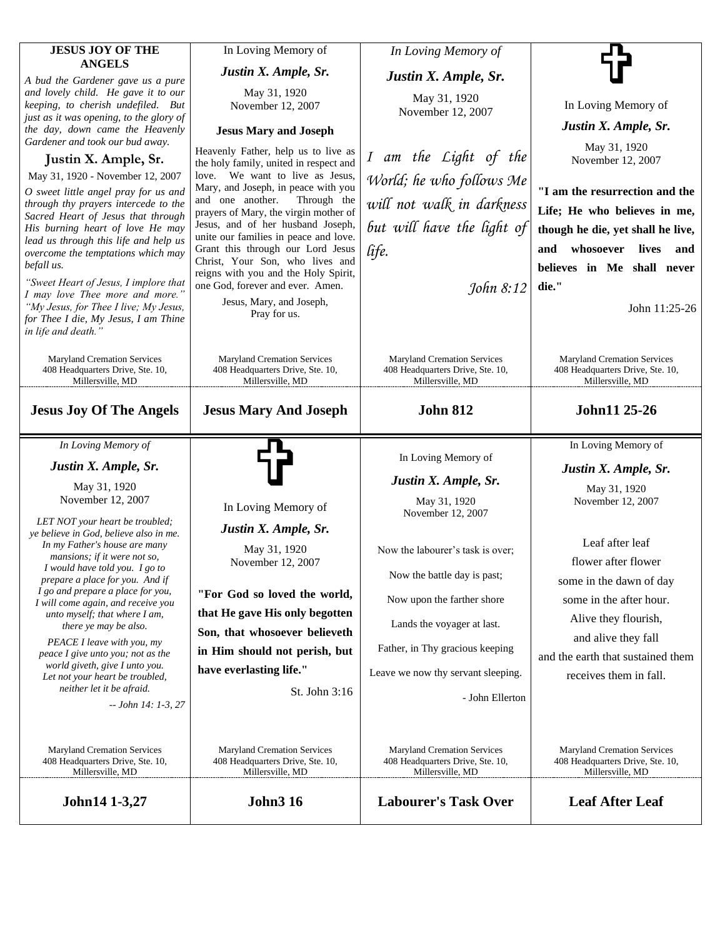| <b>JESUS JOY OF THE</b>                                                                                 | In Loving Memory of                                                                                                 | In Loving Memory of                                                                        |                                                                                            |
|---------------------------------------------------------------------------------------------------------|---------------------------------------------------------------------------------------------------------------------|--------------------------------------------------------------------------------------------|--------------------------------------------------------------------------------------------|
| <b>ANGELS</b><br>A bud the Gardener gave us a pure<br>and lovely child. He gave it to our               | Justin X. Ample, Sr.<br>May 31, 1920                                                                                | Justin X. Ample, Sr.                                                                       |                                                                                            |
| keeping, to cherish undefiled. But<br>just as it was opening, to the glory of                           | November 12, 2007                                                                                                   | May 31, 1920<br>November 12, 2007                                                          | In Loving Memory of                                                                        |
| the day, down came the Heavenly<br>Gardener and took our bud away.                                      | <b>Jesus Mary and Joseph</b>                                                                                        |                                                                                            | Justin X. Ample, Sr.                                                                       |
| Justin X. Ample, Sr.<br>May 31, 1920 - November 12, 2007                                                | Heavenly Father, help us to live as<br>the holy family, united in respect and<br>love. We want to live as Jesus,    | I am the Light of the<br>World; he who follows Me                                          | May 31, 1920<br>November 12, 2007                                                          |
| O sweet little angel pray for us and<br>through thy prayers intercede to the                            | Mary, and Joseph, in peace with you<br>and one another.<br>Through the                                              | will not walk in darkness                                                                  | "I am the resurrection and the                                                             |
| Sacred Heart of Jesus that through<br>His burning heart of love He may                                  | prayers of Mary, the virgin mother of<br>Jesus, and of her husband Joseph,<br>unite our families in peace and love. | but will have the light of                                                                 | Life; He who believes in me,<br>though he die, yet shall he live,                          |
| lead us through this life and help us<br>overcome the temptations which may<br>befall us.               | Grant this through our Lord Jesus<br>Christ, Your Son, who lives and                                                | life.                                                                                      | lives<br>whosoever<br>and<br>and<br>believes in Me shall never                             |
| "Sweet Heart of Jesus, I implore that<br>I may love Thee more and more."                                | reigns with you and the Holy Spirit,<br>one God, forever and ever. Amen.                                            | John 8:12                                                                                  | die."                                                                                      |
| "My Jesus, for Thee I live; My Jesus,<br>for Thee I die, My Jesus, I am Thine<br>in life and death."    | Jesus, Mary, and Joseph,<br>Pray for us.                                                                            |                                                                                            | John 11:25-26                                                                              |
| <b>Maryland Cremation Services</b><br>408 Headquarters Drive, Ste. 10,<br>Millersville, MD              | <b>Maryland Cremation Services</b><br>408 Headquarters Drive, Ste. 10,<br>Millersville, MD                          | <b>Maryland Cremation Services</b><br>408 Headquarters Drive, Ste. 10,<br>Millersville, MD | <b>Maryland Cremation Services</b><br>408 Headquarters Drive, Ste. 10,<br>Millersville, MD |
| <b>Jesus Joy Of The Angels</b>                                                                          | <b>Jesus Mary And Joseph</b>                                                                                        | <b>John 812</b>                                                                            | John11 25-26                                                                               |
|                                                                                                         |                                                                                                                     |                                                                                            |                                                                                            |
| In Loving Memory of                                                                                     |                                                                                                                     |                                                                                            | In Loving Memory of                                                                        |
| Justin X. Ample, Sr.                                                                                    |                                                                                                                     | In Loving Memory of                                                                        | Justin X. Ample, Sr.                                                                       |
| May 31, 1920<br>November 12, 2007                                                                       |                                                                                                                     | Justin X. Ample, Sr.<br>May 31, 1920                                                       | May 31, 1920<br>November 12, 2007                                                          |
| LET NOT your heart be troubled;                                                                         | In Loving Memory of                                                                                                 | November 12, 2007                                                                          |                                                                                            |
| ye believe in God, believe also in me.<br>In my Father's house are many<br>mansions; if it were not so, | Justin X. Ample, Sr.<br>May 31, 1920                                                                                | Now the labourer's task is over;                                                           | Leaf after leaf                                                                            |
| I would have told you. I go to<br>prepare a place for you. And if                                       | November 12, 2007                                                                                                   | Now the battle day is past;                                                                | flower after flower<br>some in the dawn of day                                             |
| I go and prepare a place for you,<br>I will come again, and receive you                                 | "For God so loved the world,                                                                                        | Now upon the farther shore                                                                 | some in the after hour.                                                                    |
| unto myself; that where I am,<br>there ye may be also.                                                  | that He gave His only begotten<br>Son, that whosoever believeth                                                     | Lands the voyager at last.                                                                 | Alive they flourish,                                                                       |
| PEACE I leave with you, my<br>peace I give unto you; not as the                                         | in Him should not perish, but                                                                                       | Father, in Thy gracious keeping                                                            | and alive they fall<br>and the earth that sustained them                                   |
| world giveth, give I unto you.<br>Let not your heart be troubled,                                       | have everlasting life."                                                                                             | Leave we now thy servant sleeping.                                                         | receives them in fall.                                                                     |
| neither let it be afraid.<br>-- John 14: 1-3, 27                                                        | St. John 3:16                                                                                                       | - John Ellerton                                                                            |                                                                                            |
| <b>Maryland Cremation Services</b><br>408 Headquarters Drive, Ste. 10,<br>Millersville, MD              | <b>Maryland Cremation Services</b><br>408 Headquarters Drive, Ste. 10,<br>Millersville, MD                          | <b>Maryland Cremation Services</b><br>408 Headquarters Drive, Ste. 10,<br>Millersville, MD | <b>Maryland Cremation Services</b><br>408 Headquarters Drive, Ste. 10,<br>Millersville, MD |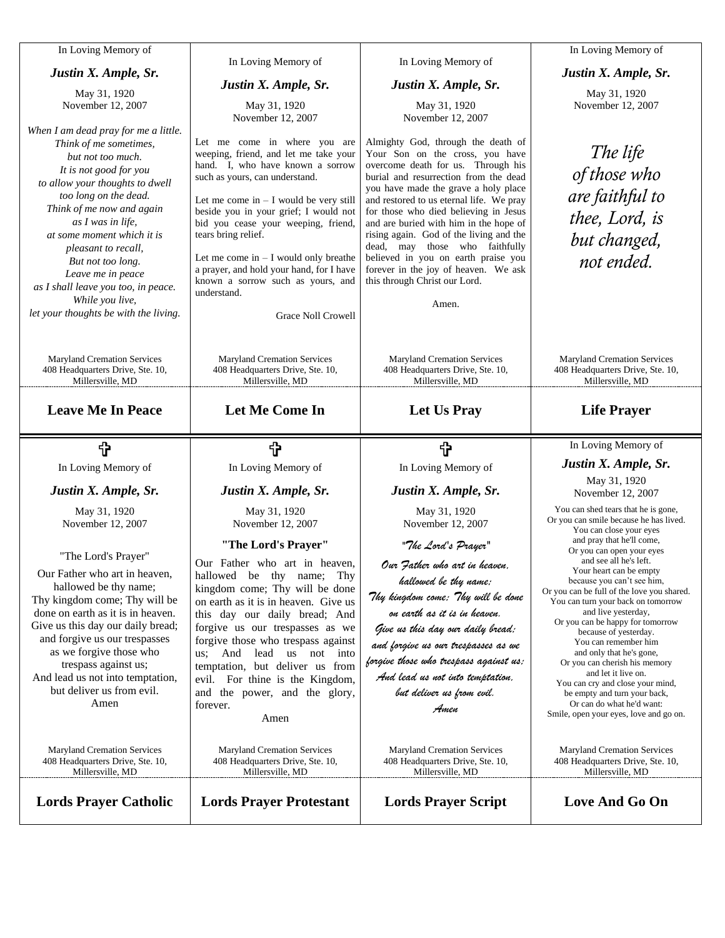| In Loving Memory of                                                                                                                                                                                                                                                                                                                                                                                                           | In Loving Memory of                                                                                                                                                                                                                                                                                                                                                                                                                                                    | In Loving Memory of                                                                                                                                                                                                                                                                                                                                                                                                                                                                                                               | In Loving Memory of                                                                         |
|-------------------------------------------------------------------------------------------------------------------------------------------------------------------------------------------------------------------------------------------------------------------------------------------------------------------------------------------------------------------------------------------------------------------------------|------------------------------------------------------------------------------------------------------------------------------------------------------------------------------------------------------------------------------------------------------------------------------------------------------------------------------------------------------------------------------------------------------------------------------------------------------------------------|-----------------------------------------------------------------------------------------------------------------------------------------------------------------------------------------------------------------------------------------------------------------------------------------------------------------------------------------------------------------------------------------------------------------------------------------------------------------------------------------------------------------------------------|---------------------------------------------------------------------------------------------|
| Justin X. Ample, Sr.                                                                                                                                                                                                                                                                                                                                                                                                          | Justin X. Ample, Sr.                                                                                                                                                                                                                                                                                                                                                                                                                                                   | Justin X. Ample, Sr.                                                                                                                                                                                                                                                                                                                                                                                                                                                                                                              | Justin X. Ample, Sr.                                                                        |
| May 31, 1920                                                                                                                                                                                                                                                                                                                                                                                                                  |                                                                                                                                                                                                                                                                                                                                                                                                                                                                        |                                                                                                                                                                                                                                                                                                                                                                                                                                                                                                                                   | May 31, 1920                                                                                |
| November 12, 2007                                                                                                                                                                                                                                                                                                                                                                                                             | May 31, 1920<br>November 12, 2007                                                                                                                                                                                                                                                                                                                                                                                                                                      | May 31, 1920<br>November 12, 2007                                                                                                                                                                                                                                                                                                                                                                                                                                                                                                 | November 12, 2007                                                                           |
| When I am dead pray for me a little.<br>Think of me sometimes,<br>but not too much.<br>It is not good for you<br>to allow your thoughts to dwell<br>too long on the dead.<br>Think of me now and again<br>as I was in life,<br>at some moment which it is<br>pleasant to recall,<br>But not too long.<br>Leave me in peace<br>as I shall leave you too, in peace.<br>While you live,<br>let your thoughts be with the living. | Let me come in where you are<br>weeping, friend, and let me take your<br>hand. I, who have known a sorrow<br>such as yours, can understand.<br>Let me come in $- I$ would be very still<br>beside you in your grief; I would not<br>bid you cease your weeping, friend,<br>tears bring relief.<br>Let me come in $- I$ would only breathe<br>a prayer, and hold your hand, for I have<br>known a sorrow such as yours, and<br>understand.<br><b>Grace Noll Crowell</b> | Almighty God, through the death of<br>Your Son on the cross, you have<br>overcome death for us. Through his<br>burial and resurrection from the dead<br>you have made the grave a holy place<br>and restored to us eternal life. We pray<br>for those who died believing in Jesus<br>and are buried with him in the hope of<br>rising again. God of the living and the<br>dead, may those who faithfully<br>believed in you on earth praise you<br>forever in the joy of heaven. We ask<br>this through Christ our Lord.<br>Amen. | The life<br>of those who<br>are faithful to<br>thee, Lord, is<br>but changed,<br>not ended. |
| <b>Maryland Cremation Services</b><br>408 Headquarters Drive, Ste. 10,<br>Millersville, MD                                                                                                                                                                                                                                                                                                                                    | <b>Maryland Cremation Services</b><br>408 Headquarters Drive, Ste. 10,<br>Millersville, MD                                                                                                                                                                                                                                                                                                                                                                             | <b>Maryland Cremation Services</b><br>408 Headquarters Drive, Ste. 10,<br>Millersville, MD                                                                                                                                                                                                                                                                                                                                                                                                                                        | <b>Maryland Cremation Services</b><br>408 Headquarters Drive, Ste. 10,<br>Millersville, MD  |
| <b>Leave Me In Peace</b>                                                                                                                                                                                                                                                                                                                                                                                                      | Let Me Come In                                                                                                                                                                                                                                                                                                                                                                                                                                                         | Let Us Pray                                                                                                                                                                                                                                                                                                                                                                                                                                                                                                                       | <b>Life Prayer</b>                                                                          |
|                                                                                                                                                                                                                                                                                                                                                                                                                               |                                                                                                                                                                                                                                                                                                                                                                                                                                                                        |                                                                                                                                                                                                                                                                                                                                                                                                                                                                                                                                   |                                                                                             |
| ╬                                                                                                                                                                                                                                                                                                                                                                                                                             | ╬                                                                                                                                                                                                                                                                                                                                                                                                                                                                      | ╬                                                                                                                                                                                                                                                                                                                                                                                                                                                                                                                                 | In Loving Memory of                                                                         |
| In Loving Memory of                                                                                                                                                                                                                                                                                                                                                                                                           | In Loving Memory of                                                                                                                                                                                                                                                                                                                                                                                                                                                    | In Loving Memory of                                                                                                                                                                                                                                                                                                                                                                                                                                                                                                               | Justin X. Ample, Sr.                                                                        |
| Justin X. Ample, Sr.                                                                                                                                                                                                                                                                                                                                                                                                          | Justin X. Ample, Sr.                                                                                                                                                                                                                                                                                                                                                                                                                                                   | Justin X. Ample, Sr.                                                                                                                                                                                                                                                                                                                                                                                                                                                                                                              | May 31, 1920<br>November 12, 2007                                                           |
| May 31, 1920<br>November 12, 2007                                                                                                                                                                                                                                                                                                                                                                                             | May 31, 1920<br>November 12, 2007                                                                                                                                                                                                                                                                                                                                                                                                                                      | May 31, 1920<br>November 12, 2007                                                                                                                                                                                                                                                                                                                                                                                                                                                                                                 | You can shed tears that he is gone,<br>Or you can smile because he has lived.               |
|                                                                                                                                                                                                                                                                                                                                                                                                                               | "The Lord's Prayer"                                                                                                                                                                                                                                                                                                                                                                                                                                                    | "The Lord's Prayer"                                                                                                                                                                                                                                                                                                                                                                                                                                                                                                               | You can close your eyes<br>and pray that he'll come,                                        |
| "The Lord's Prayer"                                                                                                                                                                                                                                                                                                                                                                                                           | Our Father who art in heaven,                                                                                                                                                                                                                                                                                                                                                                                                                                          |                                                                                                                                                                                                                                                                                                                                                                                                                                                                                                                                   | Or you can open your eyes<br>and see all he's left.                                         |
| Our Father who art in heaven,                                                                                                                                                                                                                                                                                                                                                                                                 | hallowed be thy name; Thy                                                                                                                                                                                                                                                                                                                                                                                                                                              | Our Father who art in heaven.<br>hallowed be thy name:                                                                                                                                                                                                                                                                                                                                                                                                                                                                            | Your heart can be empty<br>because you can't see him,                                       |
| hallowed be thy name;<br>Thy kingdom come; Thy will be                                                                                                                                                                                                                                                                                                                                                                        | kingdom come; Thy will be done<br>on earth as it is in heaven. Give us                                                                                                                                                                                                                                                                                                                                                                                                 | Thy kingdom come: Thy will be done                                                                                                                                                                                                                                                                                                                                                                                                                                                                                                | Or you can be full of the love you shared.<br>You can turn your back on tomorrow            |
| done on earth as it is in heaven.                                                                                                                                                                                                                                                                                                                                                                                             | this day our daily bread; And                                                                                                                                                                                                                                                                                                                                                                                                                                          | on earth as it is in heaven.                                                                                                                                                                                                                                                                                                                                                                                                                                                                                                      | and live yesterday,                                                                         |
| Give us this day our daily bread;                                                                                                                                                                                                                                                                                                                                                                                             | forgive us our trespasses as we                                                                                                                                                                                                                                                                                                                                                                                                                                        | Give us this day our daily bread:                                                                                                                                                                                                                                                                                                                                                                                                                                                                                                 | Or you can be happy for tomorrow<br>because of yesterday.                                   |
| and forgive us our trespasses<br>as we forgive those who                                                                                                                                                                                                                                                                                                                                                                      | forgive those who trespass against<br>And<br>lead<br>us not into<br>us;                                                                                                                                                                                                                                                                                                                                                                                                | and forgive us our trespasses as we                                                                                                                                                                                                                                                                                                                                                                                                                                                                                               | You can remember him<br>and only that he's gone,                                            |
| trespass against us;                                                                                                                                                                                                                                                                                                                                                                                                          | temptation, but deliver us from                                                                                                                                                                                                                                                                                                                                                                                                                                        | forgive those who trespass against us:                                                                                                                                                                                                                                                                                                                                                                                                                                                                                            | Or you can cherish his memory<br>and let it live on.                                        |
| And lead us not into temptation,<br>but deliver us from evil.                                                                                                                                                                                                                                                                                                                                                                 | evil. For thine is the Kingdom,                                                                                                                                                                                                                                                                                                                                                                                                                                        | And lead us not into temptation.                                                                                                                                                                                                                                                                                                                                                                                                                                                                                                  | You can cry and close your mind,<br>be empty and turn your back,                            |
| Amen                                                                                                                                                                                                                                                                                                                                                                                                                          | and the power, and the glory,<br>forever.<br>Amen                                                                                                                                                                                                                                                                                                                                                                                                                      | but deliver us from evil.<br>Amen                                                                                                                                                                                                                                                                                                                                                                                                                                                                                                 | Or can do what he'd want:<br>Smile, open your eyes, love and go on.                         |
| <b>Maryland Cremation Services</b><br>408 Headquarters Drive, Ste. 10,<br>Millersville, MD                                                                                                                                                                                                                                                                                                                                    | Maryland Cremation Services<br>408 Headquarters Drive, Ste. 10,<br>Millersville, MD                                                                                                                                                                                                                                                                                                                                                                                    | Maryland Cremation Services<br>408 Headquarters Drive, Ste. 10,<br>Millersville, MD                                                                                                                                                                                                                                                                                                                                                                                                                                               | Maryland Cremation Services<br>408 Headquarters Drive, Ste. 10,<br>Millersville, MD         |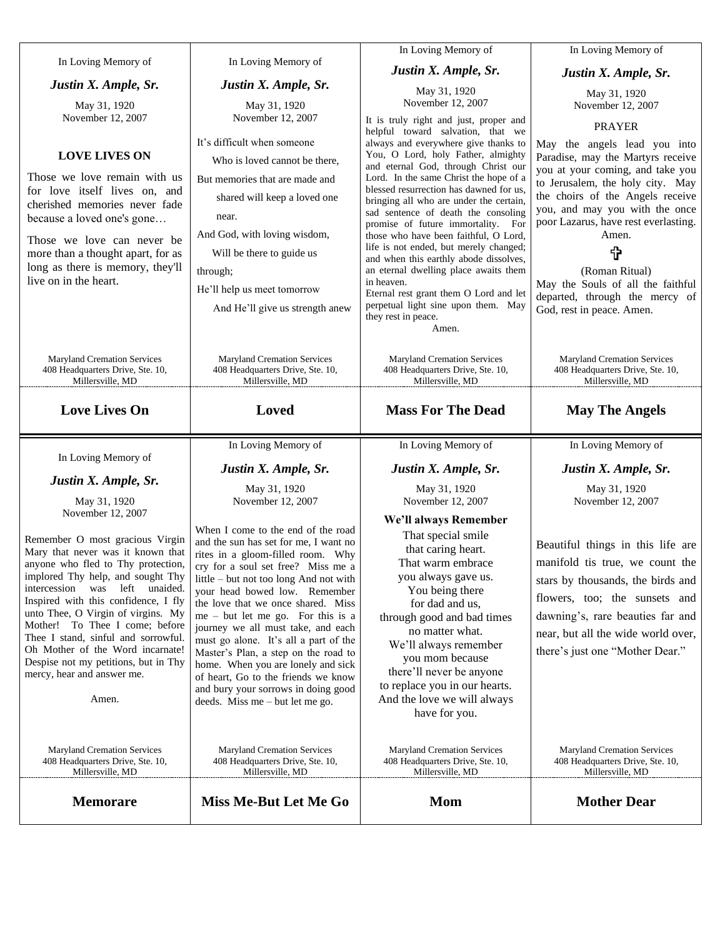|                                                                                                                                                                                                                                                                                                                                                                                                                                                                |                                                                                                                                                                                                                                                                                                                                                                                                                                                                                                                                                                                              | In Loving Memory of                                                                                                                                                                                                                                                                                                                                                                                                                                                                                                                                                                                                                                             | In Loving Memory of                                                                                                                                                                                                                                                                                                                                                                                          |
|----------------------------------------------------------------------------------------------------------------------------------------------------------------------------------------------------------------------------------------------------------------------------------------------------------------------------------------------------------------------------------------------------------------------------------------------------------------|----------------------------------------------------------------------------------------------------------------------------------------------------------------------------------------------------------------------------------------------------------------------------------------------------------------------------------------------------------------------------------------------------------------------------------------------------------------------------------------------------------------------------------------------------------------------------------------------|-----------------------------------------------------------------------------------------------------------------------------------------------------------------------------------------------------------------------------------------------------------------------------------------------------------------------------------------------------------------------------------------------------------------------------------------------------------------------------------------------------------------------------------------------------------------------------------------------------------------------------------------------------------------|--------------------------------------------------------------------------------------------------------------------------------------------------------------------------------------------------------------------------------------------------------------------------------------------------------------------------------------------------------------------------------------------------------------|
| In Loving Memory of                                                                                                                                                                                                                                                                                                                                                                                                                                            | In Loving Memory of                                                                                                                                                                                                                                                                                                                                                                                                                                                                                                                                                                          | Justin X. Ample, Sr.                                                                                                                                                                                                                                                                                                                                                                                                                                                                                                                                                                                                                                            | Justin X. Ample, Sr.                                                                                                                                                                                                                                                                                                                                                                                         |
| Justin X. Ample, Sr.                                                                                                                                                                                                                                                                                                                                                                                                                                           | Justin X. Ample, Sr.                                                                                                                                                                                                                                                                                                                                                                                                                                                                                                                                                                         | May 31, 1920<br>November 12, 2007                                                                                                                                                                                                                                                                                                                                                                                                                                                                                                                                                                                                                               | May 31, 1920                                                                                                                                                                                                                                                                                                                                                                                                 |
| May 31, 1920<br>November 12, 2007                                                                                                                                                                                                                                                                                                                                                                                                                              | May 31, 1920<br>November 12, 2007                                                                                                                                                                                                                                                                                                                                                                                                                                                                                                                                                            | It is truly right and just, proper and                                                                                                                                                                                                                                                                                                                                                                                                                                                                                                                                                                                                                          | November 12, 2007                                                                                                                                                                                                                                                                                                                                                                                            |
| <b>LOVE LIVES ON</b><br>Those we love remain with us<br>for love itself lives on, and<br>cherished memories never fade<br>because a loved one's gone<br>Those we love can never be<br>more than a thought apart, for as<br>long as there is memory, they'll<br>live on in the heart.                                                                                                                                                                           | It's difficult when someone<br>Who is loved cannot be there,<br>But memories that are made and<br>shared will keep a loved one<br>near.<br>And God, with loving wisdom,<br>Will be there to guide us<br>through;<br>He'll help us meet tomorrow<br>And He'll give us strength anew                                                                                                                                                                                                                                                                                                           | helpful toward salvation, that we<br>always and everywhere give thanks to<br>You, O Lord, holy Father, almighty<br>and eternal God, through Christ our<br>Lord. In the same Christ the hope of a<br>blessed resurrection has dawned for us,<br>bringing all who are under the certain,<br>sad sentence of death the consoling<br>promise of future immortality. For<br>those who have been faithful, O Lord,<br>life is not ended, but merely changed;<br>and when this earthly abode dissolves,<br>an eternal dwelling place awaits them<br>in heaven.<br>Eternal rest grant them O Lord and let<br>perpetual light sine upon them. May<br>they rest in peace. | <b>PRAYER</b><br>May the angels lead you into<br>Paradise, may the Martyrs receive<br>you at your coming, and take you<br>to Jerusalem, the holy city. May<br>the choirs of the Angels receive<br>you, and may you with the once<br>poor Lazarus, have rest everlasting.<br>Amen.<br>╬<br>(Roman Ritual)<br>May the Souls of all the faithful<br>departed, through the mercy of<br>God, rest in peace. Amen. |
| <b>Maryland Cremation Services</b><br>408 Headquarters Drive, Ste. 10,<br>Millersville, MD                                                                                                                                                                                                                                                                                                                                                                     | <b>Maryland Cremation Services</b><br>408 Headquarters Drive, Ste. 10,<br>Millersville, MD                                                                                                                                                                                                                                                                                                                                                                                                                                                                                                   | Amen.<br><b>Maryland Cremation Services</b><br>408 Headquarters Drive, Ste. 10,<br>Millersville, MD                                                                                                                                                                                                                                                                                                                                                                                                                                                                                                                                                             | <b>Maryland Cremation Services</b><br>408 Headquarters Drive, Ste. 10,<br>Millersville, MD                                                                                                                                                                                                                                                                                                                   |
| <b>Love Lives On</b>                                                                                                                                                                                                                                                                                                                                                                                                                                           | <b>Loved</b>                                                                                                                                                                                                                                                                                                                                                                                                                                                                                                                                                                                 | <b>Mass For The Dead</b>                                                                                                                                                                                                                                                                                                                                                                                                                                                                                                                                                                                                                                        | <b>May The Angels</b>                                                                                                                                                                                                                                                                                                                                                                                        |
|                                                                                                                                                                                                                                                                                                                                                                                                                                                                |                                                                                                                                                                                                                                                                                                                                                                                                                                                                                                                                                                                              |                                                                                                                                                                                                                                                                                                                                                                                                                                                                                                                                                                                                                                                                 |                                                                                                                                                                                                                                                                                                                                                                                                              |
|                                                                                                                                                                                                                                                                                                                                                                                                                                                                | In Loving Memory of                                                                                                                                                                                                                                                                                                                                                                                                                                                                                                                                                                          | In Loving Memory of                                                                                                                                                                                                                                                                                                                                                                                                                                                                                                                                                                                                                                             | In Loving Memory of                                                                                                                                                                                                                                                                                                                                                                                          |
| In Loving Memory of                                                                                                                                                                                                                                                                                                                                                                                                                                            | Justin X. Ample, Sr.                                                                                                                                                                                                                                                                                                                                                                                                                                                                                                                                                                         | Justin X. Ample, Sr.                                                                                                                                                                                                                                                                                                                                                                                                                                                                                                                                                                                                                                            | Justin X. Ample, Sr.                                                                                                                                                                                                                                                                                                                                                                                         |
| Justin X. Ample, Sr.                                                                                                                                                                                                                                                                                                                                                                                                                                           | May 31, 1920                                                                                                                                                                                                                                                                                                                                                                                                                                                                                                                                                                                 | May 31, 1920                                                                                                                                                                                                                                                                                                                                                                                                                                                                                                                                                                                                                                                    | May 31, 1920                                                                                                                                                                                                                                                                                                                                                                                                 |
| May 31, 1920<br>November 12, 2007                                                                                                                                                                                                                                                                                                                                                                                                                              | November 12, 2007                                                                                                                                                                                                                                                                                                                                                                                                                                                                                                                                                                            | November 12, 2007                                                                                                                                                                                                                                                                                                                                                                                                                                                                                                                                                                                                                                               | November 12, 2007                                                                                                                                                                                                                                                                                                                                                                                            |
| Remember O most gracious Virgin<br>Mary that never was it known that<br>anyone who fled to Thy protection,<br>implored Thy help, and sought Thy<br>left unaided.<br>intercession was<br>Inspired with this confidence, I fly<br>unto Thee, O Virgin of virgins. My<br>Mother! To Thee I come; before<br>Thee I stand, sinful and sorrowful.<br>Oh Mother of the Word incarnate!<br>Despise not my petitions, but in Thy<br>mercy, hear and answer me.<br>Amen. | When I come to the end of the road<br>and the sun has set for me, I want no<br>rites in a gloom-filled room. Why<br>cry for a soul set free? Miss me a<br>little – but not too long And not with<br>your head bowed low. Remember<br>the love that we once shared. Miss<br>$me - but let me go. For this is a$<br>journey we all must take, and each<br>must go alone. It's all a part of the<br>Master's Plan, a step on the road to<br>home. When you are lonely and sick<br>of heart, Go to the friends we know<br>and bury your sorrows in doing good<br>deeds. Miss me – but let me go. | We'll always Remember<br>That special smile<br>that caring heart.<br>That warm embrace<br>you always gave us.<br>You being there<br>for dad and us,<br>through good and bad times<br>no matter what.<br>We'll always remember<br>you mom because<br>there'll never be anyone<br>to replace you in our hearts.<br>And the love we will always<br>have for you.                                                                                                                                                                                                                                                                                                   | Beautiful things in this life are<br>manifold tis true, we count the<br>stars by thousands, the birds and<br>flowers, too; the sunsets and<br>dawning's, rare beauties far and<br>near, but all the wide world over,<br>there's just one "Mother Dear."                                                                                                                                                      |
| <b>Maryland Cremation Services</b><br>408 Headquarters Drive, Ste. 10,<br>Millersville, MD                                                                                                                                                                                                                                                                                                                                                                     | <b>Maryland Cremation Services</b><br>408 Headquarters Drive, Ste. 10,<br>Millersville, MD                                                                                                                                                                                                                                                                                                                                                                                                                                                                                                   | <b>Maryland Cremation Services</b><br>408 Headquarters Drive, Ste. 10,<br>Millersville, MD                                                                                                                                                                                                                                                                                                                                                                                                                                                                                                                                                                      | <b>Maryland Cremation Services</b><br>408 Headquarters Drive, Ste. 10,<br>Millersville, MD                                                                                                                                                                                                                                                                                                                   |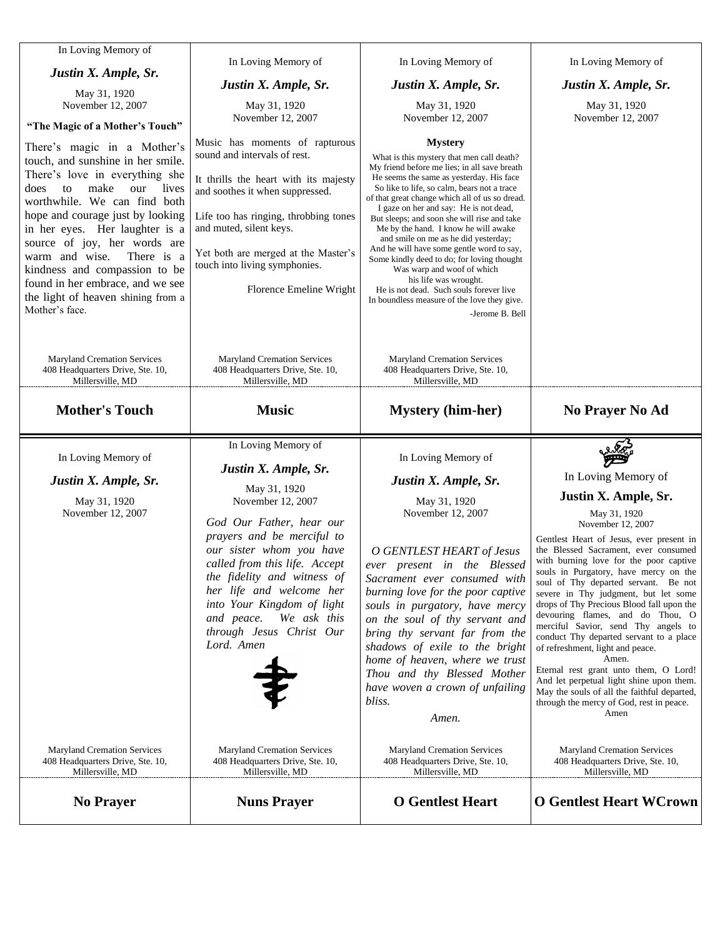| In Loving Memory of                                                                                                                                                                                                                                                                                                                                                                                                                         |                                                                                                                                                                                                                                                                                                                   |                                                                                                                                                                                                                                                                                                                                                                                                                                                                                                                                                                                                                                                                                                  |                                                                                                                                                                                                                                                                                                                                                                                                                                                                                                                                                                                                                                                             |
|---------------------------------------------------------------------------------------------------------------------------------------------------------------------------------------------------------------------------------------------------------------------------------------------------------------------------------------------------------------------------------------------------------------------------------------------|-------------------------------------------------------------------------------------------------------------------------------------------------------------------------------------------------------------------------------------------------------------------------------------------------------------------|--------------------------------------------------------------------------------------------------------------------------------------------------------------------------------------------------------------------------------------------------------------------------------------------------------------------------------------------------------------------------------------------------------------------------------------------------------------------------------------------------------------------------------------------------------------------------------------------------------------------------------------------------------------------------------------------------|-------------------------------------------------------------------------------------------------------------------------------------------------------------------------------------------------------------------------------------------------------------------------------------------------------------------------------------------------------------------------------------------------------------------------------------------------------------------------------------------------------------------------------------------------------------------------------------------------------------------------------------------------------------|
| Justin X. Ample, Sr.                                                                                                                                                                                                                                                                                                                                                                                                                        | In Loving Memory of                                                                                                                                                                                                                                                                                               | In Loving Memory of                                                                                                                                                                                                                                                                                                                                                                                                                                                                                                                                                                                                                                                                              | In Loving Memory of                                                                                                                                                                                                                                                                                                                                                                                                                                                                                                                                                                                                                                         |
| May 31, 1920                                                                                                                                                                                                                                                                                                                                                                                                                                | Justin X. Ample, Sr.                                                                                                                                                                                                                                                                                              | Justin X. Ample, Sr.                                                                                                                                                                                                                                                                                                                                                                                                                                                                                                                                                                                                                                                                             | Justin X. Ample, Sr.                                                                                                                                                                                                                                                                                                                                                                                                                                                                                                                                                                                                                                        |
| November 12, 2007                                                                                                                                                                                                                                                                                                                                                                                                                           | May 31, 1920<br>November 12, 2007                                                                                                                                                                                                                                                                                 | May 31, 1920<br>November 12, 2007                                                                                                                                                                                                                                                                                                                                                                                                                                                                                                                                                                                                                                                                | May 31, 1920<br>November 12, 2007                                                                                                                                                                                                                                                                                                                                                                                                                                                                                                                                                                                                                           |
| "The Magic of a Mother's Touch"                                                                                                                                                                                                                                                                                                                                                                                                             |                                                                                                                                                                                                                                                                                                                   |                                                                                                                                                                                                                                                                                                                                                                                                                                                                                                                                                                                                                                                                                                  |                                                                                                                                                                                                                                                                                                                                                                                                                                                                                                                                                                                                                                                             |
| There's magic in a Mother's<br>touch, and sunshine in her smile.<br>There's love in everything she<br>make<br>our<br>lives<br>does<br>to<br>worthwhile. We can find both<br>hope and courage just by looking<br>in her eyes. Her laughter is a<br>source of joy, her words are<br>warm and wise.<br>There is a<br>kindness and compassion to be<br>found in her embrace, and we see<br>the light of heaven shining from a<br>Mother's face. | Music has moments of rapturous<br>sound and intervals of rest.<br>It thrills the heart with its majesty<br>and soothes it when suppressed.<br>Life too has ringing, throbbing tones<br>and muted, silent keys.<br>Yet both are merged at the Master's<br>touch into living symphonies.<br>Florence Emeline Wright | <b>Mystery</b><br>What is this mystery that men call death?<br>My friend before me lies; in all save breath<br>He seems the same as yesterday. His face<br>So like to life, so calm, bears not a trace<br>of that great change which all of us so dread.<br>I gaze on her and say: He is not dead,<br>But sleeps; and soon she will rise and take<br>Me by the hand. I know he will awake<br>and smile on me as he did yesterday;<br>And he will have some gentle word to say,<br>Some kindly deed to do; for loving thought<br>Was warp and woof of which<br>his life was wrought.<br>He is not dead. Such souls forever live<br>In boundless measure of the love they give.<br>-Jerome B. Bell |                                                                                                                                                                                                                                                                                                                                                                                                                                                                                                                                                                                                                                                             |
| <b>Maryland Cremation Services</b><br>408 Headquarters Drive, Ste. 10,<br>Millersville, MD                                                                                                                                                                                                                                                                                                                                                  | <b>Maryland Cremation Services</b><br>408 Headquarters Drive, Ste. 10,<br>Millersville, MD                                                                                                                                                                                                                        | <b>Maryland Cremation Services</b><br>408 Headquarters Drive, Ste. 10,<br>Millersville, MD                                                                                                                                                                                                                                                                                                                                                                                                                                                                                                                                                                                                       |                                                                                                                                                                                                                                                                                                                                                                                                                                                                                                                                                                                                                                                             |
| <b>Mother's Touch</b>                                                                                                                                                                                                                                                                                                                                                                                                                       | <b>Music</b>                                                                                                                                                                                                                                                                                                      | <b>Mystery</b> (him-her)                                                                                                                                                                                                                                                                                                                                                                                                                                                                                                                                                                                                                                                                         | <b>No Prayer No Ad</b>                                                                                                                                                                                                                                                                                                                                                                                                                                                                                                                                                                                                                                      |
|                                                                                                                                                                                                                                                                                                                                                                                                                                             |                                                                                                                                                                                                                                                                                                                   |                                                                                                                                                                                                                                                                                                                                                                                                                                                                                                                                                                                                                                                                                                  |                                                                                                                                                                                                                                                                                                                                                                                                                                                                                                                                                                                                                                                             |
|                                                                                                                                                                                                                                                                                                                                                                                                                                             | In Loving Memory of                                                                                                                                                                                                                                                                                               |                                                                                                                                                                                                                                                                                                                                                                                                                                                                                                                                                                                                                                                                                                  |                                                                                                                                                                                                                                                                                                                                                                                                                                                                                                                                                                                                                                                             |
| In Loving Memory of                                                                                                                                                                                                                                                                                                                                                                                                                         |                                                                                                                                                                                                                                                                                                                   | In Loving Memory of                                                                                                                                                                                                                                                                                                                                                                                                                                                                                                                                                                                                                                                                              |                                                                                                                                                                                                                                                                                                                                                                                                                                                                                                                                                                                                                                                             |
| Justin X. Ample, Sr.                                                                                                                                                                                                                                                                                                                                                                                                                        | Justin X. Ample, Sr.<br>May 31, 1920                                                                                                                                                                                                                                                                              | Justin X. Ample, Sr.                                                                                                                                                                                                                                                                                                                                                                                                                                                                                                                                                                                                                                                                             | In Loving Memory of                                                                                                                                                                                                                                                                                                                                                                                                                                                                                                                                                                                                                                         |
| May 31, 1920                                                                                                                                                                                                                                                                                                                                                                                                                                | November 12, 2007                                                                                                                                                                                                                                                                                                 | May 31, 1920                                                                                                                                                                                                                                                                                                                                                                                                                                                                                                                                                                                                                                                                                     | Justin X. Ample, Sr.                                                                                                                                                                                                                                                                                                                                                                                                                                                                                                                                                                                                                                        |
| November 12, 2007                                                                                                                                                                                                                                                                                                                                                                                                                           | God Our Father, hear our                                                                                                                                                                                                                                                                                          | November 12, 2007                                                                                                                                                                                                                                                                                                                                                                                                                                                                                                                                                                                                                                                                                | May 31, 1920<br>November 12, 2007                                                                                                                                                                                                                                                                                                                                                                                                                                                                                                                                                                                                                           |
|                                                                                                                                                                                                                                                                                                                                                                                                                                             | prayers and be merciful to<br>our sister whom you have<br>called from this life. Accept<br>the fidelity and witness of<br>her life and welcome her<br>into Your Kingdom of light<br>We ask this<br>and peace.<br>through Jesus Christ Our<br>Lord. Amen                                                           | O GENTLEST HEART of Jesus<br>ever present in the Blessed<br>Sacrament ever consumed with<br>burning love for the poor captive<br>souls in purgatory, have mercy<br>on the soul of thy servant and<br>bring thy servant far from the<br>shadows of exile to the bright<br>home of heaven, where we trust<br>Thou and thy Blessed Mother<br>have woven a crown of unfailing<br>bliss.<br>Amen.                                                                                                                                                                                                                                                                                                     | Gentlest Heart of Jesus, ever present in<br>the Blessed Sacrament, ever consumed<br>with burning love for the poor captive<br>souls in Purgatory, have mercy on the<br>soul of Thy departed servant. Be not<br>severe in Thy judgment, but let some<br>drops of Thy Precious Blood fall upon the<br>devouring flames, and do Thou, O<br>merciful Savior, send Thy angels to<br>conduct Thy departed servant to a place<br>of refreshment, light and peace.<br>Amen.<br>Eternal rest grant unto them, O Lord!<br>And let perpetual light shine upon them.<br>May the souls of all the faithful departed,<br>through the mercy of God, rest in peace.<br>Amen |
| <b>Maryland Cremation Services</b><br>408 Headquarters Drive, Ste. 10,<br>Millersville, MD                                                                                                                                                                                                                                                                                                                                                  | <b>Maryland Cremation Services</b><br>408 Headquarters Drive, Ste. 10,<br>Millersville, MD                                                                                                                                                                                                                        | <b>Maryland Cremation Services</b><br>408 Headquarters Drive, Ste. 10,<br>Millersville, MD                                                                                                                                                                                                                                                                                                                                                                                                                                                                                                                                                                                                       | <b>Maryland Cremation Services</b><br>408 Headquarters Drive, Ste. 10,<br>Millersville, MD                                                                                                                                                                                                                                                                                                                                                                                                                                                                                                                                                                  |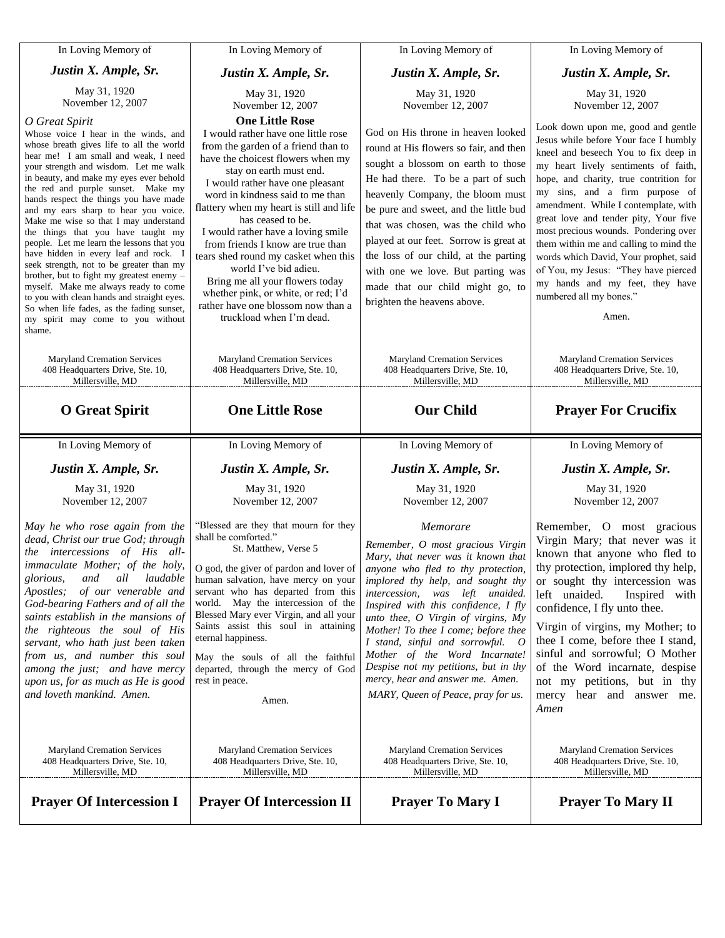| In Loving Memory of                                                                                                                                                                                                                                                                                                                                                                                                                                                                                                                                                                                                                                                                                                                                                                                    | In Loving Memory of                                                                                                                                                                                                                                                                                                                                                                                                                                                                                                                                                                                   | In Loving Memory of                                                                                                                                                                                                                                                                                                                                                                                                                                                    | In Loving Memory of                                                                                                                                                                                                                                                                                                                                                                                                                                                                                                                                                |
|--------------------------------------------------------------------------------------------------------------------------------------------------------------------------------------------------------------------------------------------------------------------------------------------------------------------------------------------------------------------------------------------------------------------------------------------------------------------------------------------------------------------------------------------------------------------------------------------------------------------------------------------------------------------------------------------------------------------------------------------------------------------------------------------------------|-------------------------------------------------------------------------------------------------------------------------------------------------------------------------------------------------------------------------------------------------------------------------------------------------------------------------------------------------------------------------------------------------------------------------------------------------------------------------------------------------------------------------------------------------------------------------------------------------------|------------------------------------------------------------------------------------------------------------------------------------------------------------------------------------------------------------------------------------------------------------------------------------------------------------------------------------------------------------------------------------------------------------------------------------------------------------------------|--------------------------------------------------------------------------------------------------------------------------------------------------------------------------------------------------------------------------------------------------------------------------------------------------------------------------------------------------------------------------------------------------------------------------------------------------------------------------------------------------------------------------------------------------------------------|
| Justin X. Ample, Sr.                                                                                                                                                                                                                                                                                                                                                                                                                                                                                                                                                                                                                                                                                                                                                                                   | Justin X. Ample, Sr.                                                                                                                                                                                                                                                                                                                                                                                                                                                                                                                                                                                  | Justin X. Ample, Sr.                                                                                                                                                                                                                                                                                                                                                                                                                                                   | Justin X. Ample, Sr.                                                                                                                                                                                                                                                                                                                                                                                                                                                                                                                                               |
| May 31, 1920<br>November 12, 2007                                                                                                                                                                                                                                                                                                                                                                                                                                                                                                                                                                                                                                                                                                                                                                      | May 31, 1920<br>November 12, 2007                                                                                                                                                                                                                                                                                                                                                                                                                                                                                                                                                                     | May 31, 1920<br>November 12, 2007                                                                                                                                                                                                                                                                                                                                                                                                                                      | May 31, 1920<br>November 12, 2007                                                                                                                                                                                                                                                                                                                                                                                                                                                                                                                                  |
| O Great Spirit<br>Whose voice I hear in the winds, and<br>whose breath gives life to all the world<br>hear me! I am small and weak, I need<br>your strength and wisdom. Let me walk<br>in beauty, and make my eyes ever behold<br>the red and purple sunset. Make my<br>hands respect the things you have made<br>and my ears sharp to hear you voice.<br>Make me wise so that I may understand<br>the things that you have taught my<br>people. Let me learn the lessons that you<br>have hidden in every leaf and rock. I<br>seek strength, not to be greater than my<br>brother, but to fight my greatest enemy -<br>myself. Make me always ready to come<br>to you with clean hands and straight eyes.<br>So when life fades, as the fading sunset,<br>my spirit may come to you without<br>shame. | <b>One Little Rose</b><br>I would rather have one little rose<br>from the garden of a friend than to<br>have the choicest flowers when my<br>stay on earth must end.<br>I would rather have one pleasant<br>word in kindness said to me than<br>flattery when my heart is still and life<br>has ceased to be.<br>I would rather have a loving smile<br>from friends I know are true than<br>tears shed round my casket when this<br>world I've bid adieu.<br>Bring me all your flowers today<br>whether pink, or white, or red; I'd<br>rather have one blossom now than a<br>truckload when I'm dead. | God on His throne in heaven looked<br>round at His flowers so fair, and then<br>sought a blossom on earth to those<br>He had there. To be a part of such<br>heavenly Company, the bloom must<br>be pure and sweet, and the little bud<br>that was chosen, was the child who<br>played at our feet. Sorrow is great at<br>the loss of our child, at the parting<br>with one we love. But parting was<br>made that our child might go, to<br>brighten the heavens above. | Look down upon me, good and gentle<br>Jesus while before Your face I humbly<br>kneel and beseech You to fix deep in<br>my heart lively sentiments of faith,<br>hope, and charity, true contrition for<br>my sins, and a firm purpose of<br>amendment. While I contemplate, with<br>great love and tender pity, Your five<br>most precious wounds. Pondering over<br>them within me and calling to mind the<br>words which David, Your prophet, said<br>of You, my Jesus: "They have pierced<br>my hands and my feet, they have<br>numbered all my bones."<br>Amen. |
| <b>Maryland Cremation Services</b><br>408 Headquarters Drive, Ste. 10,<br>Millersville, MD                                                                                                                                                                                                                                                                                                                                                                                                                                                                                                                                                                                                                                                                                                             | <b>Maryland Cremation Services</b><br>408 Headquarters Drive, Ste. 10,<br>Millersville, MD                                                                                                                                                                                                                                                                                                                                                                                                                                                                                                            | <b>Maryland Cremation Services</b><br>408 Headquarters Drive, Ste. 10,<br>Millersville, MD                                                                                                                                                                                                                                                                                                                                                                             | <b>Maryland Cremation Services</b><br>408 Headquarters Drive, Ste. 10,<br>Millersville, MD                                                                                                                                                                                                                                                                                                                                                                                                                                                                         |
| <b>O</b> Great Spirit                                                                                                                                                                                                                                                                                                                                                                                                                                                                                                                                                                                                                                                                                                                                                                                  | <b>One Little Rose</b>                                                                                                                                                                                                                                                                                                                                                                                                                                                                                                                                                                                | <b>Our Child</b>                                                                                                                                                                                                                                                                                                                                                                                                                                                       | <b>Prayer For Crucifix</b>                                                                                                                                                                                                                                                                                                                                                                                                                                                                                                                                         |
|                                                                                                                                                                                                                                                                                                                                                                                                                                                                                                                                                                                                                                                                                                                                                                                                        |                                                                                                                                                                                                                                                                                                                                                                                                                                                                                                                                                                                                       |                                                                                                                                                                                                                                                                                                                                                                                                                                                                        |                                                                                                                                                                                                                                                                                                                                                                                                                                                                                                                                                                    |
| In Loving Memory of                                                                                                                                                                                                                                                                                                                                                                                                                                                                                                                                                                                                                                                                                                                                                                                    | In Loving Memory of                                                                                                                                                                                                                                                                                                                                                                                                                                                                                                                                                                                   | In Loving Memory of                                                                                                                                                                                                                                                                                                                                                                                                                                                    | In Loving Memory of                                                                                                                                                                                                                                                                                                                                                                                                                                                                                                                                                |
| Justin X. Ample, Sr.                                                                                                                                                                                                                                                                                                                                                                                                                                                                                                                                                                                                                                                                                                                                                                                   | Justin X. Ample, Sr.                                                                                                                                                                                                                                                                                                                                                                                                                                                                                                                                                                                  | Justin X. Ample, Sr.                                                                                                                                                                                                                                                                                                                                                                                                                                                   | Justin X. Ample, Sr.                                                                                                                                                                                                                                                                                                                                                                                                                                                                                                                                               |
| May 31, 1920<br>November 12, 2007                                                                                                                                                                                                                                                                                                                                                                                                                                                                                                                                                                                                                                                                                                                                                                      | May 31, 1920<br>November 12, 2007                                                                                                                                                                                                                                                                                                                                                                                                                                                                                                                                                                     | May 31, 1920<br>November 12, 2007                                                                                                                                                                                                                                                                                                                                                                                                                                      | May 31, 1920<br>November 12, 2007                                                                                                                                                                                                                                                                                                                                                                                                                                                                                                                                  |
| May he who rose again from the<br>dead, Christ our true God; through<br>the intercessions of His all-<br><i>immaculate Mother</i> ; <i>of the holy</i> ,<br>all<br>glorious,<br>and<br>laudable<br>of our venerable and<br><i>Apostles;</i><br>God-bearing Fathers and of all the<br>saints establish in the mansions of<br>the righteous the soul of His<br>servant, who hath just been taken<br>from us, and number this soul                                                                                                                                                                                                                                                                                                                                                                        | "Blessed are they that mourn for they<br>shall be comforted."<br>St. Matthew, Verse 5<br>O god, the giver of pardon and lover of<br>human salvation, have mercy on your<br>servant who has departed from this<br>world. May the intercession of the<br>Blessed Mary ever Virgin, and all your<br>Saints assist this soul in attaining<br>eternal happiness.<br>May the souls of all the faithful                                                                                                                                                                                                      | <b>Memorare</b><br>Remember, O most gracious Virgin<br>Mary, that never was it known that<br>anyone who fled to thy protection,<br>implored thy help, and sought thy<br>intercession, was left unaided.<br>Inspired with this confidence, I fly<br>unto thee, $O$ Virgin of virgins, $My$<br>Mother! To thee I come; before thee<br>I stand, sinful and sorrowful.<br>Mother of the Word Incarnate!                                                                    | Remember, O most gracious<br>Virgin Mary; that never was it<br>known that anyone who fled to<br>thy protection, implored thy help,<br>or sought thy intercession was<br>left unaided.<br>Inspired with<br>confidence, I fly unto thee.<br>Virgin of virgins, my Mother; to<br>thee I come, before thee I stand,<br>sinful and sorrowful; O Mother                                                                                                                                                                                                                  |
| among the just; and have mercy<br>upon us, for as much as He is good<br>and loveth mankind. Amen.<br><b>Maryland Cremation Services</b><br>408 Headquarters Drive, Ste. 10,<br>Millersville, MD                                                                                                                                                                                                                                                                                                                                                                                                                                                                                                                                                                                                        | departed, through the mercy of God<br>rest in peace.<br>Amen.<br><b>Maryland Cremation Services</b><br>408 Headquarters Drive, Ste. 10,<br>Millersville, MD                                                                                                                                                                                                                                                                                                                                                                                                                                           | Despise not my petitions, but in thy<br>mercy, hear and answer me. Amen.<br>MARY, Queen of Peace, pray for us.<br><b>Maryland Cremation Services</b><br>408 Headquarters Drive, Ste. 10,<br>Millersville, MD                                                                                                                                                                                                                                                           | of the Word incarnate, despise<br>not my petitions, but in thy<br>mercy hear and answer me.<br>Amen<br><b>Maryland Cremation Services</b><br>408 Headquarters Drive, Ste. 10,<br>Millersville, MD                                                                                                                                                                                                                                                                                                                                                                  |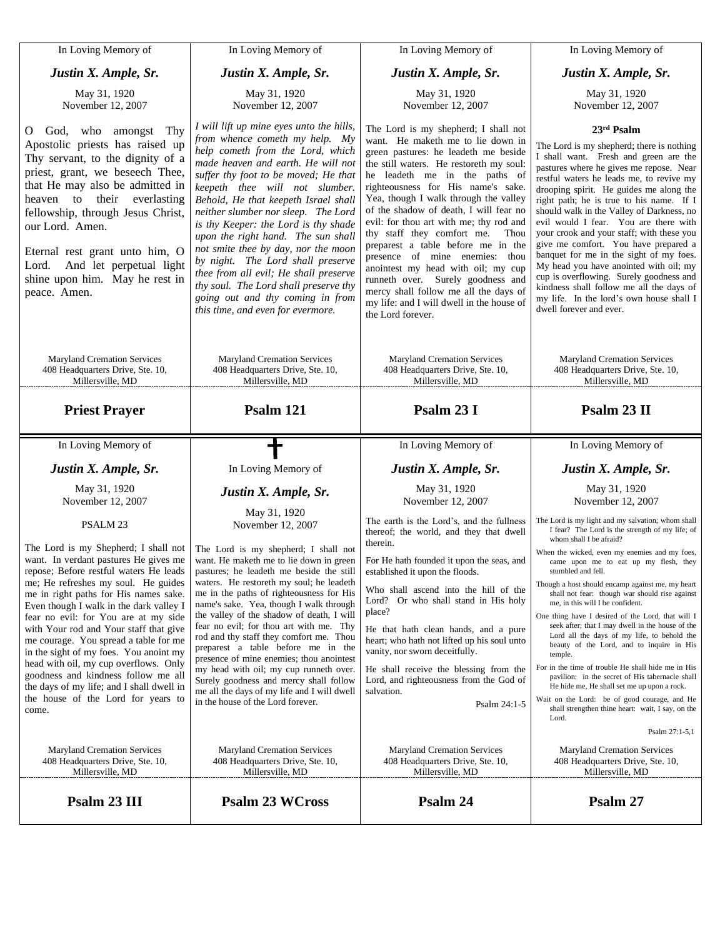| In Loving Memory of                                                                                                                                                                                                                                                                                                                                                                   | In Loving Memory of                                                                                                                                                                                                                                                                                                                                                                                                                                                                                                                                                                                                                | In Loving Memory of                                                                                                                                                                                                                                                                                                                                                                                                                                                                                                                                                                                                                                                   | In Loving Memory of                                                                                                                                                                                                                                                                                                                                                                                                                                                                                                                                                                                                                                                                                          |
|---------------------------------------------------------------------------------------------------------------------------------------------------------------------------------------------------------------------------------------------------------------------------------------------------------------------------------------------------------------------------------------|------------------------------------------------------------------------------------------------------------------------------------------------------------------------------------------------------------------------------------------------------------------------------------------------------------------------------------------------------------------------------------------------------------------------------------------------------------------------------------------------------------------------------------------------------------------------------------------------------------------------------------|-----------------------------------------------------------------------------------------------------------------------------------------------------------------------------------------------------------------------------------------------------------------------------------------------------------------------------------------------------------------------------------------------------------------------------------------------------------------------------------------------------------------------------------------------------------------------------------------------------------------------------------------------------------------------|--------------------------------------------------------------------------------------------------------------------------------------------------------------------------------------------------------------------------------------------------------------------------------------------------------------------------------------------------------------------------------------------------------------------------------------------------------------------------------------------------------------------------------------------------------------------------------------------------------------------------------------------------------------------------------------------------------------|
| Justin X. Ample, Sr.                                                                                                                                                                                                                                                                                                                                                                  | Justin X. Ample, Sr.                                                                                                                                                                                                                                                                                                                                                                                                                                                                                                                                                                                                               | Justin X. Ample, Sr.                                                                                                                                                                                                                                                                                                                                                                                                                                                                                                                                                                                                                                                  | Justin X. Ample, Sr.                                                                                                                                                                                                                                                                                                                                                                                                                                                                                                                                                                                                                                                                                         |
| May 31, 1920<br>November 12, 2007                                                                                                                                                                                                                                                                                                                                                     | May 31, 1920<br>November 12, 2007                                                                                                                                                                                                                                                                                                                                                                                                                                                                                                                                                                                                  | May 31, 1920<br>November 12, 2007                                                                                                                                                                                                                                                                                                                                                                                                                                                                                                                                                                                                                                     | May 31, 1920<br>November 12, 2007                                                                                                                                                                                                                                                                                                                                                                                                                                                                                                                                                                                                                                                                            |
| who amongst Thy<br>0<br>God.<br>Apostolic priests has raised up<br>Thy servant, to the dignity of a<br>priest, grant, we beseech Thee,<br>that He may also be admitted in<br>heaven to their everlasting<br>fellowship, through Jesus Christ,<br>our Lord. Amen.<br>Eternal rest grant unto him, O<br>Lord. And let perpetual light<br>shine upon him. May he rest in<br>peace. Amen. | I will lift up mine eyes unto the hills,<br>from whence cometh my help. My<br>help cometh from the Lord, which<br>made heaven and earth. He will not<br>suffer thy foot to be moved; He that<br>keepeth thee will not slumber.<br>Behold, He that keepeth Israel shall<br>neither slumber nor sleep. The Lord<br>is thy Keeper: the Lord is thy shade<br>upon the right hand. The sun shall<br>not smite thee by day, nor the moon<br>by night. The Lord shall preserve<br>thee from all evil; He shall preserve<br>thy soul. The Lord shall preserve thy<br>going out and thy coming in from<br>this time, and even for evermore. | The Lord is my shepherd; I shall not<br>want. He maketh me to lie down in<br>green pastures: he leadeth me beside<br>the still waters. He restoreth my soul:<br>he leadeth me in the paths of<br>righteousness for His name's sake.<br>Yea, though I walk through the valley<br>of the shadow of death, I will fear no<br>evil: for thou art with me; thy rod and<br>thy staff they comfort me.<br>Thou<br>preparest a table before me in the<br>presence of mine enemies: thou<br>anointest my head with oil; my cup<br>runneth over. Surely goodness and<br>mercy shall follow me all the days of<br>my life: and I will dwell in the house of<br>the Lord forever. | 23rd Psalm<br>The Lord is my shepherd; there is nothing<br>I shall want. Fresh and green are the<br>pastures where he gives me repose. Near<br>restful waters he leads me, to revive my<br>drooping spirit. He guides me along the<br>right path; he is true to his name. If I<br>should walk in the Valley of Darkness, no<br>evil would I fear. You are there with<br>your crook and your staff; with these you<br>give me comfort. You have prepared a<br>banquet for me in the sight of my foes.<br>My head you have anointed with oil; my<br>cup is overflowing. Surely goodness and<br>kindness shall follow me all the days of<br>my life. In the lord's own house shall I<br>dwell forever and ever. |
| <b>Maryland Cremation Services</b><br>408 Headquarters Drive, Ste. 10,<br>Millersville, MD                                                                                                                                                                                                                                                                                            | <b>Maryland Cremation Services</b><br>408 Headquarters Drive, Ste. 10,<br>Millersville, MD                                                                                                                                                                                                                                                                                                                                                                                                                                                                                                                                         | <b>Maryland Cremation Services</b><br>408 Headquarters Drive, Ste. 10,<br>Millersville, MD                                                                                                                                                                                                                                                                                                                                                                                                                                                                                                                                                                            | <b>Maryland Cremation Services</b><br>408 Headquarters Drive, Ste. 10,<br>Millersville, MD                                                                                                                                                                                                                                                                                                                                                                                                                                                                                                                                                                                                                   |
| <b>Priest Prayer</b>                                                                                                                                                                                                                                                                                                                                                                  | Psalm 121                                                                                                                                                                                                                                                                                                                                                                                                                                                                                                                                                                                                                          | Psalm 23 I                                                                                                                                                                                                                                                                                                                                                                                                                                                                                                                                                                                                                                                            | Psalm 23 II                                                                                                                                                                                                                                                                                                                                                                                                                                                                                                                                                                                                                                                                                                  |
|                                                                                                                                                                                                                                                                                                                                                                                       |                                                                                                                                                                                                                                                                                                                                                                                                                                                                                                                                                                                                                                    |                                                                                                                                                                                                                                                                                                                                                                                                                                                                                                                                                                                                                                                                       |                                                                                                                                                                                                                                                                                                                                                                                                                                                                                                                                                                                                                                                                                                              |
| In Loving Memory of                                                                                                                                                                                                                                                                                                                                                                   |                                                                                                                                                                                                                                                                                                                                                                                                                                                                                                                                                                                                                                    | In Loving Memory of                                                                                                                                                                                                                                                                                                                                                                                                                                                                                                                                                                                                                                                   | In Loving Memory of                                                                                                                                                                                                                                                                                                                                                                                                                                                                                                                                                                                                                                                                                          |
| Justin X. Ample, Sr.                                                                                                                                                                                                                                                                                                                                                                  | In Loving Memory of                                                                                                                                                                                                                                                                                                                                                                                                                                                                                                                                                                                                                | Justin X. Ample, Sr.                                                                                                                                                                                                                                                                                                                                                                                                                                                                                                                                                                                                                                                  | Justin X. Ample, Sr.                                                                                                                                                                                                                                                                                                                                                                                                                                                                                                                                                                                                                                                                                         |
| May 31, 1920<br>November 12, 2007                                                                                                                                                                                                                                                                                                                                                     | Justin X. Ample, Sr.                                                                                                                                                                                                                                                                                                                                                                                                                                                                                                                                                                                                               | May 31, 1920<br>November 12, 2007                                                                                                                                                                                                                                                                                                                                                                                                                                                                                                                                                                                                                                     | May 31, 1920<br>November 12, 2007                                                                                                                                                                                                                                                                                                                                                                                                                                                                                                                                                                                                                                                                            |
| PSALM <sub>23</sub>                                                                                                                                                                                                                                                                                                                                                                   | May 31, 1920<br>November 12, 2007                                                                                                                                                                                                                                                                                                                                                                                                                                                                                                                                                                                                  | The earth is the Lord's, and the fullness<br>thereof; the world, and they that dwell                                                                                                                                                                                                                                                                                                                                                                                                                                                                                                                                                                                  | whom shall I be afraid?                                                                                                                                                                                                                                                                                                                                                                                                                                                                                                                                                                                                                                                                                      |
| The Lord is my Shepherd; I shall not<br>want. In verdant pastures He gives me                                                                                                                                                                                                                                                                                                         | The Lord is my shepherd; I shall not<br>want. He maketh me to lie down in green                                                                                                                                                                                                                                                                                                                                                                                                                                                                                                                                                    | therein.<br>For He hath founded it upon the seas, and                                                                                                                                                                                                                                                                                                                                                                                                                                                                                                                                                                                                                 | came upon me to eat up my flesh, they<br>stumbled and fell.                                                                                                                                                                                                                                                                                                                                                                                                                                                                                                                                                                                                                                                  |
| repose; Before restful waters He leads<br>me; He refreshes my soul. He guides<br>me in right paths for His names sake.                                                                                                                                                                                                                                                                | pastures; he leadeth me beside the still<br>waters. He restoreth my soul; he leadeth<br>me in the paths of righteousness for His<br>name's sake. Yea, though I walk through                                                                                                                                                                                                                                                                                                                                                                                                                                                        | established it upon the floods.<br>Who shall ascend into the hill of the<br>Lord? Or who shall stand in His holy                                                                                                                                                                                                                                                                                                                                                                                                                                                                                                                                                      | Though a host should encamp against me, my heart<br>me, in this will I be confident.                                                                                                                                                                                                                                                                                                                                                                                                                                                                                                                                                                                                                         |
| Even though I walk in the dark valley I<br>fear no evil: for You are at my side<br>with Your rod and Your staff that give<br>me courage. You spread a table for me<br>in the sight of my foes. You anoint my                                                                                                                                                                          | the valley of the shadow of death, I will<br>fear no evil; for thou art with me. Thy<br>rod and thy staff they comfort me. Thou<br>preparest a table before me in the                                                                                                                                                                                                                                                                                                                                                                                                                                                              | place?<br>He that hath clean hands, and a pure<br>heart; who hath not lifted up his soul unto<br>vanity, nor sworn deceitfully.                                                                                                                                                                                                                                                                                                                                                                                                                                                                                                                                       | temple.                                                                                                                                                                                                                                                                                                                                                                                                                                                                                                                                                                                                                                                                                                      |
| head with oil, my cup overflows. Only<br>goodness and kindness follow me all<br>the days of my life; and I shall dwell in                                                                                                                                                                                                                                                             | presence of mine enemies; thou anointest<br>my head with oil; my cup runneth over.<br>Surely goodness and mercy shall follow                                                                                                                                                                                                                                                                                                                                                                                                                                                                                                       | He shall receive the blessing from the<br>Lord, and righteousness from the God of<br>salvation.                                                                                                                                                                                                                                                                                                                                                                                                                                                                                                                                                                       | He hide me, He shall set me up upon a rock.                                                                                                                                                                                                                                                                                                                                                                                                                                                                                                                                                                                                                                                                  |
| the house of the Lord for years to<br>come.                                                                                                                                                                                                                                                                                                                                           | me all the days of my life and I will dwell<br>in the house of the Lord forever.                                                                                                                                                                                                                                                                                                                                                                                                                                                                                                                                                   | Psalm 24:1-5                                                                                                                                                                                                                                                                                                                                                                                                                                                                                                                                                                                                                                                          | For in the time of trouble He shall hide me in His<br>pavilion: in the secret of His tabernacle shall<br>Lord.                                                                                                                                                                                                                                                                                                                                                                                                                                                                                                                                                                                               |
|                                                                                                                                                                                                                                                                                                                                                                                       |                                                                                                                                                                                                                                                                                                                                                                                                                                                                                                                                                                                                                                    |                                                                                                                                                                                                                                                                                                                                                                                                                                                                                                                                                                                                                                                                       | Psalm 27:1-5,1                                                                                                                                                                                                                                                                                                                                                                                                                                                                                                                                                                                                                                                                                               |
| <b>Maryland Cremation Services</b><br>408 Headquarters Drive, Ste. 10,<br>Millersville, MD                                                                                                                                                                                                                                                                                            | <b>Maryland Cremation Services</b><br>408 Headquarters Drive, Ste. 10,<br>Millersville, MD                                                                                                                                                                                                                                                                                                                                                                                                                                                                                                                                         | Maryland Cremation Services<br>408 Headquarters Drive, Ste. 10,<br>Millersville, MD                                                                                                                                                                                                                                                                                                                                                                                                                                                                                                                                                                                   | The Lord is my light and my salvation; whom shall<br>I fear? The Lord is the strength of my life; of<br>When the wicked, even my enemies and my foes,<br>shall not fear: though war should rise against<br>One thing have I desired of the Lord, that will I<br>seek after; that I may dwell in the house of the<br>Lord all the days of my life, to behold the<br>beauty of the Lord, and to inquire in His<br>Wait on the Lord: be of good courage, and He<br>shall strengthen thine heart: wait, I say, on the<br><b>Maryland Cremation Services</b><br>408 Headquarters Drive, Ste. 10,<br>Millersville, MD                                                                                              |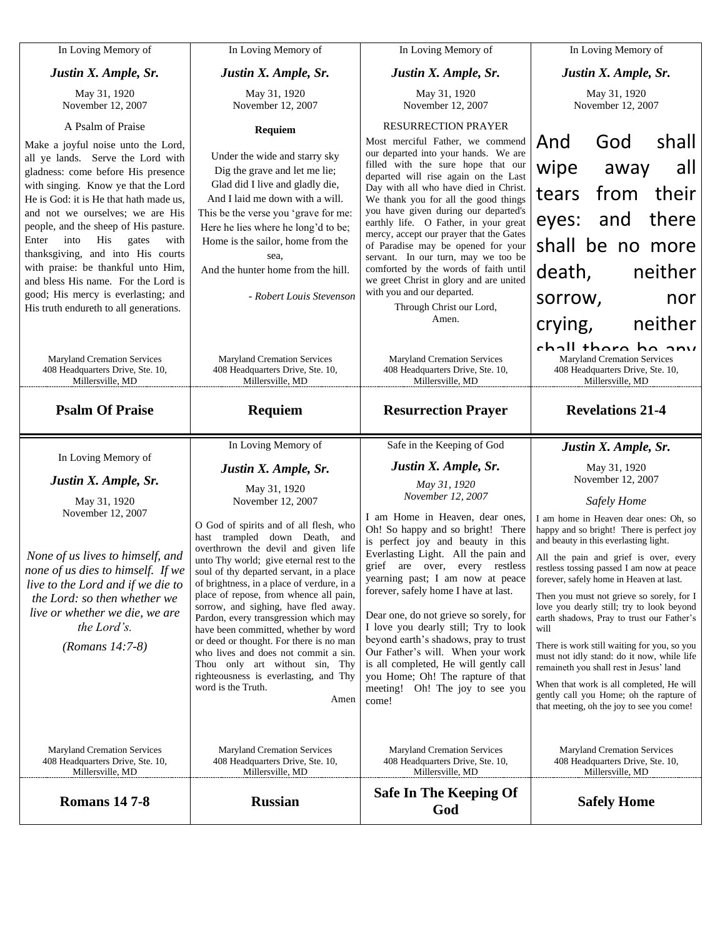| In Loving Memory of                                                                                                                                                                                                                                                                                                                                                                                                                                                                                                                          | In Loving Memory of                                                                                                                                                                                                                                                                                                                                                                                                                                                                                                                                                                                                                                                                                     | In Loving Memory of                                                                                                                                                                                                                                                                                                                                                                                                                                                                                                                                                                                                                                 | In Loving Memory of                                                                                                                                                                                                                                                                                                                                                                                                                                                                                                                                                                                                                                                                                                                                                 |
|----------------------------------------------------------------------------------------------------------------------------------------------------------------------------------------------------------------------------------------------------------------------------------------------------------------------------------------------------------------------------------------------------------------------------------------------------------------------------------------------------------------------------------------------|---------------------------------------------------------------------------------------------------------------------------------------------------------------------------------------------------------------------------------------------------------------------------------------------------------------------------------------------------------------------------------------------------------------------------------------------------------------------------------------------------------------------------------------------------------------------------------------------------------------------------------------------------------------------------------------------------------|-----------------------------------------------------------------------------------------------------------------------------------------------------------------------------------------------------------------------------------------------------------------------------------------------------------------------------------------------------------------------------------------------------------------------------------------------------------------------------------------------------------------------------------------------------------------------------------------------------------------------------------------------------|---------------------------------------------------------------------------------------------------------------------------------------------------------------------------------------------------------------------------------------------------------------------------------------------------------------------------------------------------------------------------------------------------------------------------------------------------------------------------------------------------------------------------------------------------------------------------------------------------------------------------------------------------------------------------------------------------------------------------------------------------------------------|
| Justin X. Ample, Sr.                                                                                                                                                                                                                                                                                                                                                                                                                                                                                                                         | Justin X. Ample, Sr.                                                                                                                                                                                                                                                                                                                                                                                                                                                                                                                                                                                                                                                                                    | Justin X. Ample, Sr.                                                                                                                                                                                                                                                                                                                                                                                                                                                                                                                                                                                                                                | Justin X. Ample, Sr.                                                                                                                                                                                                                                                                                                                                                                                                                                                                                                                                                                                                                                                                                                                                                |
| May 31, 1920<br>November 12, 2007                                                                                                                                                                                                                                                                                                                                                                                                                                                                                                            | May 31, 1920<br>November 12, 2007                                                                                                                                                                                                                                                                                                                                                                                                                                                                                                                                                                                                                                                                       | May 31, 1920<br>November 12, 2007                                                                                                                                                                                                                                                                                                                                                                                                                                                                                                                                                                                                                   | May 31, 1920<br>November 12, 2007                                                                                                                                                                                                                                                                                                                                                                                                                                                                                                                                                                                                                                                                                                                                   |
| A Psalm of Praise<br>Make a joyful noise unto the Lord,<br>all ye lands. Serve the Lord with<br>gladness: come before His presence<br>with singing. Know ye that the Lord<br>He is God: it is He that hath made us,<br>and not we ourselves; we are His<br>people, and the sheep of His pasture.<br>His<br>Enter<br>into<br>gates<br>with<br>thanksgiving, and into His courts<br>with praise: be thankful unto Him,<br>and bless His name. For the Lord is<br>good; His mercy is everlasting; and<br>His truth endureth to all generations. | Requiem<br>Under the wide and starry sky<br>Dig the grave and let me lie;<br>Glad did I live and gladly die,<br>And I laid me down with a will.<br>This be the verse you 'grave for me:<br>Here he lies where he long'd to be;<br>Home is the sailor, home from the<br>sea,<br>And the hunter home from the hill.<br>- Robert Louis Stevenson                                                                                                                                                                                                                                                                                                                                                           | <b>RESURRECTION PRAYER</b><br>Most merciful Father, we commend<br>our departed into your hands. We are<br>filled with the sure hope that our<br>departed will rise again on the Last<br>Day with all who have died in Christ.<br>We thank you for all the good things<br>you have given during our departed's<br>earthly life. O Father, in your great<br>mercy, accept our prayer that the Gates<br>of Paradise may be opened for your<br>servant. In our turn, may we too be<br>comforted by the words of faith until<br>we greet Christ in glory and are united<br>with you and our departed.<br>Through Christ our Lord,<br>Amen.               | shall<br>And<br>God<br>wipe<br>all<br>away<br>from<br>their<br>tears<br>there<br>eyes:<br>and<br>shall be no more<br>neither<br>death,<br>sorrow,<br>nor                                                                                                                                                                                                                                                                                                                                                                                                                                                                                                                                                                                                            |
| <b>Maryland Cremation Services</b><br>408 Headquarters Drive, Ste. 10,<br>Millersville, MD                                                                                                                                                                                                                                                                                                                                                                                                                                                   | <b>Maryland Cremation Services</b><br>408 Headquarters Drive, Ste. 10,<br>Millersville, MD                                                                                                                                                                                                                                                                                                                                                                                                                                                                                                                                                                                                              | <b>Maryland Cremation Services</b><br>408 Headquarters Drive, Ste. 10,<br>Millersville, MD                                                                                                                                                                                                                                                                                                                                                                                                                                                                                                                                                          | neither<br>crying,<br>chall thara ha any<br><b>Maryland Cremation Services</b><br>408 Headquarters Drive, Ste. 10,<br>Millersville, MD                                                                                                                                                                                                                                                                                                                                                                                                                                                                                                                                                                                                                              |
| <b>Psalm Of Praise</b>                                                                                                                                                                                                                                                                                                                                                                                                                                                                                                                       | Requiem                                                                                                                                                                                                                                                                                                                                                                                                                                                                                                                                                                                                                                                                                                 | <b>Resurrection Prayer</b>                                                                                                                                                                                                                                                                                                                                                                                                                                                                                                                                                                                                                          | <b>Revelations 21-4</b>                                                                                                                                                                                                                                                                                                                                                                                                                                                                                                                                                                                                                                                                                                                                             |
|                                                                                                                                                                                                                                                                                                                                                                                                                                                                                                                                              |                                                                                                                                                                                                                                                                                                                                                                                                                                                                                                                                                                                                                                                                                                         |                                                                                                                                                                                                                                                                                                                                                                                                                                                                                                                                                                                                                                                     |                                                                                                                                                                                                                                                                                                                                                                                                                                                                                                                                                                                                                                                                                                                                                                     |
| In Loving Memory of<br>Justin X. Ample, Sr.<br>May 31, 1920<br>November 12, 2007<br>None of us lives to himself, and<br>none of us dies to himself. If we<br>live to the Lord and if we die to<br>the Lord: so then whether we<br>live or whether we die, we are<br>the Lord's.<br>(Romans 14:7-8)                                                                                                                                                                                                                                           | In Loving Memory of<br>Justin X. Ample, Sr.<br>May 31, 1920<br>November 12, 2007<br>O God of spirits and of all flesh, who<br>hast trampled down Death, and<br>overthrown the devil and given life<br>unto Thy world; give eternal rest to the<br>soul of thy departed servant, in a place<br>of brightness, in a place of verdure, in a<br>place of repose, from whence all pain,<br>sorrow, and sighing, have fled away.<br>Pardon, every transgression which may<br>have been committed, whether by word<br>or deed or thought. For there is no man<br>who lives and does not commit a sin.<br>Thou only art without sin, Thy<br>righteousness is everlasting, and Thy<br>word is the Truth.<br>Amen | Safe in the Keeping of God<br>Justin X. Ample, Sr.<br>May 31, 1920<br>November 12, 2007<br>I am Home in Heaven, dear ones,<br>Oh! So happy and so bright! There<br>is perfect joy and beauty in this<br>Everlasting Light. All the pain and<br>grief are over, every restless<br>yearning past; I am now at peace<br>forever, safely home I have at last.<br>Dear one, do not grieve so sorely, for<br>I love you dearly still; Try to look<br>beyond earth's shadows, pray to trust<br>Our Father's will. When your work<br>is all completed, He will gently call<br>you Home; Oh! The rapture of that<br>meeting! Oh! The joy to see you<br>come! | Justin X. Ample, Sr.<br>May 31, 1920<br>November 12, 2007<br>Safely Home<br>I am home in Heaven dear ones: Oh, so<br>happy and so bright! There is perfect joy<br>and beauty in this everlasting light.<br>All the pain and grief is over, every<br>restless tossing passed I am now at peace<br>forever, safely home in Heaven at last.<br>Then you must not grieve so sorely, for I<br>love you dearly still; try to look beyond<br>earth shadows, Pray to trust our Father's<br>will<br>There is work still waiting for you, so you<br>must not idly stand: do it now, while life<br>remaineth you shall rest in Jesus' land<br>When that work is all completed, He will<br>gently call you Home; oh the rapture of<br>that meeting, oh the joy to see you come! |
| <b>Maryland Cremation Services</b><br>408 Headquarters Drive, Ste. 10,<br>Millersville, MD                                                                                                                                                                                                                                                                                                                                                                                                                                                   | <b>Maryland Cremation Services</b><br>408 Headquarters Drive, Ste. 10,<br>Millersville, MD                                                                                                                                                                                                                                                                                                                                                                                                                                                                                                                                                                                                              | <b>Maryland Cremation Services</b><br>408 Headquarters Drive, Ste. 10,<br>Millersville, MD                                                                                                                                                                                                                                                                                                                                                                                                                                                                                                                                                          | <b>Maryland Cremation Services</b><br>408 Headquarters Drive, Ste. 10,<br>Millersville, MD                                                                                                                                                                                                                                                                                                                                                                                                                                                                                                                                                                                                                                                                          |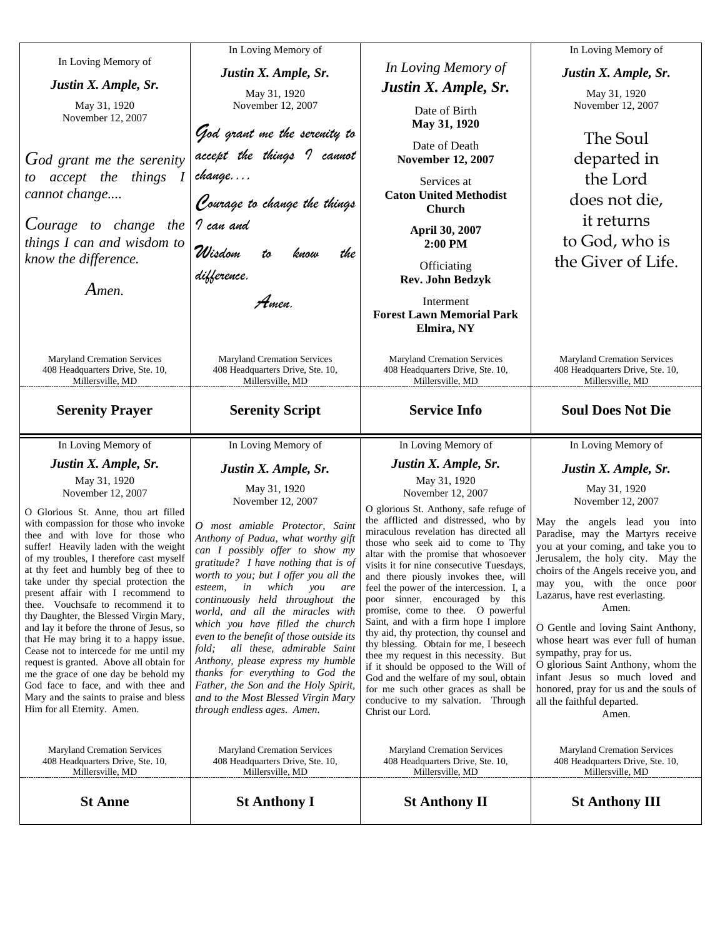| In Loving Memory of                                                                 | In Loving Memory of                                                             |                                                                                   | In Loving Memory of                                                                                                                                                                                                                                                                                                                                                                                                |
|-------------------------------------------------------------------------------------|---------------------------------------------------------------------------------|-----------------------------------------------------------------------------------|--------------------------------------------------------------------------------------------------------------------------------------------------------------------------------------------------------------------------------------------------------------------------------------------------------------------------------------------------------------------------------------------------------------------|
|                                                                                     | Justin X. Ample, Sr.                                                            | In Loving Memory of                                                               | Justin X. Ample, Sr.                                                                                                                                                                                                                                                                                                                                                                                               |
| Justin X. Ample, Sr.                                                                | May 31, 1920                                                                    | Justin X. Ample, Sr.                                                              | May 31, 1920                                                                                                                                                                                                                                                                                                                                                                                                       |
| May 31, 1920<br>November 12, 2007                                                   | November 12, 2007                                                               | Date of Birth                                                                     | November 12, 2007                                                                                                                                                                                                                                                                                                                                                                                                  |
|                                                                                     | God grant me the serenity to                                                    | May 31, 1920                                                                      | The Soul                                                                                                                                                                                                                                                                                                                                                                                                           |
|                                                                                     | accept the things I cannot                                                      | Date of Death                                                                     |                                                                                                                                                                                                                                                                                                                                                                                                                    |
| God grant me the serenity                                                           | change                                                                          | <b>November 12, 2007</b>                                                          | departed in                                                                                                                                                                                                                                                                                                                                                                                                        |
| to accept the things                                                                |                                                                                 | Services at                                                                       | the Lord                                                                                                                                                                                                                                                                                                                                                                                                           |
| cannot change                                                                       | Courage to change the things                                                    | <b>Caton United Methodist</b><br>Church                                           | does not die,                                                                                                                                                                                                                                                                                                                                                                                                      |
| Courage to change the                                                               | I can and                                                                       |                                                                                   | it returns                                                                                                                                                                                                                                                                                                                                                                                                         |
| things I can and wisdom to                                                          |                                                                                 | April 30, 2007<br>2:00 PM                                                         | to God, who is                                                                                                                                                                                                                                                                                                                                                                                                     |
| know the difference.                                                                | Wisdom<br>the<br>know<br>to                                                     | Officiating                                                                       | the Giver of Life.                                                                                                                                                                                                                                                                                                                                                                                                 |
|                                                                                     | difference.                                                                     | Rev. John Bedzyk                                                                  |                                                                                                                                                                                                                                                                                                                                                                                                                    |
| Amen.                                                                               | Amen.                                                                           | Interment                                                                         |                                                                                                                                                                                                                                                                                                                                                                                                                    |
|                                                                                     |                                                                                 | <b>Forest Lawn Memorial Park</b>                                                  |                                                                                                                                                                                                                                                                                                                                                                                                                    |
|                                                                                     |                                                                                 | Elmira, NY                                                                        |                                                                                                                                                                                                                                                                                                                                                                                                                    |
| <b>Maryland Cremation Services</b>                                                  | <b>Maryland Cremation Services</b>                                              | <b>Maryland Cremation Services</b>                                                | <b>Maryland Cremation Services</b>                                                                                                                                                                                                                                                                                                                                                                                 |
| 408 Headquarters Drive, Ste. 10,                                                    | 408 Headquarters Drive, Ste. 10,                                                | 408 Headquarters Drive, Ste. 10,                                                  | 408 Headquarters Drive, Ste. 10,                                                                                                                                                                                                                                                                                                                                                                                   |
| Millersville, MD                                                                    | Millersville, MD                                                                | Millersville, MD                                                                  | Millersville, MD                                                                                                                                                                                                                                                                                                                                                                                                   |
| <b>Serenity Prayer</b>                                                              | <b>Serenity Script</b>                                                          | <b>Service Info</b>                                                               | <b>Soul Does Not Die</b>                                                                                                                                                                                                                                                                                                                                                                                           |
|                                                                                     |                                                                                 |                                                                                   |                                                                                                                                                                                                                                                                                                                                                                                                                    |
|                                                                                     |                                                                                 |                                                                                   |                                                                                                                                                                                                                                                                                                                                                                                                                    |
| In Loving Memory of                                                                 | In Loving Memory of                                                             | In Loving Memory of                                                               | In Loving Memory of                                                                                                                                                                                                                                                                                                                                                                                                |
| Justin X. Ample, Sr.                                                                |                                                                                 | Justin X. Ample, Sr.                                                              |                                                                                                                                                                                                                                                                                                                                                                                                                    |
| May 31, 1920                                                                        | Justin X. Ample, Sr.                                                            | May 31, 1920                                                                      | Justin X. Ample, Sr.                                                                                                                                                                                                                                                                                                                                                                                               |
| November 12, 2007                                                                   | May 31, 1920<br>November 12, 2007                                               | November 12, 2007                                                                 | May 31, 1920<br>November 12, 2007                                                                                                                                                                                                                                                                                                                                                                                  |
| O Glorious St. Anne, thou art filled<br>with compassion for those who invoke        |                                                                                 | O glorious St. Anthony, safe refuge of<br>the afflicted and distressed, who by    |                                                                                                                                                                                                                                                                                                                                                                                                                    |
| thee and with love for those who                                                    | O most amiable Protector, Saint<br>Anthony of Padua, what worthy gift           | miraculous revelation has directed all                                            |                                                                                                                                                                                                                                                                                                                                                                                                                    |
| suffer! Heavily laden with the weight<br>of my troubles, I therefore cast myself    | can I possibly offer to show my                                                 | those who seek aid to come to Thy<br>altar with the promise that whosoever        |                                                                                                                                                                                                                                                                                                                                                                                                                    |
| at thy feet and humbly beg of thee to                                               | gratitude? I have nothing that is of<br>worth to you; but I offer you all the   | visits it for nine consecutive Tuesdays,<br>and there piously invokes thee, will  |                                                                                                                                                                                                                                                                                                                                                                                                                    |
| take under thy special protection the<br>present affair with I recommend to         | which<br>in<br>esteem,<br>$\mathcal V\mathcal O\mathcal U$<br>are               | feel the power of the intercession. I, a                                          | Lazarus, have rest everlasting.                                                                                                                                                                                                                                                                                                                                                                                    |
| thee. Vouchsafe to recommend it to                                                  | continuously held throughout the<br>world, and all the miracles with            | poor sinner, encouraged by this<br>promise, come to thee. O powerful              | Amen.                                                                                                                                                                                                                                                                                                                                                                                                              |
| thy Daughter, the Blessed Virgin Mary,<br>and lay it before the throne of Jesus, so | which you have filled the church                                                | Saint, and with a firm hope I implore<br>thy aid, thy protection, thy counsel and |                                                                                                                                                                                                                                                                                                                                                                                                                    |
| that He may bring it to a happy issue.<br>Cease not to intercede for me until my    | even to the benefit of those outside its<br>all these, admirable Saint<br>fold; | thy blessing. Obtain for me, I beseech                                            |                                                                                                                                                                                                                                                                                                                                                                                                                    |
| request is granted. Above all obtain for                                            | Anthony, please express my humble                                               | thee my request in this necessity. But<br>if it should be opposed to the Will of  | sympathy, pray for us.                                                                                                                                                                                                                                                                                                                                                                                             |
| me the grace of one day be behold my<br>God face to face, and with thee and         | thanks for everything to God the<br>Father, the Son and the Holy Spirit,        | God and the welfare of my soul, obtain                                            |                                                                                                                                                                                                                                                                                                                                                                                                                    |
| Mary and the saints to praise and bless                                             | and to the Most Blessed Virgin Mary                                             | for me such other graces as shall be<br>conducive to my salvation. Through        | all the faithful departed.                                                                                                                                                                                                                                                                                                                                                                                         |
| Him for all Eternity. Amen.                                                         | through endless ages. Amen.                                                     | Christ our Lord.                                                                  | Amen.                                                                                                                                                                                                                                                                                                                                                                                                              |
|                                                                                     |                                                                                 |                                                                                   |                                                                                                                                                                                                                                                                                                                                                                                                                    |
| <b>Maryland Cremation Services</b><br>408 Headquarters Drive, Ste. 10,              | <b>Maryland Cremation Services</b><br>408 Headquarters Drive, Ste. 10,          | <b>Maryland Cremation Services</b><br>408 Headquarters Drive, Ste. 10,            | <b>Maryland Cremation Services</b><br>408 Headquarters Drive, Ste. 10,                                                                                                                                                                                                                                                                                                                                             |
| Millersville, MD                                                                    | Millersville, MD                                                                | Millersville, MD                                                                  | Millersville, MD                                                                                                                                                                                                                                                                                                                                                                                                   |
|                                                                                     |                                                                                 |                                                                                   | May the angels lead you into<br>Paradise, may the Martyrs receive<br>you at your coming, and take you to<br>Jerusalem, the holy city. May the<br>choirs of the Angels receive you, and<br>may you, with the once poor<br>O Gentle and loving Saint Anthony,<br>whose heart was ever full of human<br>O glorious Saint Anthony, whom the<br>infant Jesus so much loved and<br>honored, pray for us and the souls of |
| <b>St Anne</b>                                                                      | <b>St Anthony I</b>                                                             | <b>St Anthony II</b>                                                              | <b>St Anthony III</b>                                                                                                                                                                                                                                                                                                                                                                                              |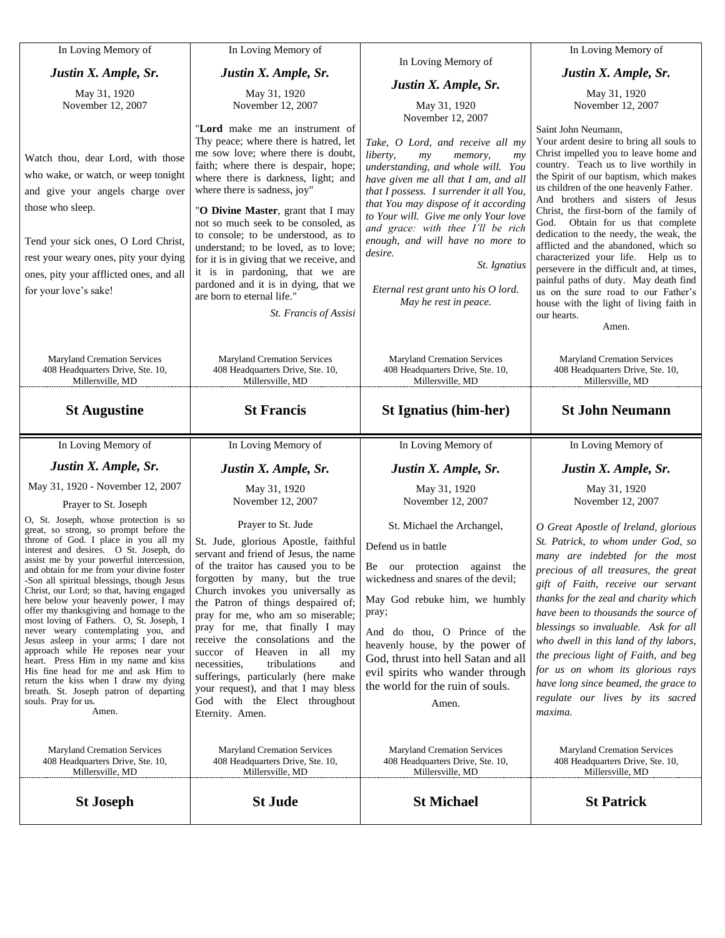| In Loving Memory of                                                                                                                                                                                                                                                                                                                                                                                                                                                                                                                                                                                                                                                                                                                                                                                          | In Loving Memory of                                                                                                                                                                                                                                                                                                                                                                                                                                                                                                                                                                  |                                                                                                                                                                                                                                                                                                                                                                                                                                                                       | In Loving Memory of                                                                                                                                                                                                                                                                                                                                                                                                                                                                                                                                                                                                                                                                  |
|--------------------------------------------------------------------------------------------------------------------------------------------------------------------------------------------------------------------------------------------------------------------------------------------------------------------------------------------------------------------------------------------------------------------------------------------------------------------------------------------------------------------------------------------------------------------------------------------------------------------------------------------------------------------------------------------------------------------------------------------------------------------------------------------------------------|--------------------------------------------------------------------------------------------------------------------------------------------------------------------------------------------------------------------------------------------------------------------------------------------------------------------------------------------------------------------------------------------------------------------------------------------------------------------------------------------------------------------------------------------------------------------------------------|-----------------------------------------------------------------------------------------------------------------------------------------------------------------------------------------------------------------------------------------------------------------------------------------------------------------------------------------------------------------------------------------------------------------------------------------------------------------------|--------------------------------------------------------------------------------------------------------------------------------------------------------------------------------------------------------------------------------------------------------------------------------------------------------------------------------------------------------------------------------------------------------------------------------------------------------------------------------------------------------------------------------------------------------------------------------------------------------------------------------------------------------------------------------------|
|                                                                                                                                                                                                                                                                                                                                                                                                                                                                                                                                                                                                                                                                                                                                                                                                              |                                                                                                                                                                                                                                                                                                                                                                                                                                                                                                                                                                                      | In Loving Memory of                                                                                                                                                                                                                                                                                                                                                                                                                                                   |                                                                                                                                                                                                                                                                                                                                                                                                                                                                                                                                                                                                                                                                                      |
| Justin X. Ample, Sr.                                                                                                                                                                                                                                                                                                                                                                                                                                                                                                                                                                                                                                                                                                                                                                                         | Justin X. Ample, Sr.                                                                                                                                                                                                                                                                                                                                                                                                                                                                                                                                                                 | Justin X. Ample, Sr.                                                                                                                                                                                                                                                                                                                                                                                                                                                  | Justin X. Ample, Sr.                                                                                                                                                                                                                                                                                                                                                                                                                                                                                                                                                                                                                                                                 |
| May 31, 1920<br>November 12, 2007                                                                                                                                                                                                                                                                                                                                                                                                                                                                                                                                                                                                                                                                                                                                                                            | May 31, 1920<br>November 12, 2007                                                                                                                                                                                                                                                                                                                                                                                                                                                                                                                                                    | May 31, 1920                                                                                                                                                                                                                                                                                                                                                                                                                                                          | May 31, 1920<br>November 12, 2007                                                                                                                                                                                                                                                                                                                                                                                                                                                                                                                                                                                                                                                    |
| Watch thou, dear Lord, with those<br>who wake, or watch, or weep tonight<br>and give your angels charge over<br>those who sleep.<br>Tend your sick ones, O Lord Christ,<br>rest your weary ones, pity your dying<br>ones, pity your afflicted ones, and all<br>for your love's sake!                                                                                                                                                                                                                                                                                                                                                                                                                                                                                                                         | "Lord make me an instrument of<br>Thy peace; where there is hatred, let<br>me sow love; where there is doubt,<br>faith; where there is despair, hope;<br>where there is darkness, light; and<br>where there is sadness, joy"<br>"O Divine Master, grant that I may<br>not so much seek to be consoled, as<br>to console; to be understood, as to<br>understand; to be loved, as to love;<br>for it is in giving that we receive, and<br>it is in pardoning, that we are<br>pardoned and it is in dying, that we<br>are born to eternal life."<br>St. Francis of Assisi               | November 12, 2007<br>Take, O Lord, and receive all my<br>liberty,<br>my<br>memory,<br>mv<br>understanding, and whole will. You<br>have given me all that I am, and all<br>that I possess. I surrender it all You,<br>that You may dispose of it according<br>to Your will. Give me only Your love<br>and grace: with thee I'll be rich<br>enough, and will have no more to<br>desire.<br>St. Ignatius<br>Eternal rest grant unto his O lord.<br>May he rest in peace. | Saint John Neumann,<br>Your ardent desire to bring all souls to<br>Christ impelled you to leave home and<br>country. Teach us to live worthily in<br>the Spirit of our baptism, which makes<br>us children of the one heavenly Father.<br>And brothers and sisters of Jesus<br>Christ, the first-born of the family of<br>God. Obtain for us that complete<br>dedication to the needy, the weak, the<br>afflicted and the abandoned, which so<br>characterized your life. Help us to<br>persevere in the difficult and, at times,<br>painful paths of duty. May death find<br>us on the sure road to our Father's<br>house with the light of living faith in<br>our hearts.<br>Amen. |
| <b>Maryland Cremation Services</b><br>408 Headquarters Drive, Ste. 10,<br>Millersville, MD                                                                                                                                                                                                                                                                                                                                                                                                                                                                                                                                                                                                                                                                                                                   | <b>Maryland Cremation Services</b><br>408 Headquarters Drive, Ste. 10,<br>Millersville, MD                                                                                                                                                                                                                                                                                                                                                                                                                                                                                           | <b>Maryland Cremation Services</b><br>408 Headquarters Drive, Ste. 10,<br>Millersville, MD                                                                                                                                                                                                                                                                                                                                                                            | <b>Maryland Cremation Services</b><br>408 Headquarters Drive, Ste. 10,<br>Millersville, MD                                                                                                                                                                                                                                                                                                                                                                                                                                                                                                                                                                                           |
| <b>St Augustine</b>                                                                                                                                                                                                                                                                                                                                                                                                                                                                                                                                                                                                                                                                                                                                                                                          | <b>St Francis</b>                                                                                                                                                                                                                                                                                                                                                                                                                                                                                                                                                                    | <b>St Ignatius (him-her)</b>                                                                                                                                                                                                                                                                                                                                                                                                                                          | <b>St John Neumann</b>                                                                                                                                                                                                                                                                                                                                                                                                                                                                                                                                                                                                                                                               |
| In Loving Memory of                                                                                                                                                                                                                                                                                                                                                                                                                                                                                                                                                                                                                                                                                                                                                                                          | In Loving Memory of                                                                                                                                                                                                                                                                                                                                                                                                                                                                                                                                                                  | In Loving Memory of                                                                                                                                                                                                                                                                                                                                                                                                                                                   | In Loving Memory of                                                                                                                                                                                                                                                                                                                                                                                                                                                                                                                                                                                                                                                                  |
| Justin X. Ample, Sr.                                                                                                                                                                                                                                                                                                                                                                                                                                                                                                                                                                                                                                                                                                                                                                                         | Justin X. Ample, Sr.                                                                                                                                                                                                                                                                                                                                                                                                                                                                                                                                                                 | Justin X. Ample, Sr.                                                                                                                                                                                                                                                                                                                                                                                                                                                  | Justin X. Ample, Sr.                                                                                                                                                                                                                                                                                                                                                                                                                                                                                                                                                                                                                                                                 |
| May 31, 1920 - November 12, 2007                                                                                                                                                                                                                                                                                                                                                                                                                                                                                                                                                                                                                                                                                                                                                                             | May 31, 1920                                                                                                                                                                                                                                                                                                                                                                                                                                                                                                                                                                         | May 31, 1920                                                                                                                                                                                                                                                                                                                                                                                                                                                          | May 31, 1920                                                                                                                                                                                                                                                                                                                                                                                                                                                                                                                                                                                                                                                                         |
| Prayer to St. Joseph                                                                                                                                                                                                                                                                                                                                                                                                                                                                                                                                                                                                                                                                                                                                                                                         | November 12, 2007                                                                                                                                                                                                                                                                                                                                                                                                                                                                                                                                                                    | November 12, 2007                                                                                                                                                                                                                                                                                                                                                                                                                                                     | November 12, 2007                                                                                                                                                                                                                                                                                                                                                                                                                                                                                                                                                                                                                                                                    |
| O, St. Joseph, whose protection is so<br>great, so strong, so prompt before the<br>throne of God. I place in you all my<br>interest and desires. O St. Joseph, do<br>assist me by your powerful intercession,<br>and obtain for me from your divine foster<br>-Son all spiritual blessings, though Jesus<br>Christ, our Lord; so that, having engaged<br>here below your heavenly power, I may<br>offer my thanksgiving and homage to the<br>most loving of Fathers. O, St. Joseph, I<br>never weary contemplating you, and<br>Jesus asleep in your arms; I dare not<br>approach while He reposes near your<br>heart. Press Him in my name and kiss<br>His fine head for me and ask Him to<br>return the kiss when I draw my dying<br>breath. St. Joseph patron of departing<br>souls. Pray for us.<br>Amen. | Prayer to St. Jude<br>St. Jude, glorious Apostle, faithful<br>servant and friend of Jesus, the name<br>of the traitor has caused you to be<br>forgotten by many, but the true<br>Church invokes you universally as<br>the Patron of things despaired of;<br>pray for me, who am so miserable;<br>pray for me, that finally I may<br>receive the consolations and the<br>succor of<br>Heaven in<br>all<br>my<br>necessities.<br>tribulations<br>and<br>sufferings, particularly (here make<br>your request), and that I may bless<br>God with the Elect throughout<br>Eternity. Amen. | St. Michael the Archangel,<br>Defend us in battle<br>Be our protection against the<br>wickedness and snares of the devil;<br>May God rebuke him, we humbly<br>pray;<br>And do thou, O Prince of the<br>heavenly house, by the power of<br>God, thrust into hell Satan and all<br>evil spirits who wander through<br>the world for the ruin of souls.<br>Amen.                                                                                                         | O Great Apostle of Ireland, glorious<br>St. Patrick, to whom under God, so<br>many are indebted for the most<br>precious of all treasures, the great<br>gift of Faith, receive our servant<br>thanks for the zeal and charity which<br>have been to thousands the source of<br>blessings so invaluable. Ask for all<br>who dwell in this land of thy labors,<br>the precious light of Faith, and beg<br>for us on whom its glorious rays<br>have long since beamed, the grace to<br>regulate our lives by its sacred<br>maxima.                                                                                                                                                      |
| <b>Maryland Cremation Services</b><br>408 Headquarters Drive, Ste. 10,<br>Millersville, MD                                                                                                                                                                                                                                                                                                                                                                                                                                                                                                                                                                                                                                                                                                                   | <b>Maryland Cremation Services</b><br>408 Headquarters Drive, Ste. 10,                                                                                                                                                                                                                                                                                                                                                                                                                                                                                                               | <b>Maryland Cremation Services</b><br>408 Headquarters Drive, Ste. 10,<br>Millersville, MD                                                                                                                                                                                                                                                                                                                                                                            | Maryland Cremation Services<br>408 Headquarters Drive, Ste. 10,<br>Millersville, MD                                                                                                                                                                                                                                                                                                                                                                                                                                                                                                                                                                                                  |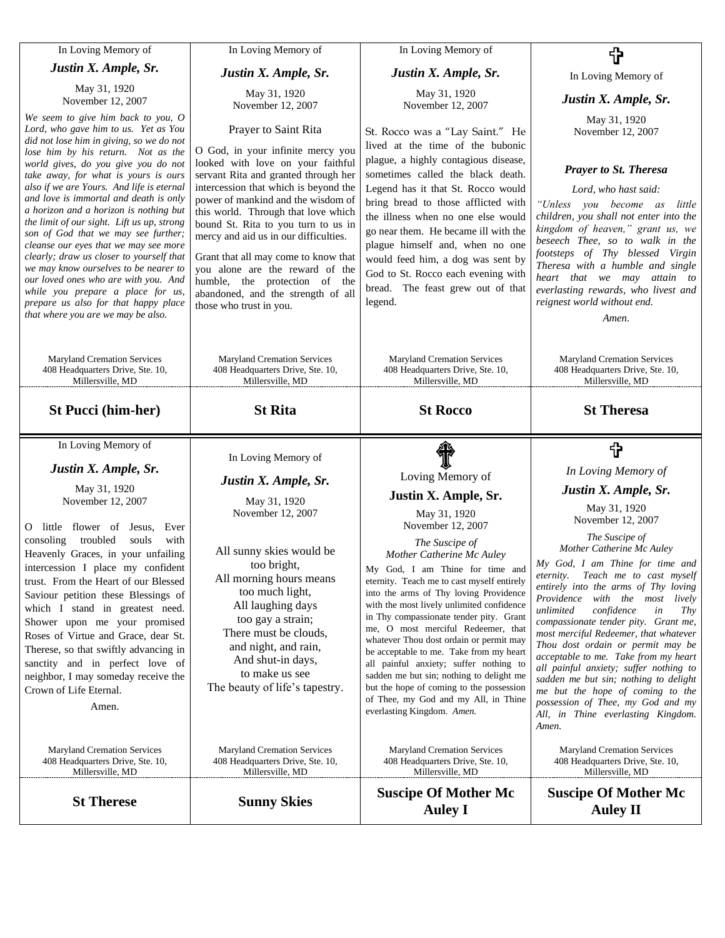| In Loving Memory of<br>Justin X. Ample, Sr.<br>May 31, 1920                                                                                                                                                                |                                                                                                                                                                           | In Loving Memory of                                                                                                                                                                                                                                   |                                                                                                                                                                                                                                                    |
|----------------------------------------------------------------------------------------------------------------------------------------------------------------------------------------------------------------------------|---------------------------------------------------------------------------------------------------------------------------------------------------------------------------|-------------------------------------------------------------------------------------------------------------------------------------------------------------------------------------------------------------------------------------------------------|----------------------------------------------------------------------------------------------------------------------------------------------------------------------------------------------------------------------------------------------------|
|                                                                                                                                                                                                                            | In Loving Memory of<br>Justin X. Ample, Sr.                                                                                                                               | Justin X. Ample, Sr.                                                                                                                                                                                                                                  | ╬                                                                                                                                                                                                                                                  |
|                                                                                                                                                                                                                            | May 31, 1920                                                                                                                                                              | May 31, 1920                                                                                                                                                                                                                                          | In Loving Memory of                                                                                                                                                                                                                                |
| November 12, 2007                                                                                                                                                                                                          | November 12, 2007                                                                                                                                                         | November 12, 2007                                                                                                                                                                                                                                     | Justin X. Ample, Sr.                                                                                                                                                                                                                               |
| We seem to give him back to you, O<br>Lord, who gave him to us. Yet as You                                                                                                                                                 | Prayer to Saint Rita                                                                                                                                                      | St. Rocco was a "Lay Saint." He                                                                                                                                                                                                                       | May 31, 1920<br>November 12, 2007                                                                                                                                                                                                                  |
| did not lose him in giving, so we do not<br>lose him by his return. Not as the                                                                                                                                             | O God, in your infinite mercy you                                                                                                                                         | lived at the time of the bubonic                                                                                                                                                                                                                      |                                                                                                                                                                                                                                                    |
| world gives, do you give you do not<br>take away, for what is yours is ours                                                                                                                                                | looked with love on your faithful<br>servant Rita and granted through her                                                                                                 | plague, a highly contagious disease,<br>sometimes called the black death.                                                                                                                                                                             | <b>Prayer to St. Theresa</b>                                                                                                                                                                                                                       |
| also if we are Yours. And life is eternal<br>and love is immortal and death is only                                                                                                                                        | intercession that which is beyond the<br>power of mankind and the wisdom of                                                                                               | Legend has it that St. Rocco would<br>bring bread to those afflicted with                                                                                                                                                                             | Lord, who hast said:                                                                                                                                                                                                                               |
| a horizon and a horizon is nothing but<br>the limit of our sight. Lift us up, strong<br>son of God that we may see further;<br>cleanse our eyes that we may see more                                                       | this world. Through that love which<br>bound St. Rita to you turn to us in<br>mercy and aid us in our difficulties.                                                       | the illness when no one else would<br>go near them. He became ill with the<br>plague himself and, when no one                                                                                                                                         | "Unless you become as<br>little<br>children, you shall not enter into the<br>kingdom of heaven," grant us, we<br>beseech Thee, so to walk in the<br>footsteps of Thy blessed Virgin                                                                |
| clearly; draw us closer to yourself that<br>we may know ourselves to be nearer to<br>our loved ones who are with you. And<br>while you prepare a place for us,<br>prepare us also for that happy place                     | Grant that all may come to know that<br>you alone are the reward of the<br>humble, the protection of the<br>abandoned, and the strength of all<br>those who trust in you. | would feed him, a dog was sent by<br>God to St. Rocco each evening with<br>bread. The feast grew out of that<br>legend.                                                                                                                               | Theresa with a humble and single<br>heart that we may attain to<br>everlasting rewards, who livest and<br>reignest world without end.                                                                                                              |
| that where you are we may be also.                                                                                                                                                                                         |                                                                                                                                                                           |                                                                                                                                                                                                                                                       | Amen.                                                                                                                                                                                                                                              |
| <b>Maryland Cremation Services</b><br>408 Headquarters Drive, Ste. 10,<br>Millersville, MD                                                                                                                                 | <b>Maryland Cremation Services</b><br>408 Headquarters Drive, Ste. 10,<br>Millersville, MD                                                                                | <b>Maryland Cremation Services</b><br>408 Headquarters Drive, Ste. 10,<br>Millersville, MD                                                                                                                                                            | <b>Maryland Cremation Services</b><br>408 Headquarters Drive, Ste. 10,<br>Millersville, MD                                                                                                                                                         |
|                                                                                                                                                                                                                            |                                                                                                                                                                           |                                                                                                                                                                                                                                                       |                                                                                                                                                                                                                                                    |
| <b>St Pucci (him-her)</b>                                                                                                                                                                                                  | <b>St Rita</b>                                                                                                                                                            | <b>St Rocco</b>                                                                                                                                                                                                                                       | <b>St Theresa</b>                                                                                                                                                                                                                                  |
|                                                                                                                                                                                                                            |                                                                                                                                                                           |                                                                                                                                                                                                                                                       |                                                                                                                                                                                                                                                    |
| In Loving Memory of                                                                                                                                                                                                        |                                                                                                                                                                           |                                                                                                                                                                                                                                                       | ╬                                                                                                                                                                                                                                                  |
| Justin X. Ample, Sr.                                                                                                                                                                                                       | In Loving Memory of                                                                                                                                                       |                                                                                                                                                                                                                                                       | In Loving Memory of                                                                                                                                                                                                                                |
| May 31, 1920                                                                                                                                                                                                               | Justin X. Ample, Sr.                                                                                                                                                      | Loving Memory of                                                                                                                                                                                                                                      | Justin X. Ample, Sr.                                                                                                                                                                                                                               |
| November 12, 2007                                                                                                                                                                                                          | May 31, 1920<br>November 12, 2007                                                                                                                                         | Justin X. Ample, Sr.<br>May 31, 1920                                                                                                                                                                                                                  | May 31, 1920                                                                                                                                                                                                                                       |
| little flower of<br>Jesus.<br>Ever<br>O<br>troubled<br>consoling<br>souls<br>with                                                                                                                                          |                                                                                                                                                                           | November 12, 2007                                                                                                                                                                                                                                     | November 12, 2007<br>The Suscipe of                                                                                                                                                                                                                |
| Heavenly Graces, in your unfailing                                                                                                                                                                                         | All sunny skies would be                                                                                                                                                  | The Suscipe of<br>Mother Catherine Mc Auley                                                                                                                                                                                                           | Mother Catherine Mc Auley<br>My God, I am Thine for time and                                                                                                                                                                                       |
| intercession I place my confident<br>trust. From the Heart of our Blessed<br>Saviour petition these Blessings of<br>which I stand in greatest need.<br>Shower upon me your promised<br>Roses of Virtue and Grace, dear St. | too bright,<br>All morning hours means<br>too much light,<br>All laughing days<br>too gay a strain;<br>There must be clouds,                                              | My God, I am Thine for time and<br>eternity. Teach me to cast myself entirely<br>into the arms of Thy loving Providence<br>with the most lively unlimited confidence<br>in Thy compassionate tender pity. Grant<br>me, O most merciful Redeemer, that | <i>eternity.</i><br>Teach me to cast myself<br>entirely into the arms of Thy loving<br>Providence with the most<br>lively<br>unlimited<br>confidence<br>Thy<br>in<br>compassionate tender pity. Grant me,<br>most merciful Redeemer, that whatever |
| Therese, so that swiftly advancing in                                                                                                                                                                                      | and night, and rain,                                                                                                                                                      | whatever Thou dost ordain or permit may<br>be acceptable to me. Take from my heart                                                                                                                                                                    | Thou dost ordain or permit may be<br>acceptable to me. Take from my heart                                                                                                                                                                          |
| sanctity and in perfect love of<br>neighbor, I may someday receive the                                                                                                                                                     | And shut-in days,<br>to make us see                                                                                                                                       | all painful anxiety; suffer nothing to<br>sadden me but sin; nothing to delight me                                                                                                                                                                    | all painful anxiety; suffer nothing to                                                                                                                                                                                                             |
| Crown of Life Eternal.                                                                                                                                                                                                     | The beauty of life's tapestry.                                                                                                                                            | but the hope of coming to the possession<br>of Thee, my God and my All, in Thine                                                                                                                                                                      | sadden me but sin; nothing to delight                                                                                                                                                                                                              |
| Amen.                                                                                                                                                                                                                      |                                                                                                                                                                           | everlasting Kingdom. Amen.                                                                                                                                                                                                                            | me but the hope of coming to the<br>possession of Thee, my God and my<br>All, in Thine everlasting Kingdom.<br>Amen.                                                                                                                               |
| <b>Maryland Cremation Services</b><br>408 Headquarters Drive, Ste. 10,<br>Millersville, MD                                                                                                                                 | <b>Maryland Cremation Services</b><br>408 Headquarters Drive, Ste. 10,<br>Millersville, MD                                                                                | <b>Maryland Cremation Services</b><br>408 Headquarters Drive, Ste. 10,<br>Millersville, MD                                                                                                                                                            | <b>Maryland Cremation Services</b><br>408 Headquarters Drive, Ste. 10,<br>Millersville, MD                                                                                                                                                         |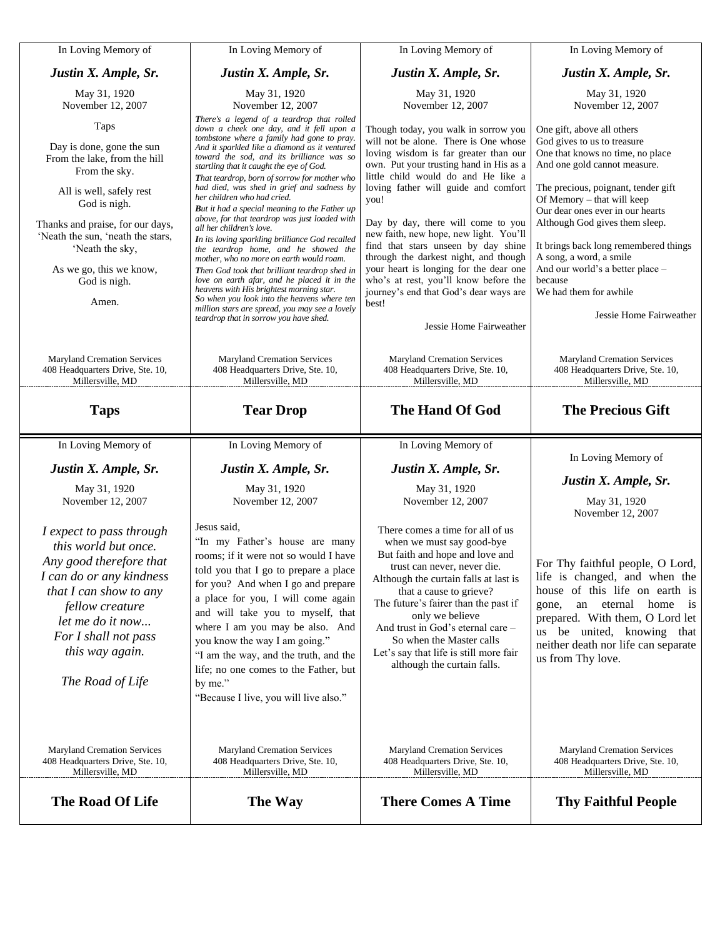| In Loving Memory of                                                                                                                                                                                                                                                                                                 | In Loving Memory of                                                                                                                                                                                                                                                                                                                                                                                                                                                                                                                                                                                                                                                                                                                                                                                                                                                                                                                                                                                                                         | In Loving Memory of                                                                                                                                                                                                                                                                                                                                                                                                                                                                                                                                                                                 | In Loving Memory of                                                                                                                                                                                                                                                                                                                                                                                                                                                                   |
|---------------------------------------------------------------------------------------------------------------------------------------------------------------------------------------------------------------------------------------------------------------------------------------------------------------------|---------------------------------------------------------------------------------------------------------------------------------------------------------------------------------------------------------------------------------------------------------------------------------------------------------------------------------------------------------------------------------------------------------------------------------------------------------------------------------------------------------------------------------------------------------------------------------------------------------------------------------------------------------------------------------------------------------------------------------------------------------------------------------------------------------------------------------------------------------------------------------------------------------------------------------------------------------------------------------------------------------------------------------------------|-----------------------------------------------------------------------------------------------------------------------------------------------------------------------------------------------------------------------------------------------------------------------------------------------------------------------------------------------------------------------------------------------------------------------------------------------------------------------------------------------------------------------------------------------------------------------------------------------------|---------------------------------------------------------------------------------------------------------------------------------------------------------------------------------------------------------------------------------------------------------------------------------------------------------------------------------------------------------------------------------------------------------------------------------------------------------------------------------------|
| Justin X. Ample, Sr.                                                                                                                                                                                                                                                                                                |                                                                                                                                                                                                                                                                                                                                                                                                                                                                                                                                                                                                                                                                                                                                                                                                                                                                                                                                                                                                                                             | Justin X. Ample, Sr.                                                                                                                                                                                                                                                                                                                                                                                                                                                                                                                                                                                | Justin X. Ample, Sr.                                                                                                                                                                                                                                                                                                                                                                                                                                                                  |
| May 31, 1920<br>November 12, 2007<br>Taps<br>Day is done, gone the sun<br>From the lake, from the hill<br>From the sky.<br>All is well, safely rest<br>God is nigh.<br>Thanks and praise, for our days,<br>'Neath the sun, 'neath the stars,<br>'Neath the sky,<br>As we go, this we know,<br>God is nigh.<br>Amen. | Justin X. Ample, Sr.<br>May 31, 1920<br>November 12, 2007<br>There's a legend of a teardrop that rolled<br>down a cheek one day, and it fell upon a<br>tombstone where a family had gone to pray.<br>And it sparkled like a diamond as it ventured<br>toward the sod, and its brilliance was so<br>startling that it caught the eye of God.<br>That teardrop, born of sorrow for mother who<br>had died, was shed in grief and sadness by<br>her children who had cried.<br><b>But it had a special meaning to the Father up</b><br>above, for that teardrop was just loaded with<br>all her children's love.<br>In its loving sparkling brilliance God recalled<br>the teardrop home, and he showed the<br>mother, who no more on earth would roam.<br>Then God took that brilliant teardrop shed in<br>love on earth afar, and he placed it in the<br>heavens with His brightest morning star.<br>So when you look into the heavens where ten<br>million stars are spread, you may see a lovely<br>teardrop that in sorrow you have shed. | May 31, 1920<br>November 12, 2007<br>Though today, you walk in sorrow you<br>will not be alone. There is One whose<br>loving wisdom is far greater than our<br>own. Put your trusting hand in His as a<br>little child would do and He like a<br>loving father will guide and comfort<br>you!<br>Day by day, there will come to you<br>new faith, new hope, new light. You'll<br>find that stars unseen by day shine<br>through the darkest night, and though<br>your heart is longing for the dear one<br>who's at rest, you'll know before the<br>journey's end that God's dear ways are<br>best! | May 31, 1920<br>November 12, 2007<br>One gift, above all others<br>God gives to us to treasure<br>One that knows no time, no place<br>And one gold cannot measure.<br>The precious, poignant, tender gift<br>Of Memory - that will keep<br>Our dear ones ever in our hearts<br>Although God gives them sleep.<br>It brings back long remembered things<br>A song, a word, a smile<br>And our world's a better place -<br>because<br>We had them for awhile<br>Jessie Home Fairweather |
| <b>Maryland Cremation Services</b><br>408 Headquarters Drive, Ste. 10,<br>Millersville, MD                                                                                                                                                                                                                          | <b>Maryland Cremation Services</b><br>408 Headquarters Drive, Ste. 10,<br>Millersville, MD                                                                                                                                                                                                                                                                                                                                                                                                                                                                                                                                                                                                                                                                                                                                                                                                                                                                                                                                                  | Jessie Home Fairweather<br><b>Maryland Cremation Services</b><br>408 Headquarters Drive, Ste. 10,<br>Millersville, MD                                                                                                                                                                                                                                                                                                                                                                                                                                                                               | <b>Maryland Cremation Services</b><br>408 Headquarters Drive, Ste. 10,<br>Millersville, MD                                                                                                                                                                                                                                                                                                                                                                                            |
| <b>Taps</b>                                                                                                                                                                                                                                                                                                         | <b>Tear Drop</b>                                                                                                                                                                                                                                                                                                                                                                                                                                                                                                                                                                                                                                                                                                                                                                                                                                                                                                                                                                                                                            | <b>The Hand Of God</b>                                                                                                                                                                                                                                                                                                                                                                                                                                                                                                                                                                              | <b>The Precious Gift</b>                                                                                                                                                                                                                                                                                                                                                                                                                                                              |
| In Loving Memory of<br>Justin X. Ample, Sr.<br>May 31, 1920                                                                                                                                                                                                                                                         | In Loving Memory of<br>Justin X. Ample, Sr.                                                                                                                                                                                                                                                                                                                                                                                                                                                                                                                                                                                                                                                                                                                                                                                                                                                                                                                                                                                                 | In Loving Memory of<br>Justin X. Ample, Sr.                                                                                                                                                                                                                                                                                                                                                                                                                                                                                                                                                         | In Loving Memory of                                                                                                                                                                                                                                                                                                                                                                                                                                                                   |
| November 12, 2007<br>I expect to pass through<br>this world but once.<br>Any good therefore that<br>I can do or any kindness<br>that I can show to any<br>fellow creature<br>let me do it now<br>For I shall not pass<br>this way again.<br>The Road of Life                                                        | May 31, 1920<br>November 12, 2007<br>Jesus said,<br>"In my Father's house are many<br>rooms: if it were not so would I have<br>told you that I go to prepare a place<br>for you? And when I go and prepare<br>a place for you, I will come again<br>and will take you to myself, that<br>where I am you may be also. And<br>you know the way I am going."<br>"I am the way, and the truth, and the<br>life; no one comes to the Father, but<br>by me."                                                                                                                                                                                                                                                                                                                                                                                                                                                                                                                                                                                      | May 31, 1920<br>November 12, 2007<br>There comes a time for all of us<br>when we must say good-bye<br>But faith and hope and love and<br>trust can never, never die.<br>Although the curtain falls at last is<br>that a cause to grieve?<br>The future's fairer than the past if<br>only we believe<br>And trust in God's eternal care -<br>So when the Master calls<br>Let's say that life is still more fair<br>although the curtain falls.                                                                                                                                                       | Justin X. Ample, Sr.<br>May 31, 1920<br>November 12, 2007<br>For Thy faithful people, O Lord,<br>life is changed, and when the<br>house of this life on earth is<br>an eternal home is<br>gone,<br>prepared. With them, O Lord let<br>us be united, knowing that<br>neither death nor life can separate<br>us from Thy love.                                                                                                                                                          |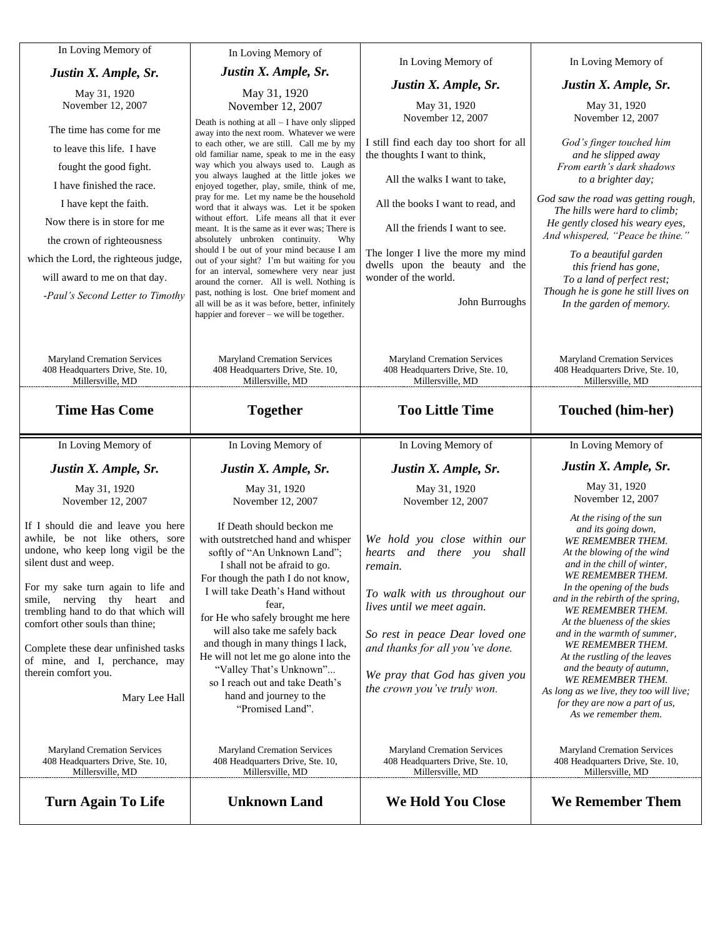| In Loving Memory of                                                                                                                                                                                                                                                                                                                                                                                                                                                                                        | In Loving Memory of                                                                                                                                                                                                                                                                                                                                                                                                                                                                                                                                                              | In Loving Memory of                                                                                                                                                                                                                                                                                                                                                        | In Loving Memory of                                                                                                                                                                                                                                                                                                                                                                                                                                                                                                                                                                                                       |
|------------------------------------------------------------------------------------------------------------------------------------------------------------------------------------------------------------------------------------------------------------------------------------------------------------------------------------------------------------------------------------------------------------------------------------------------------------------------------------------------------------|----------------------------------------------------------------------------------------------------------------------------------------------------------------------------------------------------------------------------------------------------------------------------------------------------------------------------------------------------------------------------------------------------------------------------------------------------------------------------------------------------------------------------------------------------------------------------------|----------------------------------------------------------------------------------------------------------------------------------------------------------------------------------------------------------------------------------------------------------------------------------------------------------------------------------------------------------------------------|---------------------------------------------------------------------------------------------------------------------------------------------------------------------------------------------------------------------------------------------------------------------------------------------------------------------------------------------------------------------------------------------------------------------------------------------------------------------------------------------------------------------------------------------------------------------------------------------------------------------------|
| Justin X. Ample, Sr.                                                                                                                                                                                                                                                                                                                                                                                                                                                                                       | Justin X. Ample, Sr.                                                                                                                                                                                                                                                                                                                                                                                                                                                                                                                                                             | Justin X. Ample, Sr.                                                                                                                                                                                                                                                                                                                                                       | Justin X. Ample, Sr.                                                                                                                                                                                                                                                                                                                                                                                                                                                                                                                                                                                                      |
| May 31, 1920<br>November 12, 2007                                                                                                                                                                                                                                                                                                                                                                                                                                                                          | May 31, 1920<br>November 12, 2007                                                                                                                                                                                                                                                                                                                                                                                                                                                                                                                                                | May 31, 1920<br>November 12, 2007                                                                                                                                                                                                                                                                                                                                          | May 31, 1920<br>November 12, 2007                                                                                                                                                                                                                                                                                                                                                                                                                                                                                                                                                                                         |
| The time has come for me                                                                                                                                                                                                                                                                                                                                                                                                                                                                                   | Death is nothing at all $- I$ have only slipped<br>away into the next room. Whatever we were                                                                                                                                                                                                                                                                                                                                                                                                                                                                                     |                                                                                                                                                                                                                                                                                                                                                                            |                                                                                                                                                                                                                                                                                                                                                                                                                                                                                                                                                                                                                           |
| to leave this life. I have                                                                                                                                                                                                                                                                                                                                                                                                                                                                                 | to each other, we are still. Call me by my<br>old familiar name, speak to me in the easy                                                                                                                                                                                                                                                                                                                                                                                                                                                                                         | I still find each day too short for all<br>the thoughts I want to think,                                                                                                                                                                                                                                                                                                   | God's finger touched him<br>and he slipped away                                                                                                                                                                                                                                                                                                                                                                                                                                                                                                                                                                           |
| fought the good fight.<br>I have finished the race.                                                                                                                                                                                                                                                                                                                                                                                                                                                        | way which you always used to. Laugh as<br>you always laughed at the little jokes we<br>enjoyed together, play, smile, think of me,                                                                                                                                                                                                                                                                                                                                                                                                                                               | All the walks I want to take,                                                                                                                                                                                                                                                                                                                                              | From earth's dark shadows<br>to a brighter day;                                                                                                                                                                                                                                                                                                                                                                                                                                                                                                                                                                           |
| I have kept the faith.                                                                                                                                                                                                                                                                                                                                                                                                                                                                                     | pray for me. Let my name be the household<br>word that it always was. Let it be spoken                                                                                                                                                                                                                                                                                                                                                                                                                                                                                           | All the books I want to read, and                                                                                                                                                                                                                                                                                                                                          | God saw the road was getting rough,                                                                                                                                                                                                                                                                                                                                                                                                                                                                                                                                                                                       |
| Now there is in store for me                                                                                                                                                                                                                                                                                                                                                                                                                                                                               | without effort. Life means all that it ever<br>meant. It is the same as it ever was; There is                                                                                                                                                                                                                                                                                                                                                                                                                                                                                    | All the friends I want to see.                                                                                                                                                                                                                                                                                                                                             | The hills were hard to climb;<br>He gently closed his weary eyes,                                                                                                                                                                                                                                                                                                                                                                                                                                                                                                                                                         |
| the crown of righteousness                                                                                                                                                                                                                                                                                                                                                                                                                                                                                 | absolutely unbroken continuity.<br>Why<br>should I be out of your mind because I am                                                                                                                                                                                                                                                                                                                                                                                                                                                                                              | The longer I live the more my mind                                                                                                                                                                                                                                                                                                                                         | And whispered, "Peace be thine."<br>To a beautiful garden                                                                                                                                                                                                                                                                                                                                                                                                                                                                                                                                                                 |
| which the Lord, the righteous judge,<br>will award to me on that day.                                                                                                                                                                                                                                                                                                                                                                                                                                      | out of your sight? I'm but waiting for you<br>for an interval, somewhere very near just                                                                                                                                                                                                                                                                                                                                                                                                                                                                                          | dwells upon the beauty and the<br>wonder of the world.                                                                                                                                                                                                                                                                                                                     | this friend has gone,                                                                                                                                                                                                                                                                                                                                                                                                                                                                                                                                                                                                     |
| -Paul's Second Letter to Timothy                                                                                                                                                                                                                                                                                                                                                                                                                                                                           | around the corner. All is well. Nothing is<br>past, nothing is lost. One brief moment and                                                                                                                                                                                                                                                                                                                                                                                                                                                                                        |                                                                                                                                                                                                                                                                                                                                                                            | To a land of perfect rest;<br>Though he is gone he still lives on                                                                                                                                                                                                                                                                                                                                                                                                                                                                                                                                                         |
|                                                                                                                                                                                                                                                                                                                                                                                                                                                                                                            | all will be as it was before, better, infinitely<br>happier and forever – we will be together.                                                                                                                                                                                                                                                                                                                                                                                                                                                                                   | John Burroughs                                                                                                                                                                                                                                                                                                                                                             | In the garden of memory.                                                                                                                                                                                                                                                                                                                                                                                                                                                                                                                                                                                                  |
|                                                                                                                                                                                                                                                                                                                                                                                                                                                                                                            |                                                                                                                                                                                                                                                                                                                                                                                                                                                                                                                                                                                  |                                                                                                                                                                                                                                                                                                                                                                            |                                                                                                                                                                                                                                                                                                                                                                                                                                                                                                                                                                                                                           |
| <b>Maryland Cremation Services</b><br>408 Headquarters Drive, Ste. 10,<br>Millersville, MD                                                                                                                                                                                                                                                                                                                                                                                                                 | <b>Maryland Cremation Services</b><br>408 Headquarters Drive, Ste. 10,<br>Millersville, MD                                                                                                                                                                                                                                                                                                                                                                                                                                                                                       | <b>Maryland Cremation Services</b><br>408 Headquarters Drive, Ste. 10,<br>Millersville, MD                                                                                                                                                                                                                                                                                 | <b>Maryland Cremation Services</b><br>408 Headquarters Drive, Ste. 10,<br>Millersville, MD                                                                                                                                                                                                                                                                                                                                                                                                                                                                                                                                |
|                                                                                                                                                                                                                                                                                                                                                                                                                                                                                                            |                                                                                                                                                                                                                                                                                                                                                                                                                                                                                                                                                                                  |                                                                                                                                                                                                                                                                                                                                                                            |                                                                                                                                                                                                                                                                                                                                                                                                                                                                                                                                                                                                                           |
| <b>Time Has Come</b>                                                                                                                                                                                                                                                                                                                                                                                                                                                                                       | <b>Together</b>                                                                                                                                                                                                                                                                                                                                                                                                                                                                                                                                                                  | <b>Too Little Time</b>                                                                                                                                                                                                                                                                                                                                                     | Touched (him-her)                                                                                                                                                                                                                                                                                                                                                                                                                                                                                                                                                                                                         |
|                                                                                                                                                                                                                                                                                                                                                                                                                                                                                                            |                                                                                                                                                                                                                                                                                                                                                                                                                                                                                                                                                                                  |                                                                                                                                                                                                                                                                                                                                                                            |                                                                                                                                                                                                                                                                                                                                                                                                                                                                                                                                                                                                                           |
| In Loving Memory of                                                                                                                                                                                                                                                                                                                                                                                                                                                                                        | In Loving Memory of                                                                                                                                                                                                                                                                                                                                                                                                                                                                                                                                                              | In Loving Memory of                                                                                                                                                                                                                                                                                                                                                        | In Loving Memory of                                                                                                                                                                                                                                                                                                                                                                                                                                                                                                                                                                                                       |
| Justin X. Ample, Sr.                                                                                                                                                                                                                                                                                                                                                                                                                                                                                       | Justin X. Ample, Sr.                                                                                                                                                                                                                                                                                                                                                                                                                                                                                                                                                             | Justin X. Ample, Sr.                                                                                                                                                                                                                                                                                                                                                       | Justin X. Ample, Sr.                                                                                                                                                                                                                                                                                                                                                                                                                                                                                                                                                                                                      |
| May 31, 1920<br>November 12, 2007                                                                                                                                                                                                                                                                                                                                                                                                                                                                          | May 31, 1920<br>November 12, 2007                                                                                                                                                                                                                                                                                                                                                                                                                                                                                                                                                | May 31, 1920<br>November 12, 2007                                                                                                                                                                                                                                                                                                                                          | May 31, 1920<br>November 12, 2007                                                                                                                                                                                                                                                                                                                                                                                                                                                                                                                                                                                         |
| If I should die and leave you here<br>awhile, be not like others, sore<br>undone, who keep long vigil be the<br>silent dust and weep.<br>For my sake turn again to life and<br>smile, nerving thy heart<br>and<br>trembling hand to do that which will<br>comfort other souls than thine;<br>Complete these dear unfinished tasks<br>of mine, and I, perchance, may<br>therein comfort you.<br>Mary Lee Hall<br><b>Maryland Cremation Services</b><br>408 Headquarters Drive, Ste. 10,<br>Millersville, MD | If Death should beckon me<br>with outstretched hand and whisper<br>softly of "An Unknown Land";<br>I shall not be afraid to go.<br>For though the path I do not know,<br>I will take Death's Hand without<br>fear.<br>for He who safely brought me here<br>will also take me safely back<br>and though in many things I lack,<br>He will not let me go alone into the<br>"Valley That's Unknown"<br>so I reach out and take Death's<br>hand and journey to the<br>"Promised Land".<br><b>Maryland Cremation Services</b><br>408 Headquarters Drive, Ste. 10,<br>Millersville, MD | We hold you close within our<br>hearts and there you shall<br>remain.<br>To walk with us throughout our<br>lives until we meet again.<br>So rest in peace Dear loved one<br>and thanks for all you've done.<br>We pray that God has given you<br>the crown you've truly won.<br><b>Maryland Cremation Services</b><br>408 Headquarters Drive, Ste. 10,<br>Millersville, MD | At the rising of the sun<br>and its going down,<br>WE REMEMBER THEM.<br>At the blowing of the wind<br>and in the chill of winter,<br>WE REMEMBER THEM.<br>In the opening of the buds<br>and in the rebirth of the spring,<br>WE REMEMBER THEM.<br>At the blueness of the skies<br>and in the warmth of summer,<br>WE REMEMBER THEM.<br>At the rustling of the leaves<br>and the beauty of autumn,<br>WE REMEMBER THEM.<br>As long as we live, they too will live;<br>for they are now a part of us,<br>As we remember them.<br><b>Maryland Cremation Services</b><br>408 Headquarters Drive, Ste. 10,<br>Millersville, MD |
| Turn Again To Life                                                                                                                                                                                                                                                                                                                                                                                                                                                                                         | <b>Unknown Land</b>                                                                                                                                                                                                                                                                                                                                                                                                                                                                                                                                                              | <b>We Hold You Close</b>                                                                                                                                                                                                                                                                                                                                                   | <b>We Remember Them</b>                                                                                                                                                                                                                                                                                                                                                                                                                                                                                                                                                                                                   |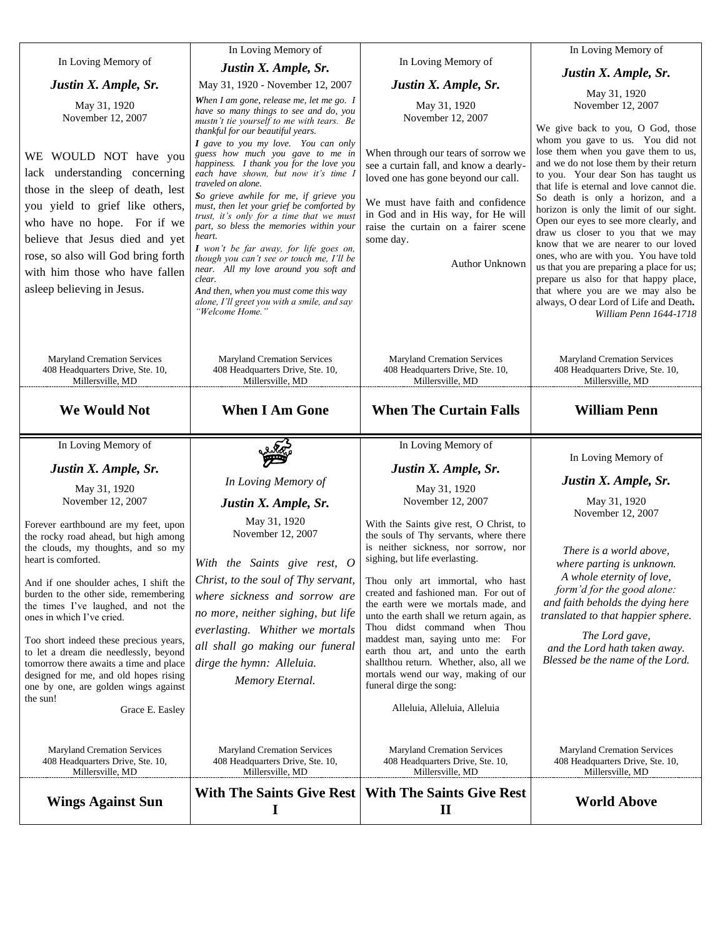|                                                                                                                                                                                                                                                                                                                                                                                                                                                                                                                                               | In Loving Memory of                                                                                                                                                                                                                                                                                                                                                                                                                                                                                                                                                                                                           |                                                                                                                                                                                                                                                                                                                                                                                                                                                                                                                                                                                    | In Loving Memory of                                                                                                                                                                                                                                                                                                                                                                                                                                                                                                                                                                                               |
|-----------------------------------------------------------------------------------------------------------------------------------------------------------------------------------------------------------------------------------------------------------------------------------------------------------------------------------------------------------------------------------------------------------------------------------------------------------------------------------------------------------------------------------------------|-------------------------------------------------------------------------------------------------------------------------------------------------------------------------------------------------------------------------------------------------------------------------------------------------------------------------------------------------------------------------------------------------------------------------------------------------------------------------------------------------------------------------------------------------------------------------------------------------------------------------------|------------------------------------------------------------------------------------------------------------------------------------------------------------------------------------------------------------------------------------------------------------------------------------------------------------------------------------------------------------------------------------------------------------------------------------------------------------------------------------------------------------------------------------------------------------------------------------|-------------------------------------------------------------------------------------------------------------------------------------------------------------------------------------------------------------------------------------------------------------------------------------------------------------------------------------------------------------------------------------------------------------------------------------------------------------------------------------------------------------------------------------------------------------------------------------------------------------------|
| In Loving Memory of                                                                                                                                                                                                                                                                                                                                                                                                                                                                                                                           | Justin X. Ample, Sr.                                                                                                                                                                                                                                                                                                                                                                                                                                                                                                                                                                                                          | In Loving Memory of                                                                                                                                                                                                                                                                                                                                                                                                                                                                                                                                                                |                                                                                                                                                                                                                                                                                                                                                                                                                                                                                                                                                                                                                   |
| Justin X. Ample, Sr.                                                                                                                                                                                                                                                                                                                                                                                                                                                                                                                          | May 31, 1920 - November 12, 2007                                                                                                                                                                                                                                                                                                                                                                                                                                                                                                                                                                                              | Justin X. Ample, Sr.                                                                                                                                                                                                                                                                                                                                                                                                                                                                                                                                                               | Justin X. Ample, Sr.                                                                                                                                                                                                                                                                                                                                                                                                                                                                                                                                                                                              |
| May 31, 1920<br>November 12, 2007                                                                                                                                                                                                                                                                                                                                                                                                                                                                                                             | When I am gone, release me, let me go. I<br>have so many things to see and do, you<br>mustn't tie yourself to me with tears. Be<br>thankful for our beautiful years.                                                                                                                                                                                                                                                                                                                                                                                                                                                          | May 31, 1920<br>November 12, 2007                                                                                                                                                                                                                                                                                                                                                                                                                                                                                                                                                  | May 31, 1920<br>November 12, 2007<br>We give back to you, O God, those<br>whom you gave to us. You did not                                                                                                                                                                                                                                                                                                                                                                                                                                                                                                        |
| WE WOULD NOT have you<br>lack understanding concerning<br>those in the sleep of death, lest<br>you yield to grief like others,<br>who have no hope. For if we<br>believe that Jesus died and yet<br>rose, so also will God bring forth<br>with him those who have fallen<br>asleep believing in Jesus.                                                                                                                                                                                                                                        | I gave to you my love. You can only<br>guess how much you gave to me in<br>happiness. I thank you for the love you<br>each have shown, but now it's time I<br>traveled on alone.<br>So grieve awhile for me, if grieve you<br>must, then let your grief be comforted by<br>trust, it's only for a time that we must<br>part, so bless the memories within your<br>heart.<br>I won't be far away, for life goes on,<br>though you can't see or touch me, I'll be<br>near. All my love around you soft and<br>clear.<br>And then, when you must come this way<br>alone, I'll greet you with a smile, and say<br>"Welcome Home." | When through our tears of sorrow we<br>see a curtain fall, and know a dearly-<br>loved one has gone beyond our call.<br>We must have faith and confidence<br>in God and in His way, for He will<br>raise the curtain on a fairer scene<br>some day.<br>Author Unknown                                                                                                                                                                                                                                                                                                              | lose them when you gave them to us,<br>and we do not lose them by their return<br>to you. Your dear Son has taught us<br>that life is eternal and love cannot die.<br>So death is only a horizon, and a<br>horizon is only the limit of our sight.<br>Open our eyes to see more clearly, and<br>draw us closer to you that we may<br>know that we are nearer to our loved<br>ones, who are with you. You have told<br>us that you are preparing a place for us;<br>prepare us also for that happy place,<br>that where you are we may also be<br>always, O dear Lord of Life and Death.<br>William Penn 1644-1718 |
| <b>Maryland Cremation Services</b><br>408 Headquarters Drive, Ste. 10,<br>Millersville, MD                                                                                                                                                                                                                                                                                                                                                                                                                                                    | <b>Maryland Cremation Services</b><br>408 Headquarters Drive, Ste. 10,<br>Millersville, MD                                                                                                                                                                                                                                                                                                                                                                                                                                                                                                                                    | <b>Maryland Cremation Services</b><br>408 Headquarters Drive, Ste. 10,<br>Millersville, MD                                                                                                                                                                                                                                                                                                                                                                                                                                                                                         | Maryland Cremation Services<br>408 Headquarters Drive, Ste. 10,<br>Millersville, MD                                                                                                                                                                                                                                                                                                                                                                                                                                                                                                                               |
| We Would Not                                                                                                                                                                                                                                                                                                                                                                                                                                                                                                                                  | <b>When I Am Gone</b>                                                                                                                                                                                                                                                                                                                                                                                                                                                                                                                                                                                                         | <b>When The Curtain Falls</b>                                                                                                                                                                                                                                                                                                                                                                                                                                                                                                                                                      | <b>William Penn</b>                                                                                                                                                                                                                                                                                                                                                                                                                                                                                                                                                                                               |
|                                                                                                                                                                                                                                                                                                                                                                                                                                                                                                                                               |                                                                                                                                                                                                                                                                                                                                                                                                                                                                                                                                                                                                                               |                                                                                                                                                                                                                                                                                                                                                                                                                                                                                                                                                                                    |                                                                                                                                                                                                                                                                                                                                                                                                                                                                                                                                                                                                                   |
| In Loving Memory of                                                                                                                                                                                                                                                                                                                                                                                                                                                                                                                           |                                                                                                                                                                                                                                                                                                                                                                                                                                                                                                                                                                                                                               | In Loving Memory of                                                                                                                                                                                                                                                                                                                                                                                                                                                                                                                                                                |                                                                                                                                                                                                                                                                                                                                                                                                                                                                                                                                                                                                                   |
| Justin X. Ample, Sr.                                                                                                                                                                                                                                                                                                                                                                                                                                                                                                                          |                                                                                                                                                                                                                                                                                                                                                                                                                                                                                                                                                                                                                               | Justin X. Ample, Sr.                                                                                                                                                                                                                                                                                                                                                                                                                                                                                                                                                               | In Loving Memory of                                                                                                                                                                                                                                                                                                                                                                                                                                                                                                                                                                                               |
| May 31, 1920                                                                                                                                                                                                                                                                                                                                                                                                                                                                                                                                  | In Loving Memory of                                                                                                                                                                                                                                                                                                                                                                                                                                                                                                                                                                                                           | May 31, 1920                                                                                                                                                                                                                                                                                                                                                                                                                                                                                                                                                                       | Justin X. Ample, Sr.                                                                                                                                                                                                                                                                                                                                                                                                                                                                                                                                                                                              |
| November 12, 2007                                                                                                                                                                                                                                                                                                                                                                                                                                                                                                                             | Justin X. Ample, Sr.                                                                                                                                                                                                                                                                                                                                                                                                                                                                                                                                                                                                          | November 12, 2007                                                                                                                                                                                                                                                                                                                                                                                                                                                                                                                                                                  | May 31, 1920                                                                                                                                                                                                                                                                                                                                                                                                                                                                                                                                                                                                      |
| Forever earthbound are my feet, upon<br>the rocky road ahead, but high among<br>the clouds, my thoughts, and so my<br>heart is comforted.<br>And if one shoulder aches, I shift the<br>burden to the other side, remembering<br>the times I've laughed, and not the<br>ones in which I've cried.<br>Too short indeed these precious years,<br>to let a dream die needlessly, beyond<br>tomorrow there awaits a time and place<br>designed for me, and old hopes rising<br>one by one, are golden wings against<br>the sun!<br>Grace E. Easley | May 31, 1920<br>November 12, 2007<br>With the Saints give rest, O<br>Christ, to the soul of Thy servant,<br>where sickness and sorrow are<br>no more, neither sighing, but life<br>everlasting. Whither we mortals<br>all shall go making our funeral<br>dirge the hymn: Alleluia.<br>Memory Eternal.                                                                                                                                                                                                                                                                                                                         | With the Saints give rest, O Christ, to<br>the souls of Thy servants, where there<br>is neither sickness, nor sorrow, nor<br>sighing, but life everlasting.<br>Thou only art immortal, who hast<br>created and fashioned man. For out of<br>the earth were we mortals made, and<br>unto the earth shall we return again, as<br>Thou didst command when Thou<br>maddest man, saying unto me: For<br>earth thou art, and unto the earth<br>shallthou return. Whether, also, all we<br>mortals wend our way, making of our<br>funeral dirge the song:<br>Alleluia, Alleluia, Alleluia | November 12, 2007<br>There is a world above,<br>where parting is unknown.<br>A whole eternity of love,<br>form'd for the good alone:<br>and faith beholds the dying here<br>translated to that happier sphere.<br>The Lord gave,<br>and the Lord hath taken away.<br>Blessed be the name of the Lord.                                                                                                                                                                                                                                                                                                             |
| <b>Maryland Cremation Services</b><br>408 Headquarters Drive, Ste. 10,<br>Millersville, MD<br><b>Wings Against Sun</b>                                                                                                                                                                                                                                                                                                                                                                                                                        | <b>Maryland Cremation Services</b><br>408 Headquarters Drive, Ste. 10,<br>Millersville, MD<br><b>With The Saints Give Rest</b>                                                                                                                                                                                                                                                                                                                                                                                                                                                                                                | <b>Maryland Cremation Services</b><br>408 Headquarters Drive, Ste. 10,<br>Millersville, MD<br><b>With The Saints Give Rest</b>                                                                                                                                                                                                                                                                                                                                                                                                                                                     | <b>Maryland Cremation Services</b><br>408 Headquarters Drive, Ste. 10,<br>Millersville, MD<br><b>World Above</b>                                                                                                                                                                                                                                                                                                                                                                                                                                                                                                  |